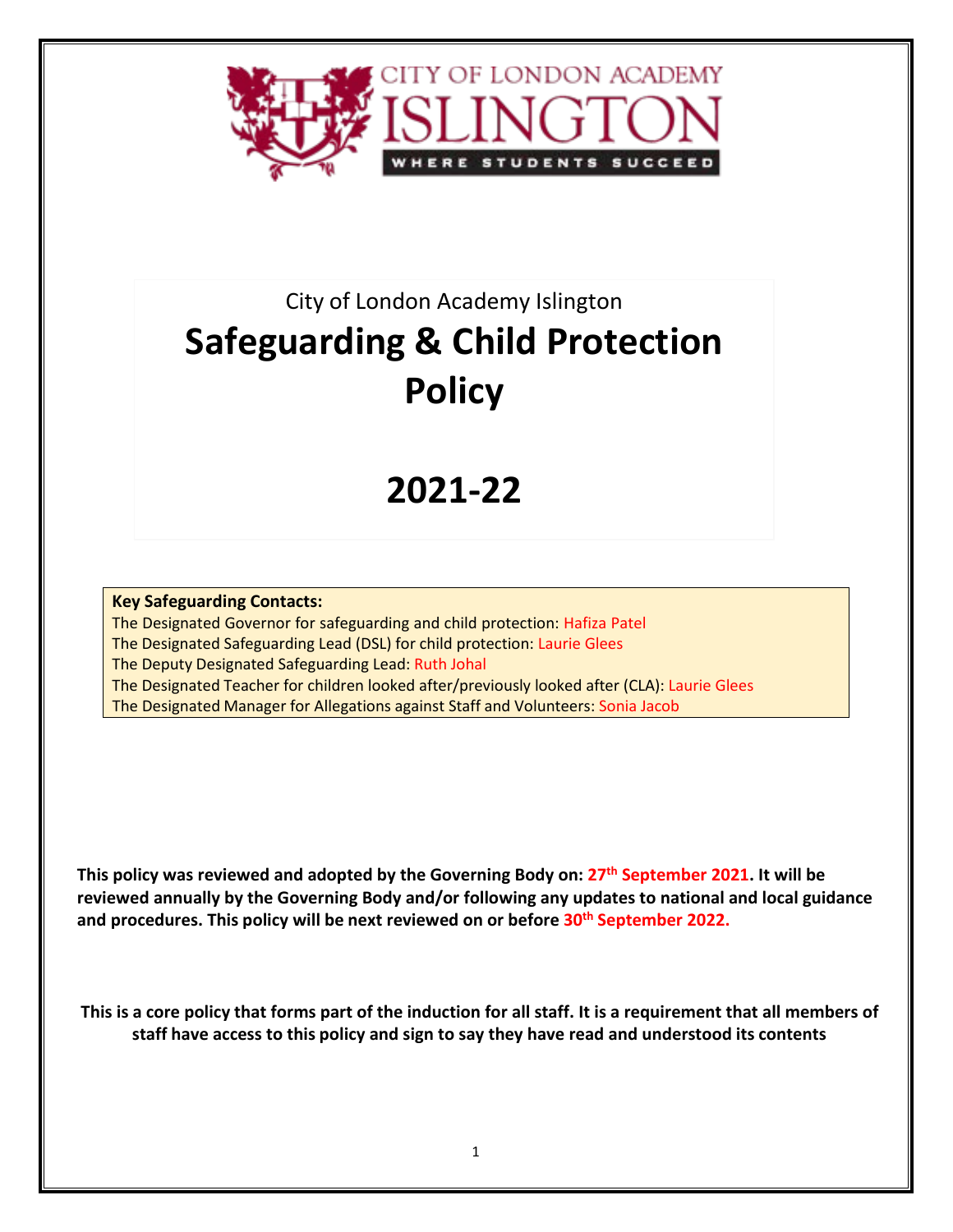

# City of London Academy Islington **Safeguarding & Child Protection Policy**

# **2021-22**

**Key Safeguarding Contacts:** The Designated Governor for safeguarding and child protection: Hafiza Patel The Designated Safeguarding Lead (DSL) for child protection: Laurie Glees The Deputy Designated Safeguarding Lead: Ruth Johal The Designated Teacher for children looked after/previously looked after (CLA): Laurie Glees The Designated Manager for Allegations against Staff and Volunteers: Sonia Jacob

**This policy was reviewed and adopted by the Governing Body on: 27th September 2021. It will be reviewed annually by the Governing Body and/or following any updates to national and local guidance and procedures. This policy will be next reviewed on or before 30th September 2022.**

**This is a core policy that forms part of the induction for all staff. It is a requirement that all members of staff have access to this policy and sign to say they have read and understood its contents**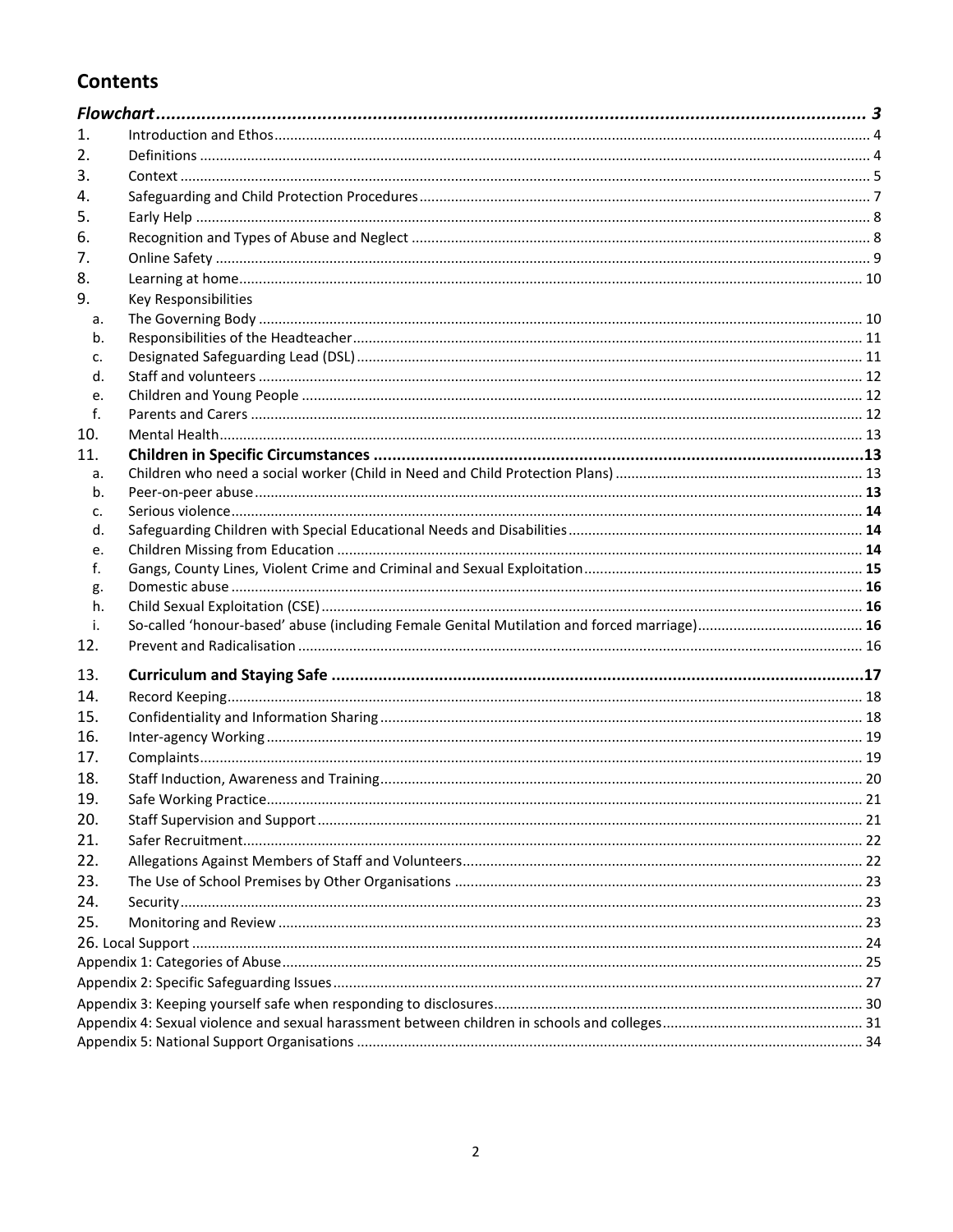## **Contents**

| 1.  |                      |  |
|-----|----------------------|--|
| 2.  |                      |  |
| 3.  |                      |  |
| 4.  |                      |  |
| 5.  |                      |  |
| 6.  |                      |  |
| 7.  |                      |  |
| 8.  |                      |  |
| 9.  | Key Responsibilities |  |
| a.  |                      |  |
| b.  |                      |  |
| c.  |                      |  |
| d.  |                      |  |
| e.  |                      |  |
| f.  |                      |  |
| 10. |                      |  |
| 11. |                      |  |
| a.  |                      |  |
| b.  |                      |  |
| c.  |                      |  |
| d.  |                      |  |
| e.  |                      |  |
| f.  |                      |  |
| g.  |                      |  |
| h.  |                      |  |
| j.  |                      |  |
| 12. |                      |  |
| 13. |                      |  |
| 14. |                      |  |
| 15. |                      |  |
| 16. |                      |  |
| 17. |                      |  |
| 18. |                      |  |
| 19. |                      |  |
| 20. |                      |  |
| 21. |                      |  |
| 22. |                      |  |
| 23. |                      |  |
| 24. |                      |  |
| 25. |                      |  |
|     |                      |  |
|     |                      |  |
|     |                      |  |
|     |                      |  |
|     |                      |  |
|     |                      |  |
|     |                      |  |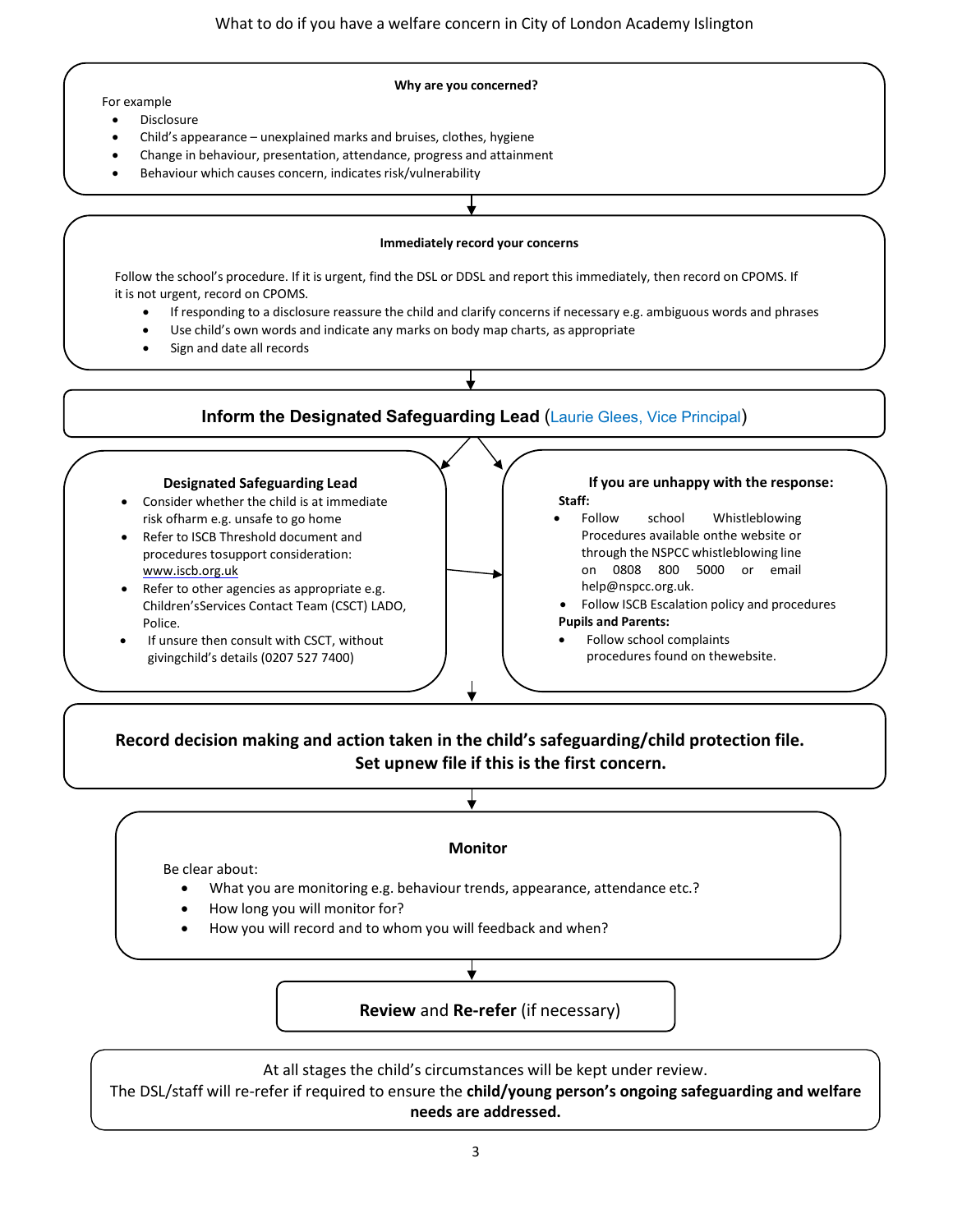#### **Why are you concerned?**

- For example
	- **Disclosure**
	- Child's appearance unexplained marks and bruises, clothes, hygiene
	- Change in behaviour, presentation, attendance, progress and attainment
	- Behaviour which causes concern, indicates risk/vulnerability

#### **Immediately record your concerns**

Follow the school's procedure. If it is urgent, find the DSL or DDSL and report this immediately, then record on CPOMS. If it is not urgent, record on CPOMS.

- If responding to a disclosure reassure the child and clarify concerns if necessary e.g. ambiguous words and phrases
- Use child's own words and indicate any marks on body map charts, as appropriate
- Sign and date all records

#### **Inform the Designated Safeguarding Lead** (Laurie Glees, Vice Principal)

#### **Designated Safeguarding Lead**

- Consider whether the child is at immediate risk ofharm e.g. unsafe to go home
- Refer to ISCB Threshold document and procedures tosupport consideration: [www.iscb.org.uk](http://www.iscb.org.uk/)
- Refer to other agencies as appropriate e.g. Children'sServices Contact Team (CSCT) LADO, Police.
- If unsure then consult with CSCT, without givingchild's details (0207 527 7400)

#### **If you are unhappy with the response: Staff:**

- Follow school Whistleblowing Procedures available onthe website or through the NSPCC whistleblowing line on 0808 800 5000 or email [help@nspcc.org.uk.](mailto:help@nspcc.org.uk)
- Follow ISCB Escalation policy and procedures **Pupils and Parents:**
- Follow school complaints procedures found on thewebsite.

#### **Record decision making and action taken in the child's safeguarding/child protection file. Set upnew file if this is the first concern.**

#### **Monitor**

Be clear about:

- What you are monitoring e.g. behaviour trends, appearance, attendance etc.?
- How long you will monitor for?
- How you will record and to whom you will feedback and when?

#### **Review** and **Re-refer** (if necessary)

At all stages the child's circumstances will be kept under review.

The DSL/staff will re-refer if required to ensure the **child/young person's ongoing safeguarding and welfare needs are addressed.**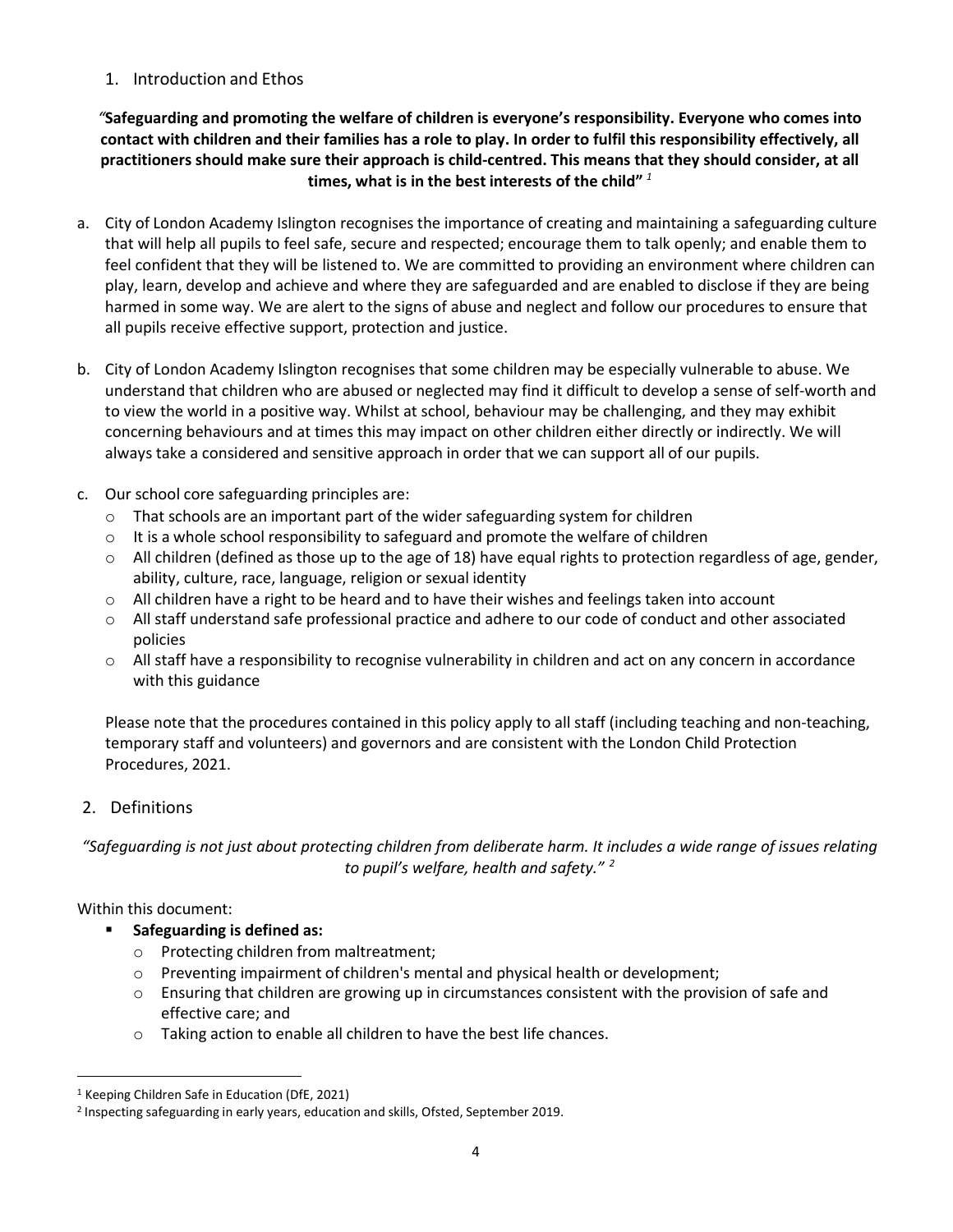### <span id="page-3-0"></span>1. Introduction and Ethos

*"***Safeguarding and promoting the welfare of children is everyone's responsibility. Everyone who comes into contact with children and their families has a role to play. In order to fulfil this responsibility effectively, all practitioners should make sure their approach is child-centred. This means that they should consider, at all times, what is in the best interests of the child"** *[1](#page-3-2)*

- a. City of London Academy Islington recognises the importance of creating and maintaining a safeguarding culture that will help all pupils to feel safe, secure and respected; encourage them to talk openly; and enable them to feel confident that they will be listened to. We are committed to providing an environment where children can play, learn, develop and achieve and where they are safeguarded and are enabled to disclose if they are being harmed in some way. We are alert to the signs of abuse and neglect and follow our procedures to ensure that all pupils receive effective support, protection and justice.
- b. City of London Academy Islington recognises that some children may be especially vulnerable to abuse. We understand that children who are abused or neglected may find it difficult to develop a sense of self-worth and to view the world in a positive way. Whilst at school, behaviour may be challenging, and they may exhibit concerning behaviours and at times this may impact on other children either directly or indirectly. We will always take a considered and sensitive approach in order that we can support all of our pupils.
- c. Our school core safeguarding principles are:
	- $\circ$  That schools are an important part of the wider safeguarding system for children
	- $\circ$  It is a whole school responsibility to safeguard and promote the welfare of children
	- $\circ$  All children (defined as those up to the age of 18) have equal rights to protection regardless of age, gender, ability, culture, race, language, religion or sexual identity
	- $\circ$  All children have a right to be heard and to have their wishes and feelings taken into account
	- o All staff understand safe professional practice and adhere to our code of conduct and other associated policies
	- $\circ$  All staff have a responsibility to recognise vulnerability in children and act on any concern in accordance with this guidance

Please note that the procedures contained in this policy apply to all staff (including teaching and non-teaching, temporary staff and volunteers) and governors and are consistent with the London Child Protection Procedures, 2021.

## <span id="page-3-1"></span>2. Definitions

*"Safeguarding is not just about protecting children from deliberate harm. It includes a wide range of issues relating to pupil's welfare, health and safety." [2](#page-3-3)*

Within this document:

- **Safeguarding is defined as:**
	- o Protecting children from maltreatment;
	- $\circ$  Preventing impairment of children's mental and physical health or development;
	- $\circ$  Ensuring that children are growing up in circumstances consistent with the provision of safe and effective care; and
	- o Taking action to enable all children to have the best life chances.

<span id="page-3-2"></span><sup>1</sup> Keeping Children Safe in Education (DfE, 2021)

<span id="page-3-3"></span><sup>2</sup> Inspecting safeguarding in early years, education and skills, Ofsted, September 2019.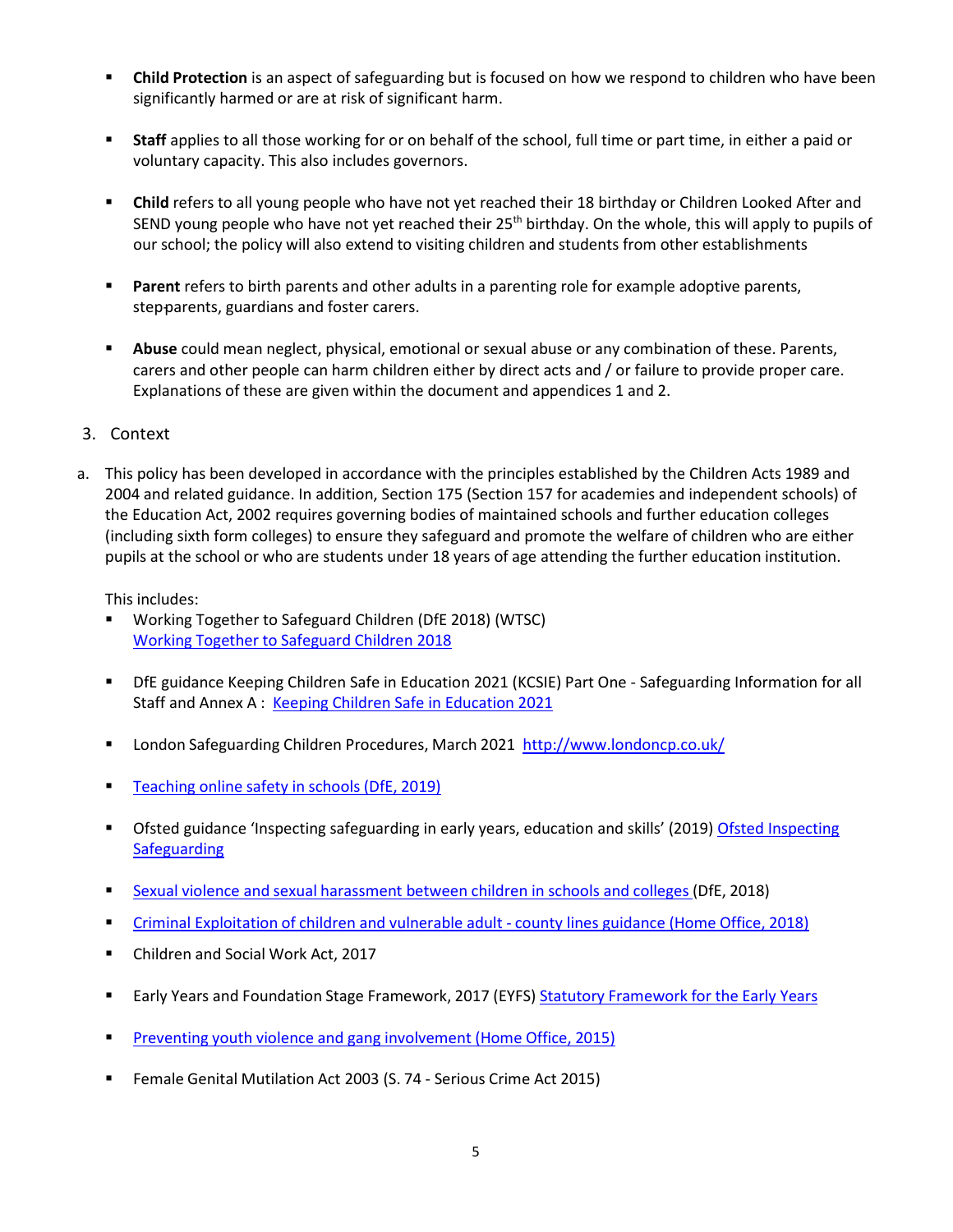- **Child Protection** is an aspect of safeguarding but is focused on how we respond to children who have been significantly harmed or are at risk of significant harm.
- **Staff** applies to all those working for or on behalf of the school, full time or part time, in either a paid or voluntary capacity. This also includes governors.
- **Child** refers to all young people who have not yet reached their 18 birthday or Children Looked After and SEND young people who have not yet reached their 25<sup>th</sup> birthday. On the whole, this will apply to pupils of our school; the policy will also extend to visiting children and students from other establishments
- **Parent** refers to birth parents and other adults in a parenting role for example adoptive parents, step-parents, guardians and foster carers.
- **Abuse** could mean neglect, physical, emotional or sexual abuse or any combination of these. Parents, carers and other people can harm children either by direct acts and / or failure to provide proper care. Explanations of these are given within the document and appendices 1 and 2.
- <span id="page-4-0"></span>3. Context
- a. This policy has been developed in accordance with the principles established by the Children Acts 1989 and 2004 and related guidance. In addition, Section 175 (Section 157 for academies and independent schools) of the Education Act, 2002 requires governing bodies of maintained schools and further education colleges (including sixth form colleges) to ensure they safeguard and promote the welfare of children who are either pupils at the school or who are students under 18 years of age attending the further education institution.

This includes:

- Working Together to Safeguard Children (DfE 2018) (WTSC) Working Together to [Safeguard](https://assets.publishing.service.gov.uk/government/uploads/system/uploads/attachment_data/file/729914/Working_Together_to_Safeguard_Children-2018.pdf) Children 2018
- DfE guidance Keeping Children Safe in Education 2021 (KCSIE) Part One Safeguarding Information for all Staff and Annex A : Keeping Children Safe in [Education](https://assets.publishing.service.gov.uk/government/uploads/system/uploads/attachment_data/file/1014058/KCSIE_2021_Part_One_September.pdf) 2021
- London Safeguarding Children Procedures, March 2021 <http://www.londoncp.co.uk/>
- **[Teaching](https://assets.publishing.service.gov.uk/government/uploads/system/uploads/attachment_data/file/811796/Teaching_online_safety_in_school.pdf) online safety in schools (DfE, 2019)**
- **The State State of the State State State State State State State State State State Inspecting** [Ofsted Inspecting](https://www.gov.uk/government/publications/inspecting-safeguarding-in-early-years-education-and-skills-from-september-2015/inspecting-safeguarding-in-early-years-education-and-skills-settings) **[Safeguarding](https://www.gov.uk/government/publications/inspecting-safeguarding-in-early-years-education-and-skills-from-september-2015/inspecting-safeguarding-in-early-years-education-and-skills-settings)**
- Sexual violence and sexual [harassment](https://www.gov.uk/government/uploads/system/uploads/attachment_data/file/667862/Sexual_Harassment_and_Sexual_Violence_-_Advice.pdf) between children in schools and colleges (DfE, 2018)
- **Criminal [Exploitation](https://assets.publishing.service.gov.uk/government/uploads/system/uploads/attachment_data/file/741194/HOCountyLinesGuidanceSept2018.pdf) of children and vulnerable adult county lines guidance (Home Office, 2018)**
- Children and Social Work Act, 2017
- **Early Years and Foundation Stage [Framework](https://www.foundationyears.org.uk/files/2017/03/EYFS_STATUTORY_FRAMEWORK_2017.pdf), 2017 (EYFS) Statutory Framework for the Early Years**
- **Preventing youth violence and gang [involvement](https://assets.publishing.service.gov.uk/government/uploads/system/uploads/attachment_data/file/418131/Preventing_youth_violence_and_gang_involvement_v3_March2015.pdf) (Home Office, 2015)**
- **F** Female Genital Mutilation Act 2003 (S. 74 Serious Crime Act 2015)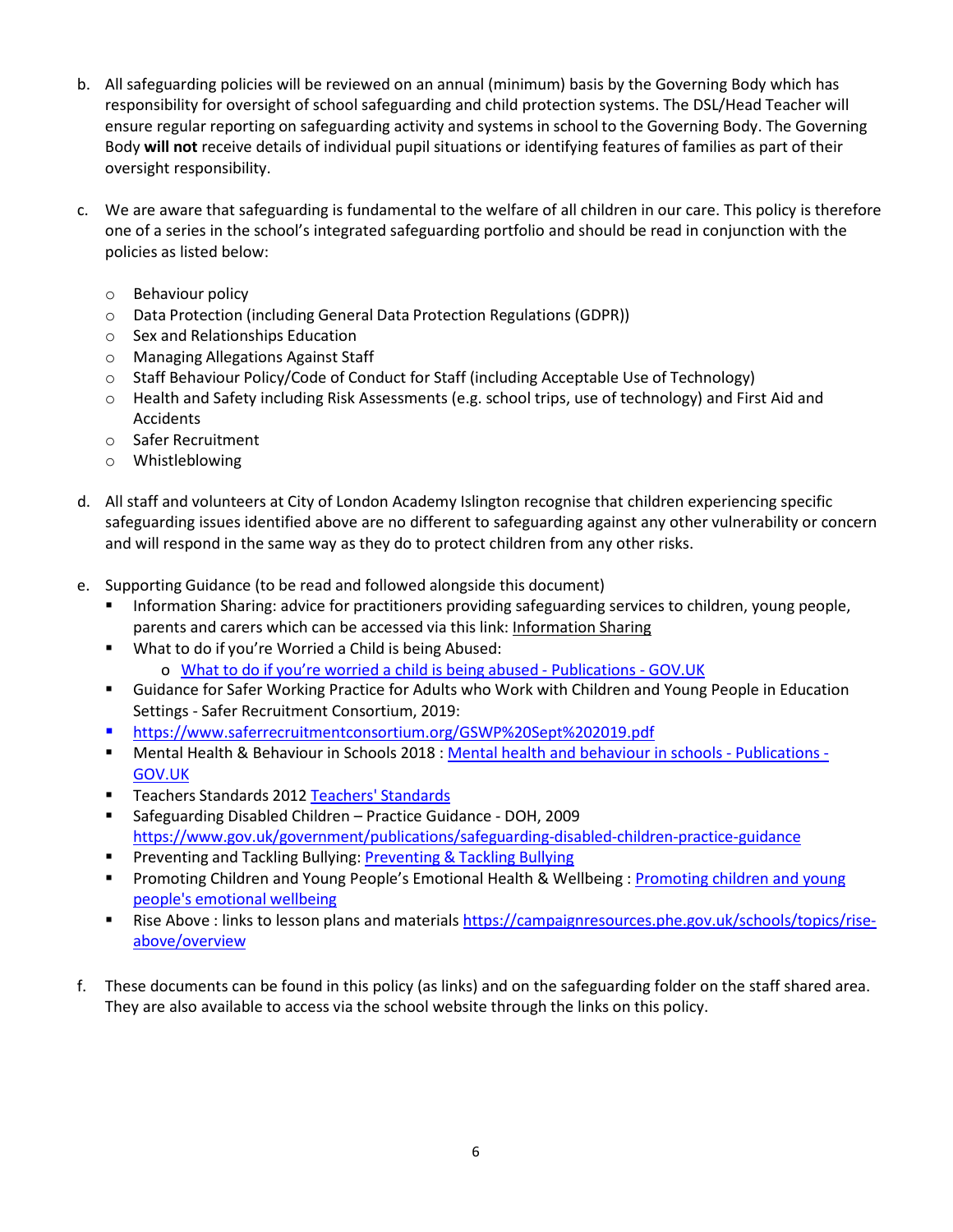- b. All safeguarding policies will be reviewed on an annual (minimum) basis by the Governing Body which has responsibility for oversight of school safeguarding and child protection systems. The DSL/Head Teacher will ensure regular reporting on safeguarding activity and systems in school to the Governing Body. The Governing Body **will not** receive details of individual pupil situations or identifying features of families as part of their oversight responsibility.
- c. We are aware that safeguarding is fundamental to the welfare of all children in our care. This policy is therefore one of a series in the school's integrated safeguarding portfolio and should be read in conjunction with the policies as listed below:
	- o Behaviour policy
	- o Data Protection (including General Data Protection Regulations (GDPR))
	- o Sex and Relationships Education
	- o Managing Allegations Against Staff
	- o Staff Behaviour Policy/Code of Conduct for Staff (including Acceptable Use of Technology)
	- o Health and Safety including Risk Assessments (e.g. school trips, use of technology) and First Aid and Accidents
	- o Safer Recruitment
	- o Whistleblowing
- d. All staff and volunteers at City of London Academy Islington recognise that children experiencing specific safeguarding issues identified above are no different to safeguarding against any other vulnerability or concern and will respond in the same way as they do to protect children from any other risks.
- e. Supporting Guidance (to be read and followed alongside this document)
	- Information Sharing: advice for practitioners providing safeguarding services to children, young people, parents and carers which can be accessed via this link[: Information](https://assets.publishing.service.gov.uk/government/uploads/system/uploads/attachment_data/file/721581/Information_sharing_advice_practitioners_safeguarding_services.pdf) Sharing
	- What to do if you're Worried a Child is being Abused: o What to do if [you're worried](https://www.gov.uk/government/publications/what-to-do-if-youre-worried-a-child-is-being-abused--2) a child is being abused - Publications - GOV.UK
	- Guidance for Safer Working Practice for Adults who Work with Children and Young People in Education Settings - Safer Recruitment Consortium, 2019:
	- https:/[/www.saferrecruitmentconsortium.org/GSWP%20Sept%202019.pdf](http://www.saferrecruitmentconsortium.org/GSWP%20Sept%202019.pdf)
	- Mental Health & Behaviour in Schools 2018 : [Mental health and behaviour in schools -](https://www.gov.uk/government/publications/mental-health-and-behaviour-in-schools--2) Publications [GOV.UK](https://www.gov.uk/government/publications/mental-health-and-behaviour-in-schools--2)
	- **Teachers [Standards](https://www.gov.uk/government/publications/teachers-standards) 2012 Teachers' Standards**
	- Safeguarding Disabled Children Practice Guidance DOH, 2009 <https://www.gov.uk/government/publications/safeguarding-disabled-children-practice-guidance>
	- **[Preventing](https://assets.publishing.service.gov.uk/government/uploads/system/uploads/attachment_data/file/623895/Preventing_and_tackling_bullying_advice.pdf) and Tackling Bullying: Preventing & Tackling Bullying**
	- **Promoting Children and Young People's Emotional Health & Wellbeing: [Promoting children and young](https://www.gov.uk/government/publications/promoting-children-and-young-peoples-emotional-health-and-wellbeing)** people's [emotional](https://www.gov.uk/government/publications/promoting-children-and-young-peoples-emotional-health-and-wellbeing) wellbeing
	- **Rise Above : links to lesson plans and materials [https://campaignresources.phe.gov.uk/schools/topics/rise](https://campaignresources.phe.gov.uk/schools/topics/rise-above/overview)**[above/overview](https://campaignresources.phe.gov.uk/schools/topics/rise-above/overview)
- f. These documents can be found in this policy (as links) and on the safeguarding folder on the staff shared area. They are also available to access via the school website through the links on this policy.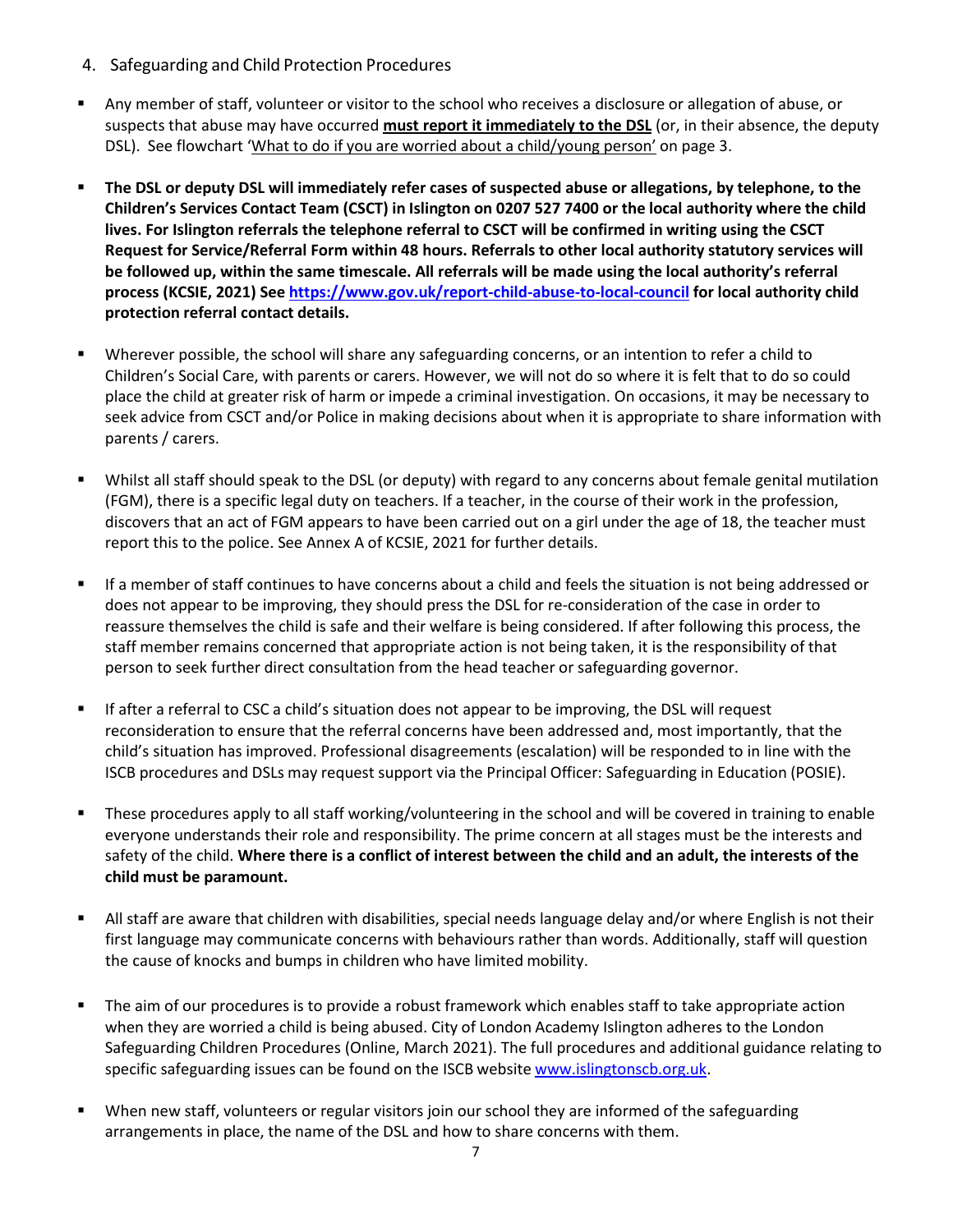- <span id="page-6-0"></span>4. Safeguarding and Child Protection Procedures
- Any member of staff, volunteer or visitor to the school who receives a disclosure or allegation of abuse, or suspects that abuse may have occurred **must report it immediately to the DSL** (or, in their absence, the deputy DSL). See flowchart 'What to do if you are worried about a child/young person' on page 3.
- **The DSL or deputy DSL will immediately refer cases of suspected abuse or allegations, by telephone, to the Children's Services Contact Team (CSCT) in Islington on 0207 527 7400 or the local authority where the child lives. For Islington referrals the telephone referral to CSCT will be confirmed in writing using the CSCT Request for Service/Referral Form within 48 hours. Referrals to other local authority statutory services will be followed up, within the same timescale. All referrals will be made using the local authority's referral process (KCSIE, 2021) See <https://www.gov.uk/report-child-abuse-to-local-council> for local authority child protection referral contact details.**
- Wherever possible, the school will share any safeguarding concerns, or an intention to refer a child to Children's Social Care, with parents or carers. However, we will not do so where it is felt that to do so could place the child at greater risk of harm or impede a criminal investigation. On occasions, it may be necessary to seek advice from CSCT and/or Police in making decisions about when it is appropriate to share information with parents / carers.
- Whilst all staff should speak to the DSL (or deputy) with regard to any concerns about female genital mutilation (FGM), there is a specific legal duty on teachers. If a teacher, in the course of their work in the profession, discovers that an act of FGM appears to have been carried out on a girl under the age of 18, the teacher must report this to the police. See Annex A of KCSIE, 2021 for further details.
- If a member of staff continues to have concerns about a child and feels the situation is not being addressed or does not appear to be improving, they should press the DSL for re-consideration of the case in order to reassure themselves the child is safe and their welfare is being considered. If after following this process, the staff member remains concerned that appropriate action is not being taken, it is the responsibility of that person to seek further direct consultation from the head teacher or safeguarding governor.
- **If after a referral to CSC a child's situation does not appear to be improving, the DSL will request** reconsideration to ensure that the referral concerns have been addressed and, most importantly, that the child's situation has improved. Professional disagreements (escalation) will be responded to in line with the ISCB procedures and DSLs may request support via the Principal Officer: Safeguarding in Education (POSIE).
- These procedures apply to all staff working/volunteering in the school and will be covered in training to enable everyone understands their role and responsibility. The prime concern at all stages must be the interests and safety of the child. **Where there is a conflict of interest between the child and an adult, the interests of the child must be paramount.**
- All staff are aware that children with disabilities, special needs language delay and/or where English is not their first language may communicate concerns with behaviours rather than words. Additionally, staff will question the cause of knocks and bumps in children who have limited mobility.
- The aim of our procedures is to provide a robust framework which enables staff to take appropriate action when they are worried a child is being abused. City of London Academy Islington adheres to the London Safeguarding Children Procedures (Online, March 2021). The full procedures and additional guidance relating to specific safeguarding issues can be found on the ISCB website [www.islingtonscb.org.uk.](http://www.islingtonscb.org.uk/)
- When new staff, volunteers or regular visitors join our school they are informed of the safeguarding arrangements in place, the name of the DSL and how to share concerns with them.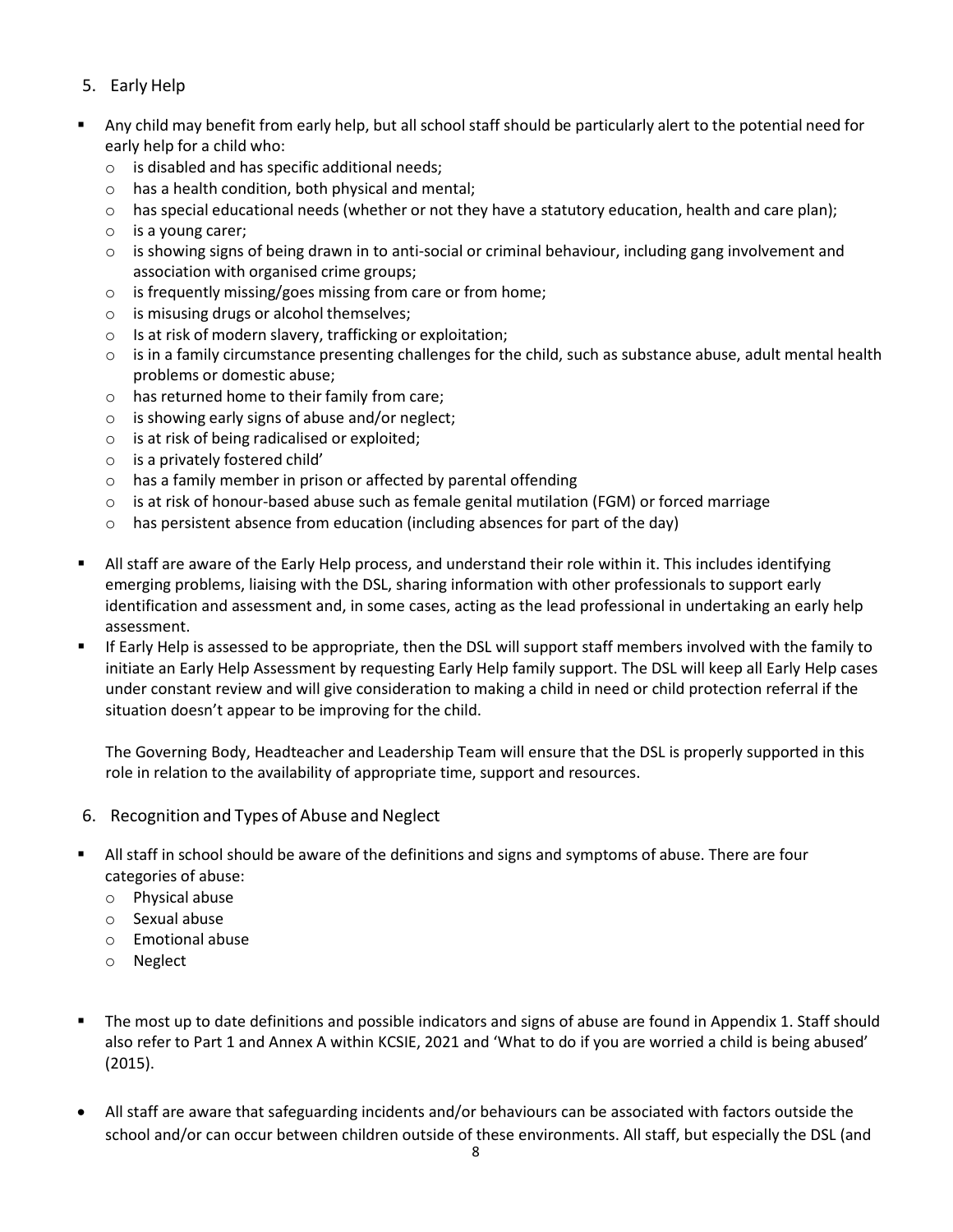## <span id="page-7-0"></span>5. Early Help

- Any child may benefit from early help, but all school staff should be particularly alert to the potential need for early help for a child who:
	- o is disabled and has specific additional needs;
	- o has a health condition, both physical and mental;
	- o has special educational needs (whether or not they have a statutory education, health and care plan);
	- o is a young carer;
	- $\circ$  is showing signs of being drawn in to anti-social or criminal behaviour, including gang involvement and association with organised crime groups;
	- o is frequently missing/goes missing from care or from home;
	- o is misusing drugs or alcohol themselves;
	- o Is at risk of modern slavery, trafficking or exploitation;
	- $\circ$  is in a family circumstance presenting challenges for the child, such as substance abuse, adult mental health problems or domestic abuse;
	- o has returned home to their family from care;
	- $\circ$  is showing early signs of abuse and/or neglect;
	- o is at risk of being radicalised or exploited;
	- o is a privately fostered child'
	- o has a family member in prison or affected by parental offending
	- $\circ$  is at risk of honour-based abuse such as female genital mutilation (FGM) or forced marriage
	- $\circ$  has persistent absence from education (including absences for part of the day)
- All staff are aware of the Early Help process, and understand their role within it. This includes identifying emerging problems, liaising with the DSL, sharing information with other professionals to support early identification and assessment and, in some cases, acting as the lead professional in undertaking an early help assessment.
- If Early Help is assessed to be appropriate, then the DSL will support staff members involved with the family to initiate an Early Help Assessment by requesting Early Help family support. The DSL will keep all Early Help cases under constant review and will give consideration to making a child in need or child protection referral if the situation doesn't appear to be improving for the child.

The Governing Body, Headteacher and Leadership Team will ensure that the DSL is properly supported in this role in relation to the availability of appropriate time, support and resources.

- <span id="page-7-1"></span>6. Recognition and Types of Abuse and Neglect
- All staff in school should be aware of the definitions and signs and symptoms of abuse. There are four categories of abuse:
	- o Physical abuse
	- o Sexual abuse
	- o Emotional abuse
	- o Neglect
- The most up to date definitions and possible indicators and signs of abuse are found in Appendix 1. Staff should also refer to Part 1 and Annex A within KCSIE, 2021 and 'What to do if you are worried a child is being abused' (2015).
- All staff are aware that safeguarding incidents and/or behaviours can be associated with factors outside the school and/or can occur between children outside of these environments. All staff, but especially the DSL (and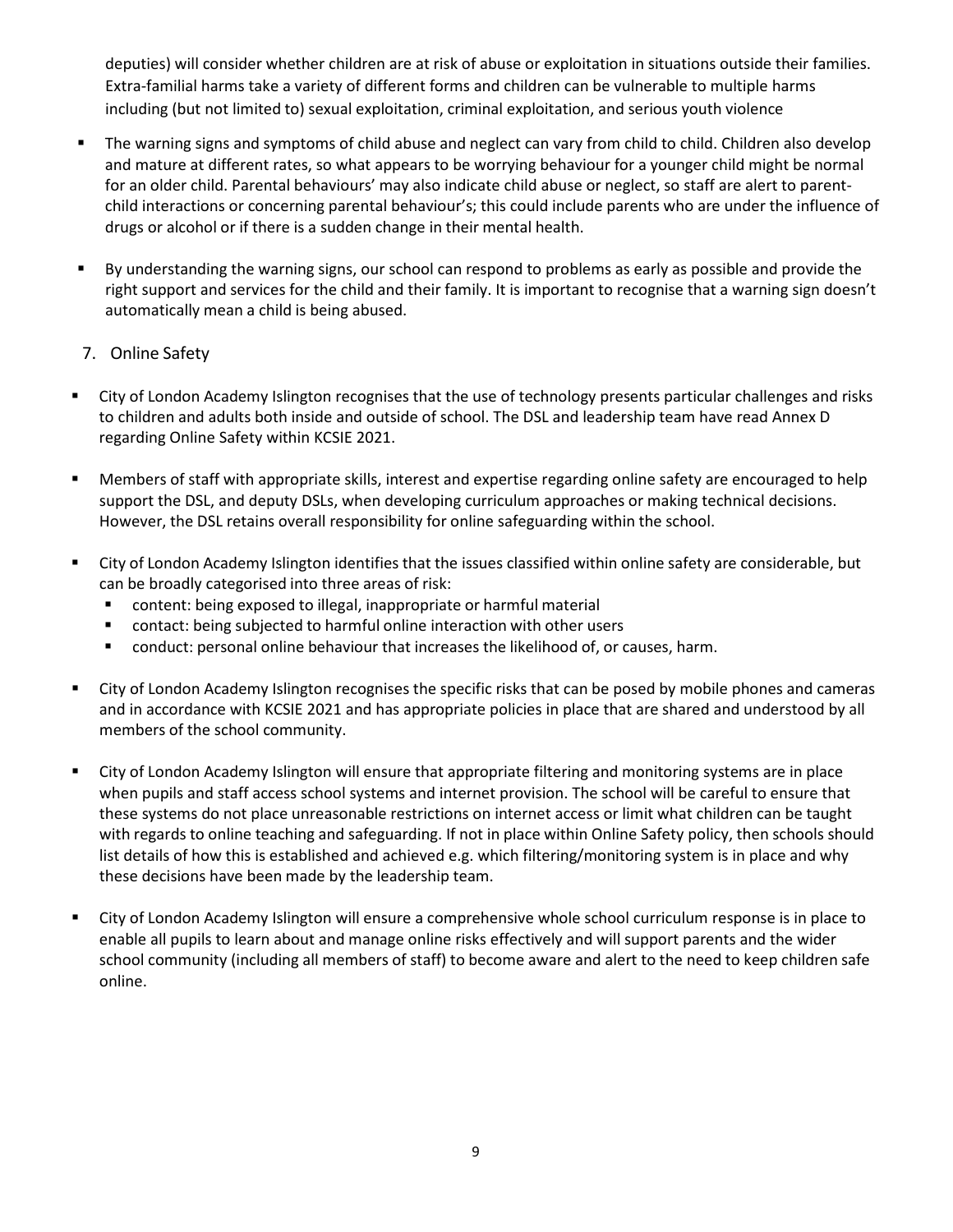deputies) will consider whether children are at risk of abuse or exploitation in situations outside their families. Extra-familial harms take a variety of different forms and children can be vulnerable to multiple harms including (but not limited to) sexual exploitation, criminal exploitation, and serious youth violence

- The warning signs and symptoms of child abuse and neglect can vary from child to child. Children also develop and mature at different rates, so what appears to be worrying behaviour for a younger child might be normal for an older child. Parental behaviours' may also indicate child abuse or neglect, so staff are alert to parentchild interactions or concerning parental behaviour's; this could include parents who are under the influence of drugs or alcohol or if there is a sudden change in their mental health.
- By understanding the warning signs, our school can respond to problems as early as possible and provide the right support and services for the child and their family. It is important to recognise that a warning sign doesn't automatically mean a child is being abused.
- <span id="page-8-0"></span>7. Online Safety
- City of London Academy Islington recognises that the use of technology presents particular challenges and risks to children and adults both inside and outside of school. The DSL and leadership team have read Annex D regarding Online Safety within KCSIE 2021.
- Members of staff with appropriate skills, interest and expertise regarding online safety are encouraged to help support the DSL, and deputy DSLs, when developing curriculum approaches or making technical decisions. However, the DSL retains overall responsibility for online safeguarding within the school.
- City of London Academy Islington identifies that the issues classified within online safety are considerable, but can be broadly categorised into three areas of risk:
	- content: being exposed to illegal, inappropriate or harmful material
	- contact: being subjected to harmful online interaction with other users
	- conduct: personal online behaviour that increases the likelihood of, or causes, harm.
- City of London Academy Islington recognises the specific risks that can be posed by mobile phones and cameras and in accordance with KCSIE 2021 and has appropriate policies in place that are shared and understood by all members of the school community.
- City of London Academy Islington will ensure that appropriate filtering and monitoring systems are in place when pupils and staff access school systems and internet provision. The school will be careful to ensure that these systems do not place unreasonable restrictions on internet access or limit what children can be taught with regards to online teaching and safeguarding. If not in place within Online Safety policy, then schools should list details of how this is established and achieved e.g. which filtering/monitoring system is in place and why these decisions have been made by the leadership team.
- City of London Academy Islington will ensure a comprehensive whole school curriculum response is in place to enable all pupils to learn about and manage online risks effectively and will support parents and the wider school community (including all members of staff) to become aware and alert to the need to keep children safe online.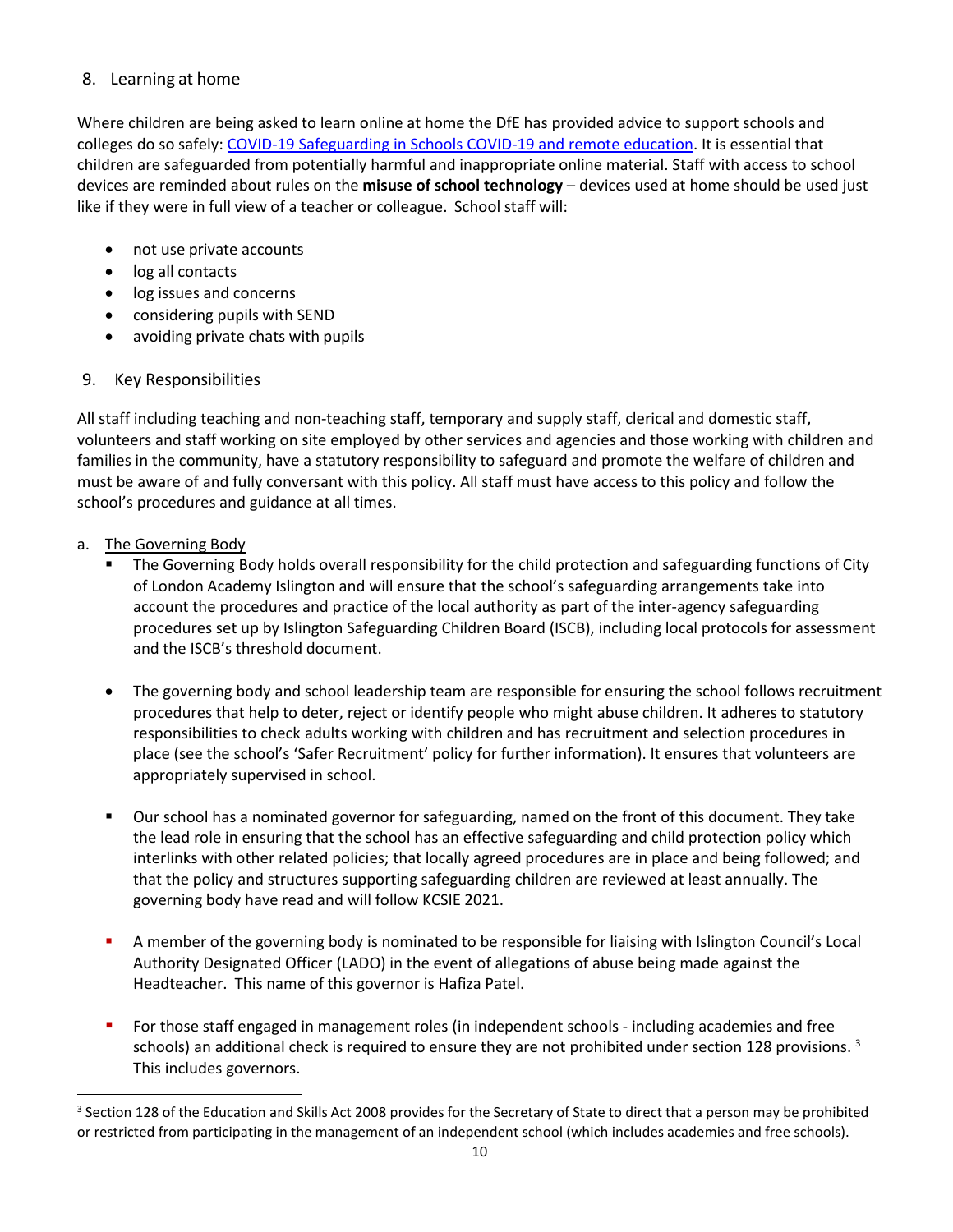#### <span id="page-9-0"></span>8. Learning at home

Where children are being asked to learn online at home the DfE has provided advice to support schools and colleges do so safely: [COVID-19 Safeguarding in Schools](https://www.gov.uk/government/publications/covid-19-safeguarding-in-schools-colleges-and-other-providers/coronavirus-covid-19-safeguarding-in-schools-colleges-and-other-providers) [COVID-19 and remote education. I](https://www.gov.uk/guidance/safeguarding-and-remote-education-during-coronavirus-covid-19)t is essential that children are safeguarded from potentially harmful and inappropriate online material. Staff with access to school devices are reminded about rules on the **misuse of school technology** – devices used at home should be used just like if they were in full view of a teacher or colleague. School staff will:

- not use private accounts
- log all contacts
- log issues and concerns
- considering pupils with SEND
- avoiding private chats with pupils

#### 9. Key Responsibilities

All staff including teaching and non-teaching staff, temporary and supply staff, clerical and domestic staff, volunteers and staff working on site employed by other services and agencies and those working with children and families in the community, have a statutory responsibility to safeguard and promote the welfare of children and must be aware of and fully conversant with this policy. All staff must have access to this policy and follow the school's procedures and guidance at all times.

#### <span id="page-9-1"></span>a. The Governing Body

- **The Governing Body holds overall responsibility for the child protection and safeguarding functions of City** of London Academy Islington and will ensure that the school's safeguarding arrangements take into account the procedures and practice of the local authority as part of the inter-agency safeguarding procedures set up by Islington Safeguarding Children Board (ISCB), including local protocols for assessment and the ISCB's threshold document.
- The governing body and school leadership team are responsible for ensuring the school follows recruitment procedures that help to deter, reject or identify people who might abuse children. It adheres to statutory responsibilities to check adults working with children and has recruitment and selection procedures in place (see the school's 'Safer Recruitment' policy for further information). It ensures that volunteers are appropriately supervised in school.
- Our school has a nominated governor for safeguarding, named on the front of this document. They take the lead role in ensuring that the school has an effective safeguarding and child protection policy which interlinks with other related policies; that locally agreed procedures are in place and being followed; and that the policy and structures supporting safeguarding children are reviewed at least annually. The governing body have read and will follow KCSIE 2021.
- A member of the governing body is nominated to be responsible for liaising with Islington Council's Local Authority Designated Officer (LADO) in the event of allegations of abuse being made against the Headteacher. This name of this governor is Hafiza Patel.
- For those staff engaged in management roles (in independent schools including academies and free schools) an additional check is required to ensure they are not prohibited under section 128 provisions. <sup>3</sup> This includes governors.

<span id="page-9-2"></span><sup>&</sup>lt;sup>3</sup> Section 128 of the Education and Skills Act 2008 provides for the Secretary of State to direct that a person may be prohibited or restricted from participating in the management of an independent school (which includes academies and free schools).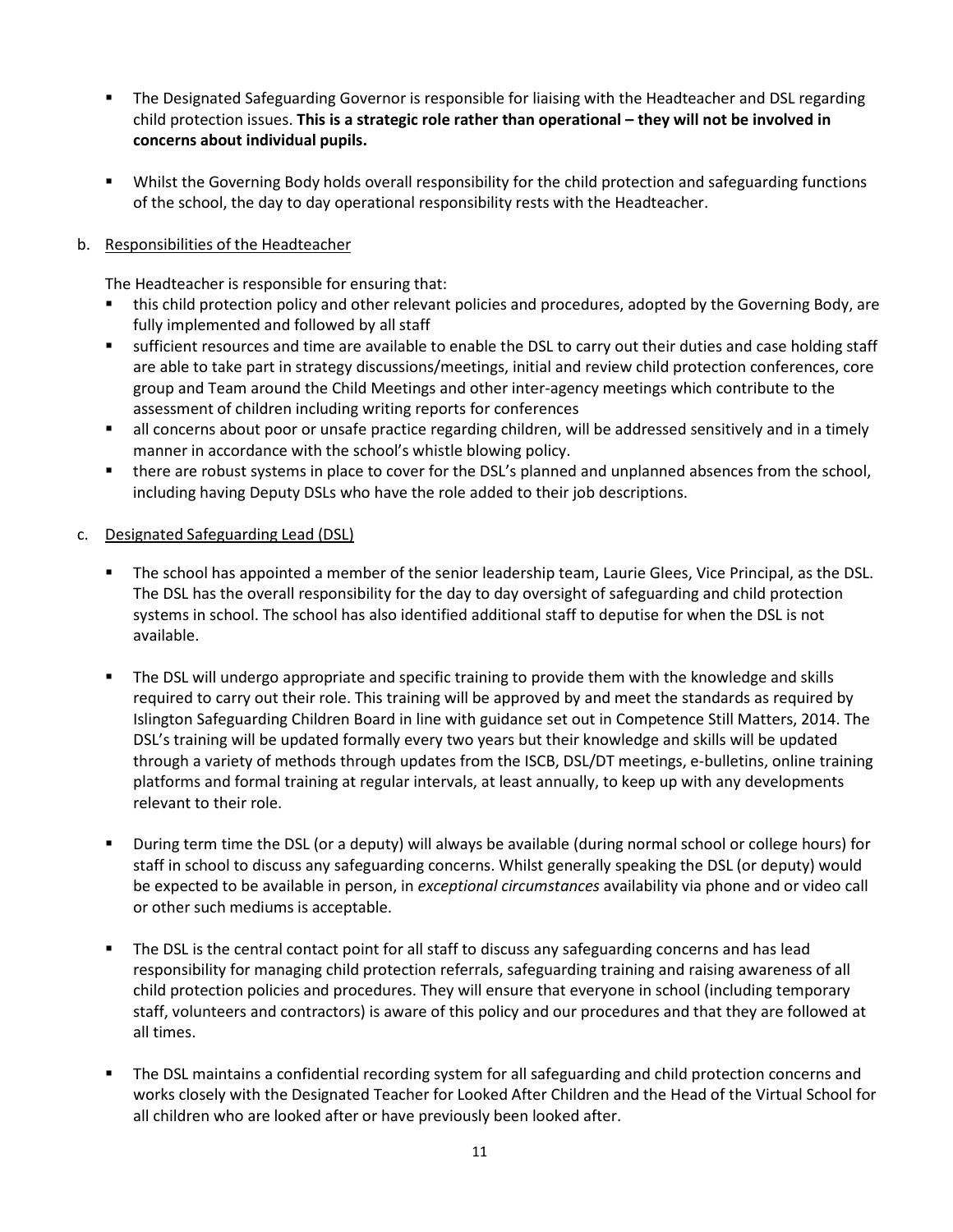- The Designated Safeguarding Governor is responsible for liaising with the Headteacher and DSL regarding child protection issues. **This is a strategic role rather than operational – they will not be involved in concerns about individual pupils.**
- Whilst the Governing Body holds overall responsibility for the child protection and safeguarding functions of the school, the day to day operational responsibility rests with the Headteacher.

#### <span id="page-10-0"></span>b. Responsibilities of the Headteacher

The Headteacher is responsible for ensuring that:

- this child protection policy and other relevant policies and procedures, adopted by the Governing Body, are fully implemented and followed by all staff
- sufficient resources and time are available to enable the DSL to carry out their duties and case holding staff are able to take part in strategy discussions/meetings, initial and review child protection conferences, core group and Team around the Child Meetings and other inter-agency meetings which contribute to the assessment of children including writing reports for conferences
- all concerns about poor or unsafe practice regarding children, will be addressed sensitively and in a timely manner in accordance with the school's whistle blowing policy.
- there are robust systems in place to cover for the DSL's planned and unplanned absences from the school, including having Deputy DSLs who have the role added to their job descriptions.
- <span id="page-10-1"></span>c. Designated Safeguarding Lead (DSL)
	- **The school has appointed a member of the senior leadership team, Laurie Glees, Vice Principal, as the DSL.** The DSL has the overall responsibility for the day to day oversight of safeguarding and child protection systems in school. The school has also identified additional staff to deputise for when the DSL is not available.
	- The DSL will undergo appropriate and specific training to provide them with the knowledge and skills required to carry out their role. This training will be approved by and meet the standards as required by Islington Safeguarding Children Board in line with guidance set out in Competence Still Matters, 2014. The DSL's training will be updated formally every two years but their knowledge and skills will be updated through a variety of methods through updates from the ISCB, DSL/DT meetings, e-bulletins, online training platforms and formal training at regular intervals, at least annually, to keep up with any developments relevant to their role.
	- During term time the DSL (or a deputy) will always be available (during normal school or college hours) for staff in school to discuss any safeguarding concerns. Whilst generally speaking the DSL (or deputy) would be expected to be available in person, in *exceptional circumstances* availability via phone and or video call or other such mediums is acceptable.
	- **The DSL is the central contact point for all staff to discuss any safeguarding concerns and has lead** responsibility for managing child protection referrals, safeguarding training and raising awareness of all child protection policies and procedures. They will ensure that everyone in school (including temporary staff, volunteers and contractors) is aware of this policy and our procedures and that they are followed at all times.
	- The DSL maintains a confidential recording system for all safeguarding and child protection concerns and works closely with the Designated Teacher for Looked After Children and the Head of the Virtual School for all children who are looked after or have previously been looked after.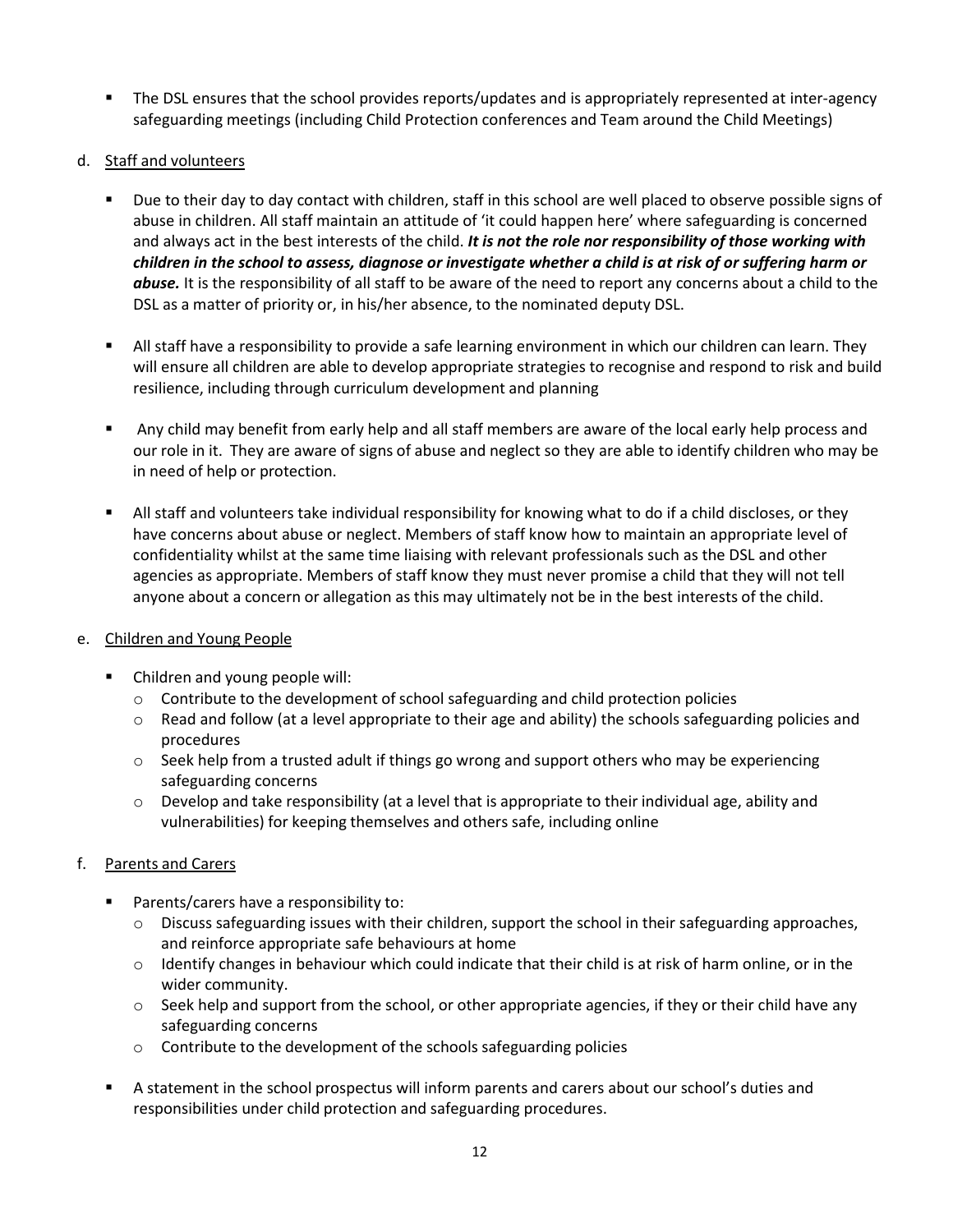- The DSL ensures that the school provides reports/updates and is appropriately represented at inter-agency safeguarding meetings (including Child Protection conferences and Team around the Child Meetings)
- <span id="page-11-0"></span>d. Staff and volunteers
	- Due to their day to day contact with children, staff in this school are well placed to observe possible signs of abuse in children. All staff maintain an attitude of 'it could happen here' where safeguarding is concerned and always act in the best interests of the child. *It is not the role nor responsibility of those working with children in the school to assess, diagnose or investigate whether a child is at risk of or suffering harm or abuse.* It is the responsibility of all staff to be aware of the need to report any concerns about a child to the DSL as a matter of priority or, in his/her absence, to the nominated deputy DSL.
	- All staff have a responsibility to provide a safe learning environment in which our children can learn. They will ensure all children are able to develop appropriate strategies to recognise and respond to risk and build resilience, including through curriculum development and planning
	- Any child may benefit from early help and all staff members are aware of the local early help process and our role in it. They are aware of signs of abuse and neglect so they are able to identify children who may be in need of help or protection.
	- All staff and volunteers take individual responsibility for knowing what to do if a child discloses, or they have concerns about abuse or neglect. Members of staff know how to maintain an appropriate level of confidentiality whilst at the same time liaising with relevant professionals such as the DSL and other agencies as appropriate. Members of staff know they must never promise a child that they will not tell anyone about a concern or allegation as this may ultimately not be in the best interests of the child.
- <span id="page-11-1"></span>e. Children and Young People
	- Children and young people will:
		- $\circ$  Contribute to the development of school safeguarding and child protection policies
		- o Read and follow (at a level appropriate to their age and ability) the schools safeguarding policies and procedures
		- $\circ$  Seek help from a trusted adult if things go wrong and support others who may be experiencing safeguarding concerns
		- $\circ$  Develop and take responsibility (at a level that is appropriate to their individual age, ability and vulnerabilities) for keeping themselves and others safe, including online

#### <span id="page-11-2"></span>f. Parents and Carers

- **Parents/carers have a responsibility to:** 
	- $\circ$  Discuss safeguarding issues with their children, support the school in their safeguarding approaches, and reinforce appropriate safe behaviours at home
	- o Identify changes in behaviour which could indicate that their child is at risk of harm online, or in the wider community.
	- $\circ$  Seek help and support from the school, or other appropriate agencies, if they or their child have any safeguarding concerns
	- o Contribute to the development of the schools safeguarding policies
- A statement in the school prospectus will inform parents and carers about our school's duties and responsibilities under child protection and safeguarding procedures.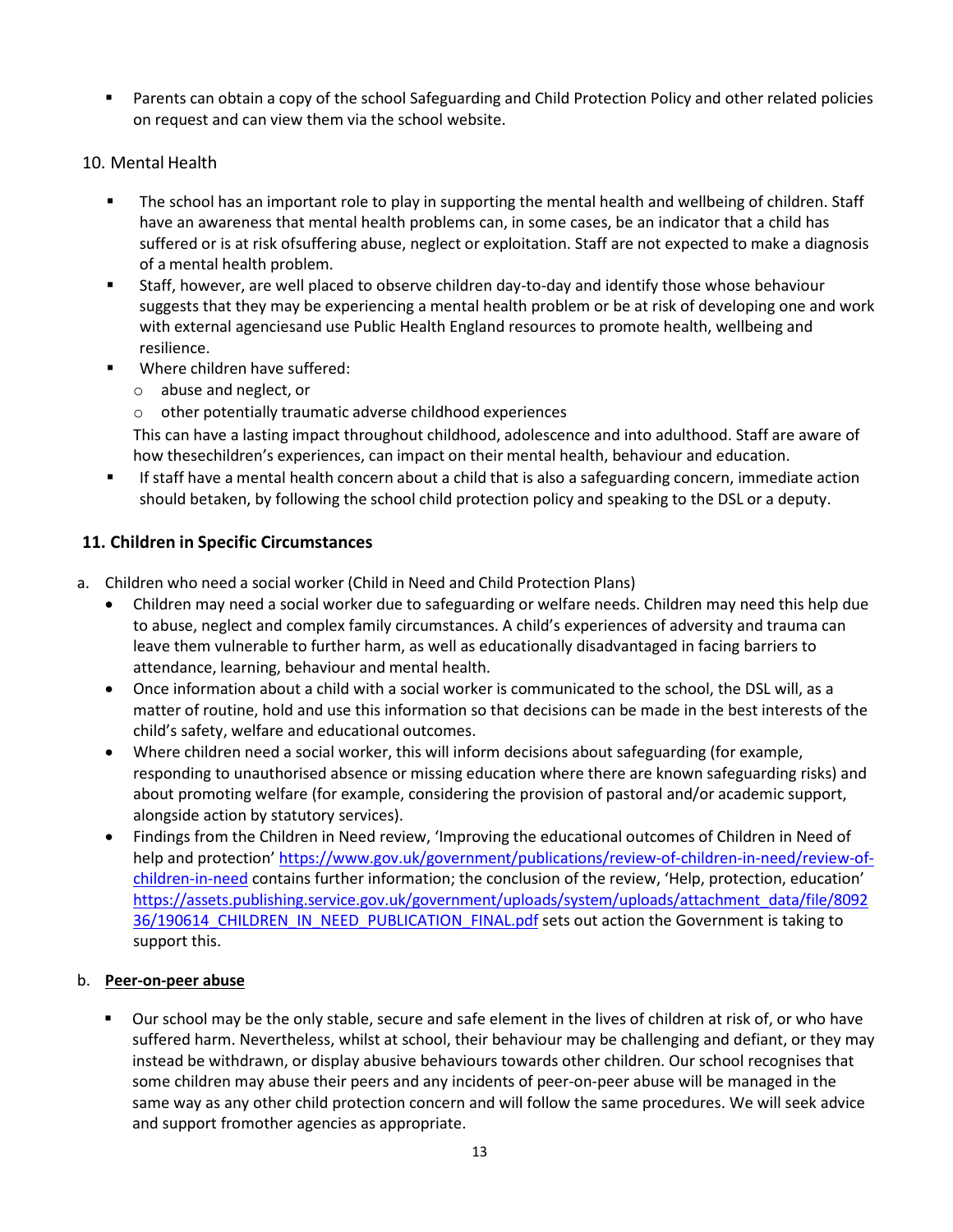Parents can obtain a copy of the school Safeguarding and Child Protection Policy and other related policies on request and can view them via the school website.

#### <span id="page-12-0"></span>10. Mental Health

- **The school has an important role to play in supporting the mental health and wellbeing of children. Staff** have an awareness that mental health problems can, in some cases, be an indicator that a child has suffered or is at risk ofsuffering abuse, neglect or exploitation. Staff are not expected to make a diagnosis of a mental health problem.
- Staff, however, are well placed to observe children day-to-day and identify those whose behaviour suggests that they may be experiencing a mental health problem or be at risk of developing one and work with external agenciesand use Public Health England resources to promote health, wellbeing and resilience.
- **NH** Where children have suffered:
	- o abuse and neglect, or
	- o other potentially traumatic adverse childhood experiences

This can have a lasting impact throughout childhood, adolescence and into adulthood. Staff are aware of how thesechildren's experiences, can impact on their mental health, behaviour and education.

 If staff have a mental health concern about a child that is also a safeguarding concern, immediate action should betaken, by following the school child protection policy and speaking to the DSL or a deputy.

#### <span id="page-12-1"></span>**11. Children in Specific Circumstances**

- <span id="page-12-2"></span>a. Children who need a social worker (Child in Need and Child Protection Plans)
	- Children may need a social worker due to safeguarding or welfare needs. Children may need this help due to abuse, neglect and complex family circumstances. A child's experiences of adversity and trauma can leave them vulnerable to further harm, as well as educationally disadvantaged in facing barriers to attendance, learning, behaviour and mental health.
	- Once information about a child with a social worker is communicated to the school, the DSL will, as a matter of routine, hold and use this information so that decisions can be made in the best interests of the child's safety, welfare and educational outcomes.
	- Where children need a social worker, this will inform decisions about safeguarding (for example, responding to unauthorised absence or missing education where there are known safeguarding risks) and about promoting welfare (for example, considering the provision of pastoral and/or academic support, alongside action by statutory services).
	- Findings from the Children in Need review, 'Improving the educational outcomes of Children in Need of help and protection' [https://www.gov.uk/government/publications/review-of-children-in-need/review-of](https://www.gov.uk/government/publications/review-of-children-in-need/review-of-children-in-need)[children-in-need](https://www.gov.uk/government/publications/review-of-children-in-need/review-of-children-in-need) contains further information; the conclusion of the review, 'Help, protection, education' [https://assets.publishing.service.gov.uk/government/uploads/system/uploads/attachment\\_data/file/8092](https://assets.publishing.service.gov.uk/government/uploads/system/uploads/attachment_data/file/809236/190614_CHILDREN_IN_NEED_PUBLICATION_FINAL.pdf) 36/190614 CHILDREN\_IN\_NEED\_PUBLICATION\_FINAL.pdf sets out action the Government is taking to support this.

#### <span id="page-12-3"></span>b. **Peer-on-peer abuse**

 Our school may be the only stable, secure and safe element in the lives of children at risk of, or who have suffered harm. Nevertheless, whilst at school, their behaviour may be challenging and defiant, or they may instead be withdrawn, or display abusive behaviours towards other children. Our school recognises that some children may abuse their peers and any incidents of peer-on-peer abuse will be managed in the same way as any other child protection concern and will follow the same procedures. We will seek advice and support fromother agencies as appropriate.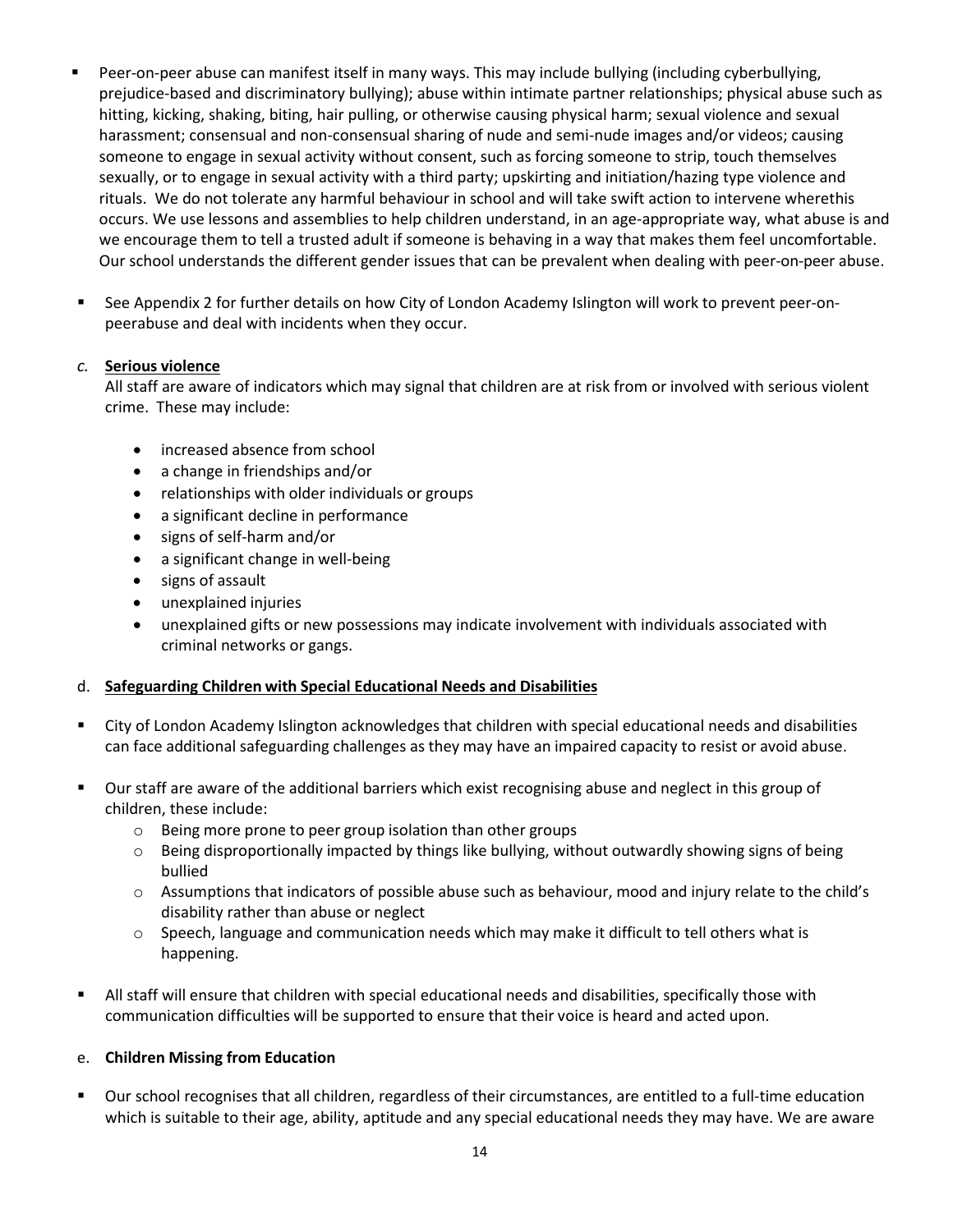- Peer-on-peer abuse can manifest itself in many ways. This may include bullying (including cyberbullying, prejudice-based and discriminatory bullying); abuse within intimate partner relationships; physical abuse such as hitting, kicking, shaking, biting, hair pulling, or otherwise causing physical harm; sexual violence and sexual harassment; consensual and non-consensual sharing of nude and semi-nude images and/or videos; causing someone to engage in sexual activity without consent, such as forcing someone to strip, touch themselves sexually, or to engage in sexual activity with a third party; upskirting and initiation/hazing type violence and rituals. We do not tolerate any harmful behaviour in school and will take swift action to intervene wherethis occurs. We use lessons and assemblies to help children understand, in an age-appropriate way, what abuse is and we encourage them to tell a trusted adult if someone is behaving in a way that makes them feel uncomfortable. Our school understands the different gender issues that can be prevalent when dealing with peer-on-peer abuse.
- See Appendix 2 for further details on how City of London Academy Islington will work to prevent peer-onpeerabuse and deal with incidents when they occur.

#### <span id="page-13-0"></span>*c.* **Serious violence**

All staff are aware of indicators which may signal that children are at risk from or involved with serious violent crime. These may include:

- increased absence from school
- a change in friendships and/or
- relationships with older individuals or groups
- a significant decline in performance
- signs of self-harm and/or
- a significant change in well-being
- signs of assault
- unexplained injuries
- unexplained gifts or new possessions may indicate involvement with individuals associated with criminal networks or gangs.

#### <span id="page-13-1"></span>d. **Safeguarding Children with Special Educational Needs and Disabilities**

- City of London Academy Islington acknowledges that children with special educational needs and disabilities can face additional safeguarding challenges as they may have an impaired capacity to resist or avoid abuse.
- Our staff are aware of the additional barriers which exist recognising abuse and neglect in this group of children, these include:
	- o Being more prone to peer group isolation than other groups
	- o Being disproportionally impacted by things like bullying, without outwardly showing signs of being bullied
	- o Assumptions that indicators of possible abuse such as behaviour, mood and injury relate to the child's disability rather than abuse or neglect
	- $\circ$  Speech, language and communication needs which may make it difficult to tell others what is happening.
- All staff will ensure that children with special educational needs and disabilities, specifically those with communication difficulties will be supported to ensure that their voice is heard and acted upon.

#### <span id="page-13-2"></span>e. **Children Missing from Education**

 Our school recognises that all children, regardless of their circumstances, are entitled to a full-time education which is suitable to their age, ability, aptitude and any special educational needs they may have. We are aware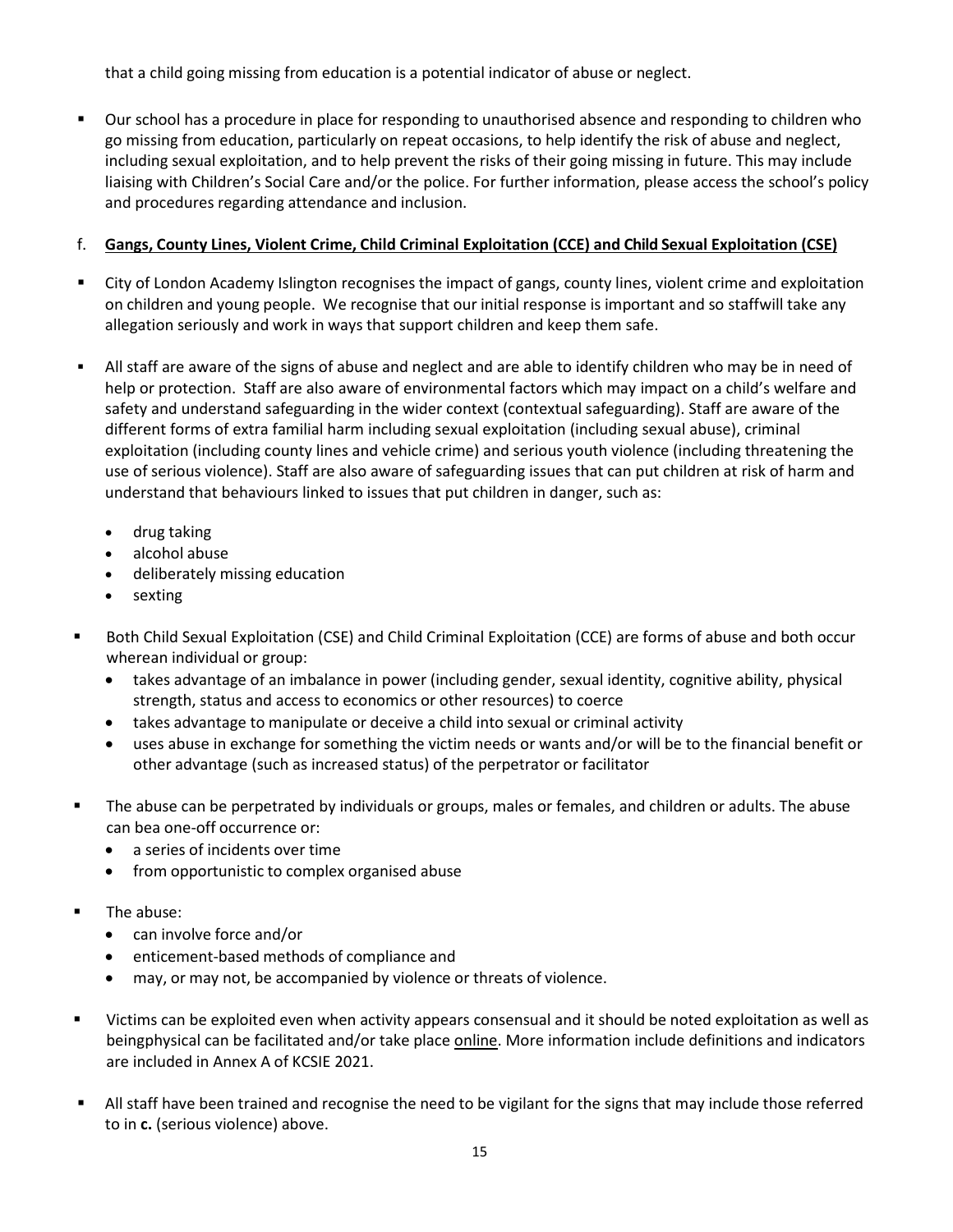that a child going missing from education is a potential indicator of abuse or neglect.

 Our school has a procedure in place for responding to unauthorised absence and responding to children who go missing from education, particularly on repeat occasions, to help identify the risk of abuse and neglect, including sexual exploitation, and to help prevent the risks of their going missing in future. This may include liaising with Children's Social Care and/or the police. For further information, please access the school's policy and procedures regarding attendance and inclusion.

#### <span id="page-14-0"></span>f. **Gangs, County Lines, Violent Crime, Child Criminal Exploitation (CCE) and Child Sexual Exploitation (CSE)**

- City of London Academy Islington recognises the impact of gangs, county lines, violent crime and exploitation on children and young people. We recognise that our initial response is important and so staffwill take any allegation seriously and work in ways that support children and keep them safe.
- All staff are aware of the signs of abuse and neglect and are able to identify children who may be in need of help or protection. Staff are also aware of environmental factors which may impact on a child's welfare and safety and understand safeguarding in the wider context (contextual safeguarding). Staff are aware of the different forms of extra familial harm including sexual exploitation (including sexual abuse), criminal exploitation (including county lines and vehicle crime) and serious youth violence (including threatening the use of serious violence). Staff are also aware of safeguarding issues that can put children at risk of harm and understand that behaviours linked to issues that put children in danger, such as:
	- drug taking
	- alcohol abuse
	- deliberately missing education
	- sexting
- Both Child Sexual Exploitation (CSE) and Child Criminal Exploitation (CCE) are forms of abuse and both occur wherean individual or group:
	- takes advantage of an imbalance in power (including gender, sexual identity, cognitive ability, physical strength, status and access to economics or other resources) to coerce
	- takes advantage to manipulate or deceive a child into sexual or criminal activity
	- uses abuse in exchange for something the victim needs or wants and/or will be to the financial benefit or other advantage (such as increased status) of the perpetrator or facilitator
- The abuse can be perpetrated by individuals or groups, males or females, and children or adults. The abuse can bea one-off occurrence or:
	- a series of incidents over time
	- from opportunistic to complex organised abuse
- The abuse:
	- can involve force and/or
	- enticement-based methods of compliance and
	- may, or may not, be accompanied by violence or threats of violence.
- Victims can be exploited even when activity appears consensual and it should be noted exploitation as well as beingphysical can be facilitated and/or take place online. More information include definitions and indicators are included in Annex A of KCSIE 2021.
- All staff have been trained and recognise the need to be vigilant for the signs that may include those referred to in **c.** (serious violence) above.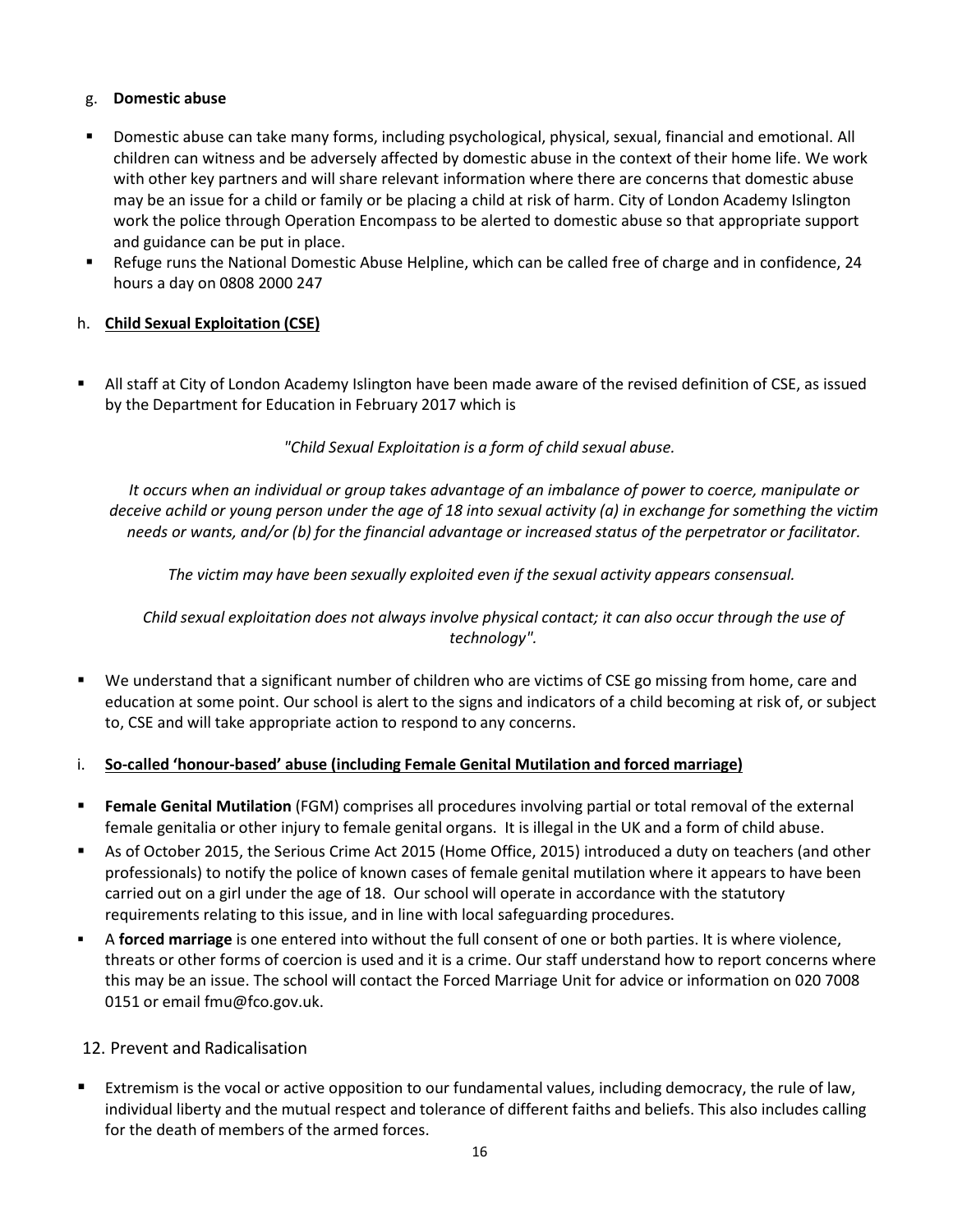#### <span id="page-15-0"></span>g. **Domestic abuse**

- Domestic abuse can take many forms, including psychological, physical, sexual, financial and emotional. All children can witness and be adversely affected by domestic abuse in the context of their home life. We work with other key partners and will share relevant information where there are concerns that domestic abuse may be an issue for a child or family or be placing a child at risk of harm. City of London Academy Islington work the police through Operation Encompass to be alerted to domestic abuse so that appropriate support and guidance can be put in place.
- Refuge runs the National Domestic Abuse Helpline, which can be called free of charge and in confidence, 24 hours a day on 0808 2000 247

## <span id="page-15-1"></span>h. **Child Sexual Exploitation (CSE)**

 All staff at City of London Academy Islington have been made aware of the revised definition of CSE, as issued by the Department for Education in February 2017 which is

*"Child Sexual Exploitation is a form of child sexual abuse.*

*It occurs when an individual or group takes advantage of an imbalance of power to coerce, manipulate or deceive achild or young person under the age of 18 into sexual activity (a) in exchange for something the victim needs or wants, and/or (b) for the financial advantage or increased status of the perpetrator or facilitator.*

*The victim may have been sexually exploited even if the sexual activity appears consensual.*

*Child sexual exploitation does not always involve physical contact; it can also occur through the use of technology".*

 We understand that a significant number of children who are victims of CSE go missing from home, care and education at some point. Our school is alert to the signs and indicators of a child becoming at risk of, or subject to, CSE and will take appropriate action to respond to any concerns.

#### <span id="page-15-2"></span>i. **So-called 'honour-based' abuse (including Female Genital Mutilation and forced marriage)**

- **Female Genital Mutilation** (FGM) comprises all procedures involving partial or total removal of the external female genitalia or other injury to female genital organs. It is illegal in the UK and a form of child abuse.
- As of October 2015, the Serious Crime Act 2015 (Home Office, 2015) introduced a duty on teachers (and other professionals) to notify the police of known cases of female genital mutilation where it appears to have been carried out on a girl under the age of 18. Our school will operate in accordance with the statutory requirements relating to this issue, and in line with local safeguarding procedures.
- A **forced marriage** is one entered into without the full consent of one or both parties. It is where violence, threats or other forms of coercion is used and it is a crime. Our staff understand how to report concerns where this may be an issue. The school will contact the Forced Marriage Unit for advice or information on 020 7008 0151 or email [fmu@fco.gov.uk.](mailto:fmu@fco.gov.uk)

#### <span id="page-15-3"></span>12. Prevent and Radicalisation

 Extremism is the vocal or active opposition to our fundamental values, including democracy, the rule of law, individual liberty and the mutual respect and tolerance of different faiths and beliefs. This also includes calling for the death of members of the armed forces.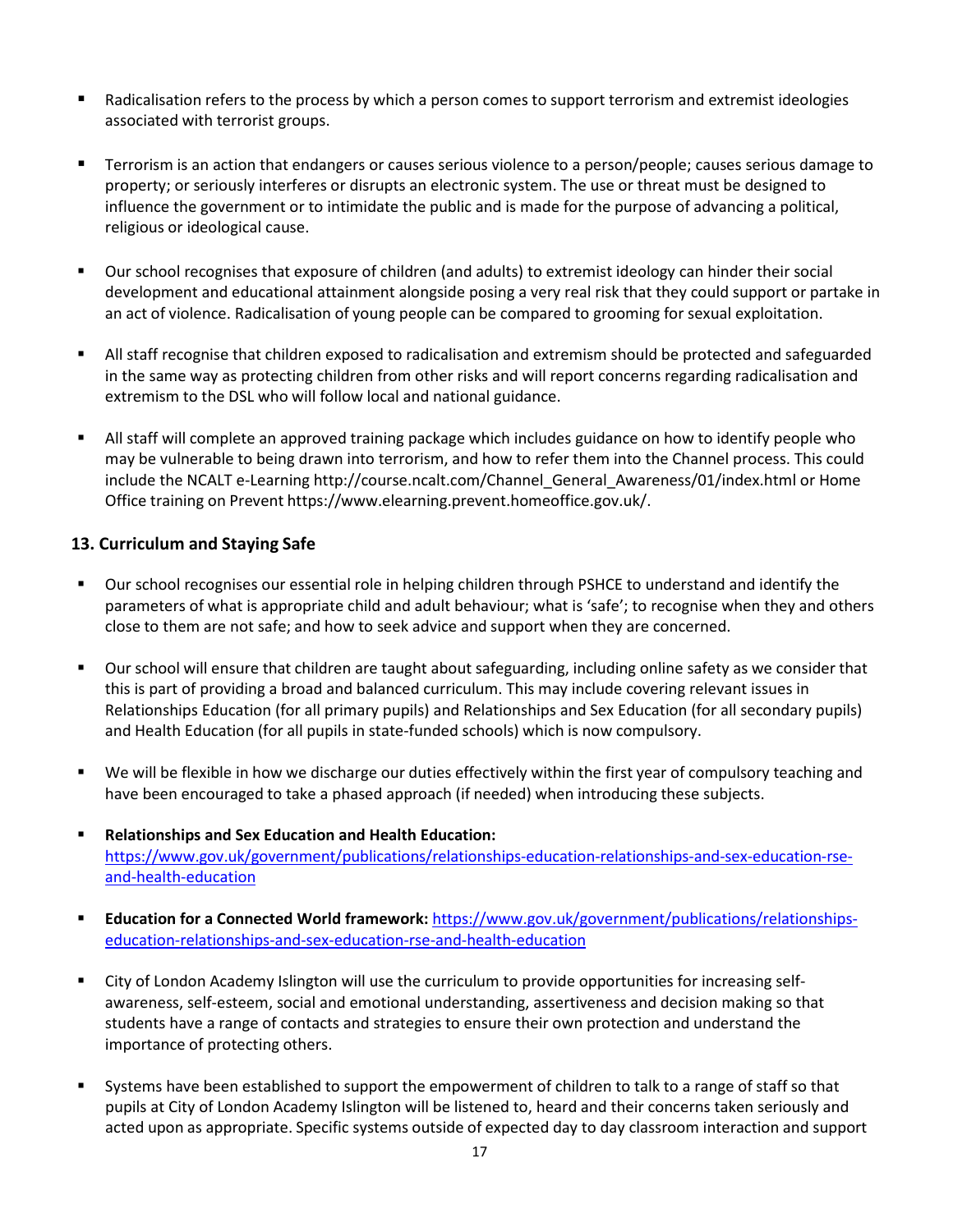- Radicalisation refers to the process by which a person comes to support terrorism and extremist ideologies associated with terrorist groups.
- Terrorism is an action that endangers or causes serious violence to a person/people; causes serious damage to property; or seriously interferes or disrupts an electronic system. The use or threat must be designed to influence the government or to intimidate the public and is made for the purpose of advancing a political, religious or ideological cause.
- Our school recognises that exposure of children (and adults) to extremist ideology can hinder their social development and educational attainment alongside posing a very real risk that they could support or partake in an act of violence. Radicalisation of young people can be compared to grooming for sexual exploitation.
- All staff recognise that children exposed to radicalisation and extremism should be protected and safeguarded in the same way as protecting children from other risks and will report concerns regarding radicalisation and extremism to the DSL who will follow local and national guidance.
- All staff will complete an approved training package which includes guidance on how to identify people who may be vulnerable to being drawn into terrorism, and how to refer them into the Channel process. This could include the NCALT e-Learning http://course.ncalt.com/Channel General Awareness/01/index.html or Home Office training on Prevent https:/[/www.elearning.prevent.homeoffice.gov.uk/.](http://www.elearning.prevent.homeoffice.gov.uk/)

#### <span id="page-16-0"></span>**13. Curriculum and Staying Safe**

- Our school recognises our essential role in helping children through PSHCE to understand and identify the parameters of what is appropriate child and adult behaviour; what is 'safe'; to recognise when they and others close to them are not safe; and how to seek advice and support when they are concerned.
- Our school will ensure that children are taught about safeguarding, including online safety as we consider that this is part of providing a broad and balanced curriculum. This may include covering relevant issues in Relationships Education (for all primary pupils) and Relationships and Sex Education (for all secondary pupils) and Health Education (for all pupils in state-funded schools) which is now compulsory.
- We will be flexible in how we discharge our duties effectively within the first year of compulsory teaching and have been encouraged to take a phased approach (if needed) when introducing these subjects.
- **Relationships and Sex Education and Health Education:** [https://www.gov.uk/government/publications/relationships-education-relationships-and-sex-education-rse](https://www.gov.uk/government/publications/relationships-education-relationships-and-sex-education-rse-and-health-education)[and-health-education](https://www.gov.uk/government/publications/relationships-education-relationships-and-sex-education-rse-and-health-education)
- **Education for a Connected World framework:** [https://www.gov.uk/government/publications/relationships](https://www.gov.uk/government/publications/relationships-education-relationships-and-sex-education-rse-and-health-education)[education-relationships-and-sex-education-rse-and-health-education](https://www.gov.uk/government/publications/relationships-education-relationships-and-sex-education-rse-and-health-education)
- City of London Academy Islington will use the curriculum to provide opportunities for increasing selfawareness, self-esteem, social and emotional understanding, assertiveness and decision making so that students have a range of contacts and strategies to ensure their own protection and understand the importance of protecting others.
- Systems have been established to support the empowerment of children to talk to a range of staff so that pupils at City of London Academy Islington will be listened to, heard and their concerns taken seriously and acted upon as appropriate. Specific systems outside of expected day to day classroom interaction and support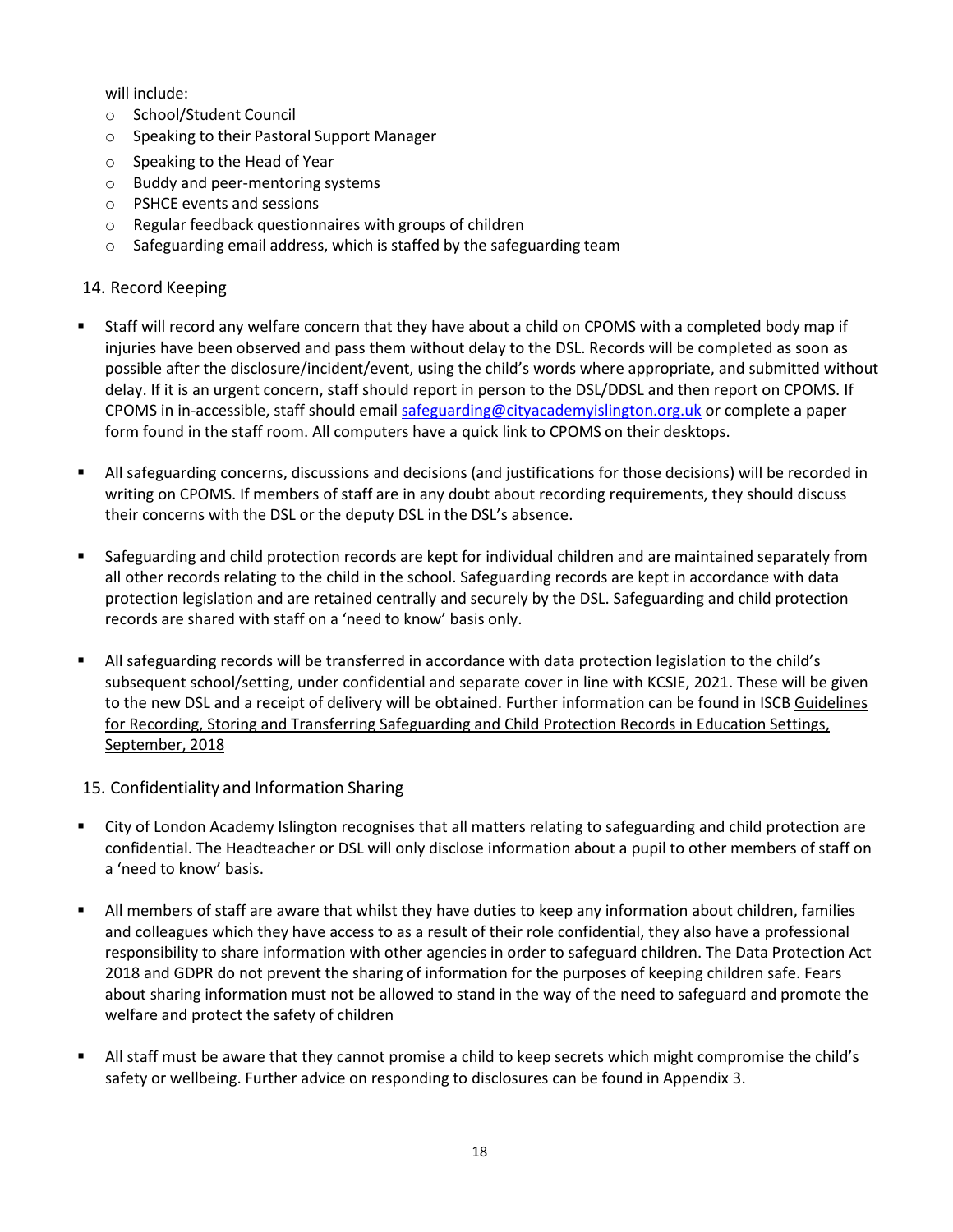will include:

- o School/Student Council
- o Speaking to their Pastoral Support Manager
- o Speaking to the Head of Year
- o Buddy and peer-mentoring systems
- o PSHCE events and sessions
- o Regular feedback questionnaires with groups of children
- o Safeguarding email address, which is staffed by the safeguarding team

#### <span id="page-17-0"></span>14. Record Keeping

- Staff will record any welfare concern that they have about a child on CPOMS with a completed body map if injuries have been observed and pass them without delay to the DSL. Records will be completed as soon as possible after the disclosure/incident/event, using the child's words where appropriate, and submitted without delay. If it is an urgent concern, staff should report in person to the DSL/DDSL and then report on CPOMS. If CPOMS in in-accessible, staff should email [safeguarding@cityacademyislington.org.uk](mailto:safeguarding@cityacademyislington.org.uk) or complete a paper form found in the staff room. All computers have a quick link to CPOMS on their desktops.
- All safeguarding concerns, discussions and decisions (and justifications for those decisions) will be recorded in writing on CPOMS. If members of staff are in any doubt about recording requirements, they should discuss their concerns with the DSL or the deputy DSL in the DSL's absence.
- Safeguarding and child protection records are kept for individual children and are maintained separately from all other records relating to the child in the school. Safeguarding records are kept in accordance with data protection legislation and are retained centrally and securely by the DSL. Safeguarding and child protection records are shared with staff on a 'need to know' basis only.
- All safeguarding records will be transferred in accordance with data protection legislation to the child's subsequent school/setting, under confidential and separate cover in line with KCSIE, 2021. These will be given to the new DSL and a receipt of delivery will be obtained. Further information can be found in ISCB Guidelines for Recording, Storing and Transferring Safeguarding and Child Protection Records in Education Settings, September, 2018

#### <span id="page-17-1"></span>15. Confidentiality and Information Sharing

- City of London Academy Islington recognises that all matters relating to safeguarding and child protection are confidential. The Headteacher or DSL will only disclose information about a pupil to other members of staff on a 'need to know' basis.
- All members of staff are aware that whilst they have duties to keep any information about children, families and colleagues which they have access to as a result of their role confidential, they also have a professional responsibility to share information with other agencies in order to safeguard children. The Data Protection Act 2018 and GDPR do not prevent the sharing of information for the purposes of keeping children safe. Fears about sharing information must not be allowed to stand in the way of the need to safeguard and promote the welfare and protect the safety of children
- All staff must be aware that they cannot promise a child to keep secrets which might compromise the child's safety or wellbeing. Further advice on responding to disclosures can be found in Appendix 3.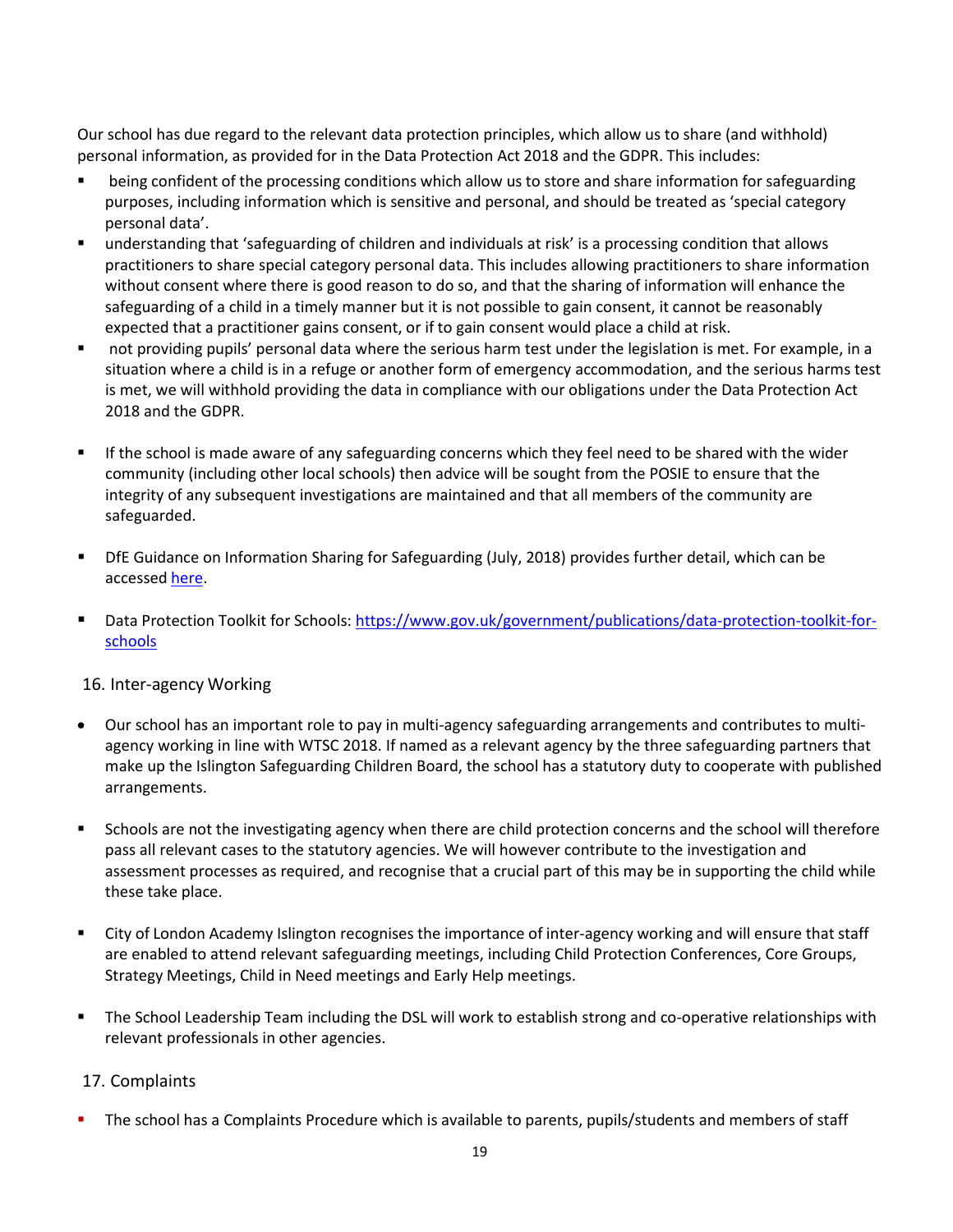Our school has due regard to the relevant data protection principles, which allow us to share (and withhold) personal information, as provided for in the Data Protection Act 2018 and the GDPR. This includes:

- being confident of the processing conditions which allow us to store and share information for safeguarding purposes, including information which is sensitive and personal, and should be treated as 'special category personal data'.
- understanding that 'safeguarding of children and individuals at risk' is a processing condition that allows practitioners to share special category personal data. This includes allowing practitioners to share information without consent where there is good reason to do so, and that the sharing of information will enhance the safeguarding of a child in a timely manner but it is not possible to gain consent, it cannot be reasonably expected that a practitioner gains consent, or if to gain consent would place a child at risk.
- not providing pupils' personal data where the serious harm test under the legislation is met. For example, in a situation where a child is in a refuge or another form of emergency accommodation, and the serious harms test is met, we will withhold providing the data in compliance with our obligations under the Data Protection Act 2018 and the GDPR.
- If the school is made aware of any safeguarding concerns which they feel need to be shared with the wider community (including other local schools) then advice will be sought from the POSIE to ensure that the integrity of any subsequent investigations are maintained and that all members of the community are safeguarded.
- DfE Guidance on Information Sharing for Safeguarding (July, 2018) provides further detail, which can be accessed [here.](https://www.gov.uk/government/publications/safeguarding-practitioners-information-sharing-advice)
- Data Protection Toolkit for Schools: [https://www.gov.uk/government/publications/data-protection-toolkit-for](https://www.gov.uk/government/publications/data-protection-toolkit-for-schools)[schools](https://www.gov.uk/government/publications/data-protection-toolkit-for-schools)

#### <span id="page-18-0"></span>16. Inter-agency Working

- Our school has an important role to pay in multi-agency safeguarding arrangements and contributes to multiagency working in line with WTSC 2018. If named as a relevant agency by the three safeguarding partners that make up the Islington Safeguarding Children Board, the school has a statutory duty to cooperate with published arrangements.
- **Schools are not the investigating agency when there are child protection concerns and the school will therefore** pass all relevant cases to the statutory agencies. We will however contribute to the investigation and assessment processes as required, and recognise that a crucial part of this may be in supporting the child while these take place.
- City of London Academy Islington recognises the importance of inter-agency working and will ensure that staff are enabled to attend relevant safeguarding meetings, including Child Protection Conferences, Core Groups, Strategy Meetings, Child in Need meetings and Early Help meetings.
- The School Leadership Team including the DSL will work to establish strong and co-operative relationships with relevant professionals in other agencies.

#### <span id="page-18-1"></span>17. Complaints

The school has a Complaints Procedure which is available to parents, pupils/students and members of staff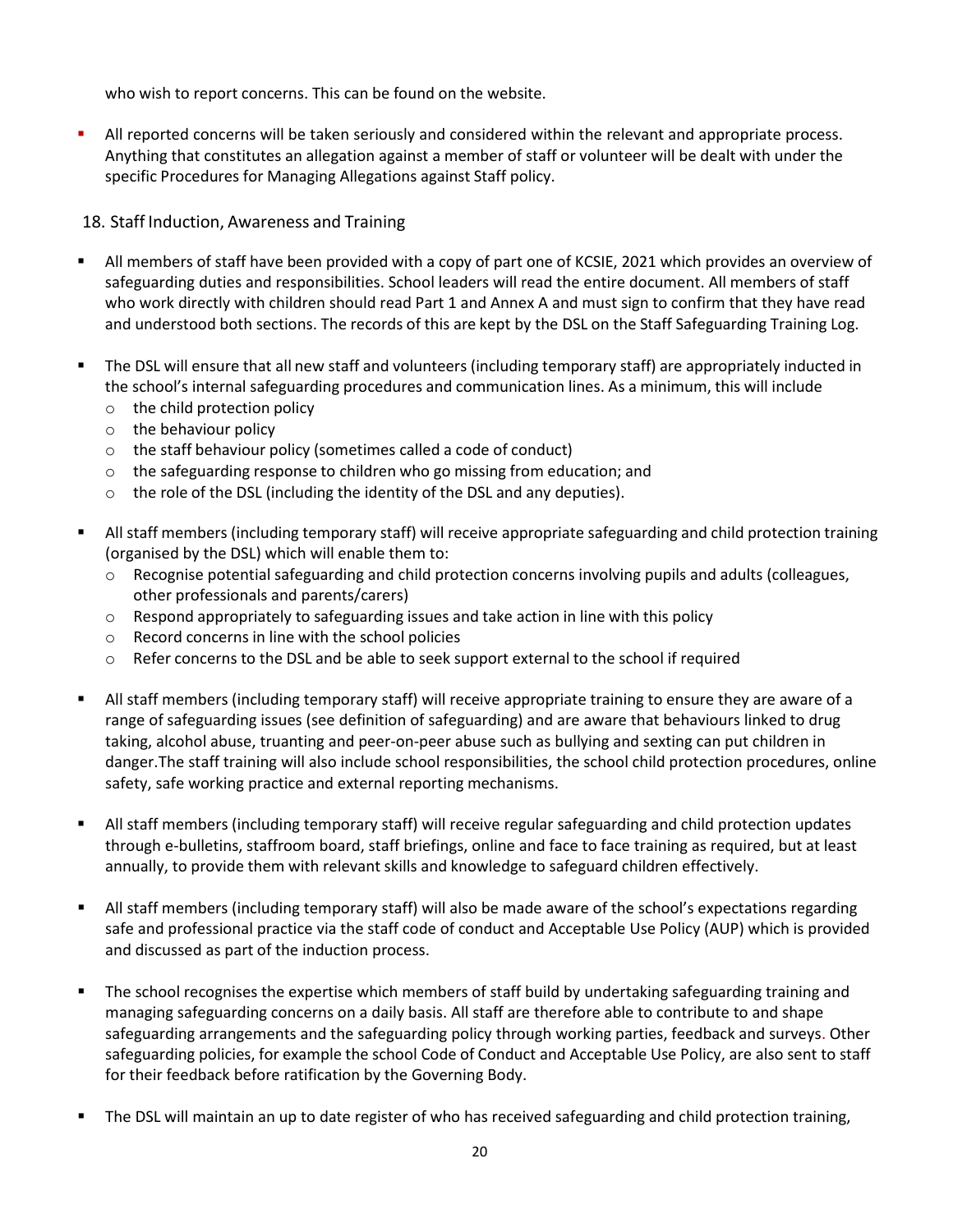who wish to report concerns. This can be found on the website.

 All reported concerns will be taken seriously and considered within the relevant and appropriate process. Anything that constitutes an allegation against a member of staff or volunteer will be dealt with under the specific Procedures for Managing Allegations against Staff policy.

### <span id="page-19-0"></span>18. Staff Induction, Awareness and Training

- All members of staff have been provided with a copy of part one of KCSIE, 2021 which provides an overview of safeguarding duties and responsibilities. School leaders will read the entire document. All members of staff who work directly with children should read Part 1 and Annex A and must sign to confirm that they have read and understood both sections. The records of this are kept by the DSL on the Staff Safeguarding Training Log.
- The DSL will ensure that all new staff and volunteers (including temporary staff) are appropriately inducted in the school's internal safeguarding procedures and communication lines. As a minimum, this will include
	- o the child protection policy
	- o the behaviour policy
	- $\circ$  the staff behaviour policy (sometimes called a code of conduct)
	- $\circ$  the safeguarding response to children who go missing from education; and
	- $\circ$  the role of the DSL (including the identity of the DSL and any deputies).
- All staff members (including temporary staff) will receive appropriate safeguarding and child protection training (organised by the DSL) which will enable them to:
	- $\circ$  Recognise potential safeguarding and child protection concerns involving pupils and adults (colleagues, other professionals and parents/carers)
	- $\circ$  Respond appropriately to safeguarding issues and take action in line with this policy
	- o Record concerns in line with the school policies
	- $\circ$  Refer concerns to the DSL and be able to seek support external to the school if required
- All staff members (including temporary staff) will receive appropriate training to ensure they are aware of a range of safeguarding issues (see definition of safeguarding) and are aware that behaviours linked to drug taking, alcohol abuse, truanting and peer-on-peer abuse such as bullying and sexting can put children in danger.The staff training will also include school responsibilities, the school child protection procedures, online safety, safe working practice and external reporting mechanisms.
- All staff members (including temporary staff) will receive regular safeguarding and child protection updates through e-bulletins, staffroom board, staff briefings, online and face to face training as required, but at least annually, to provide them with relevant skills and knowledge to safeguard children effectively.
- All staff members (including temporary staff) will also be made aware of the school's expectations regarding safe and professional practice via the staff code of conduct and Acceptable Use Policy (AUP) which is provided and discussed as part of the induction process.
- The school recognises the expertise which members of staff build by undertaking safeguarding training and managing safeguarding concerns on a daily basis. All staff are therefore able to contribute to and shape safeguarding arrangements and the safeguarding policy through working parties, feedback and surveys. Other safeguarding policies, for example the school Code of Conduct and Acceptable Use Policy, are also sent to staff for their feedback before ratification by the Governing Body.
- The DSL will maintain an up to date register of who has received safeguarding and child protection training,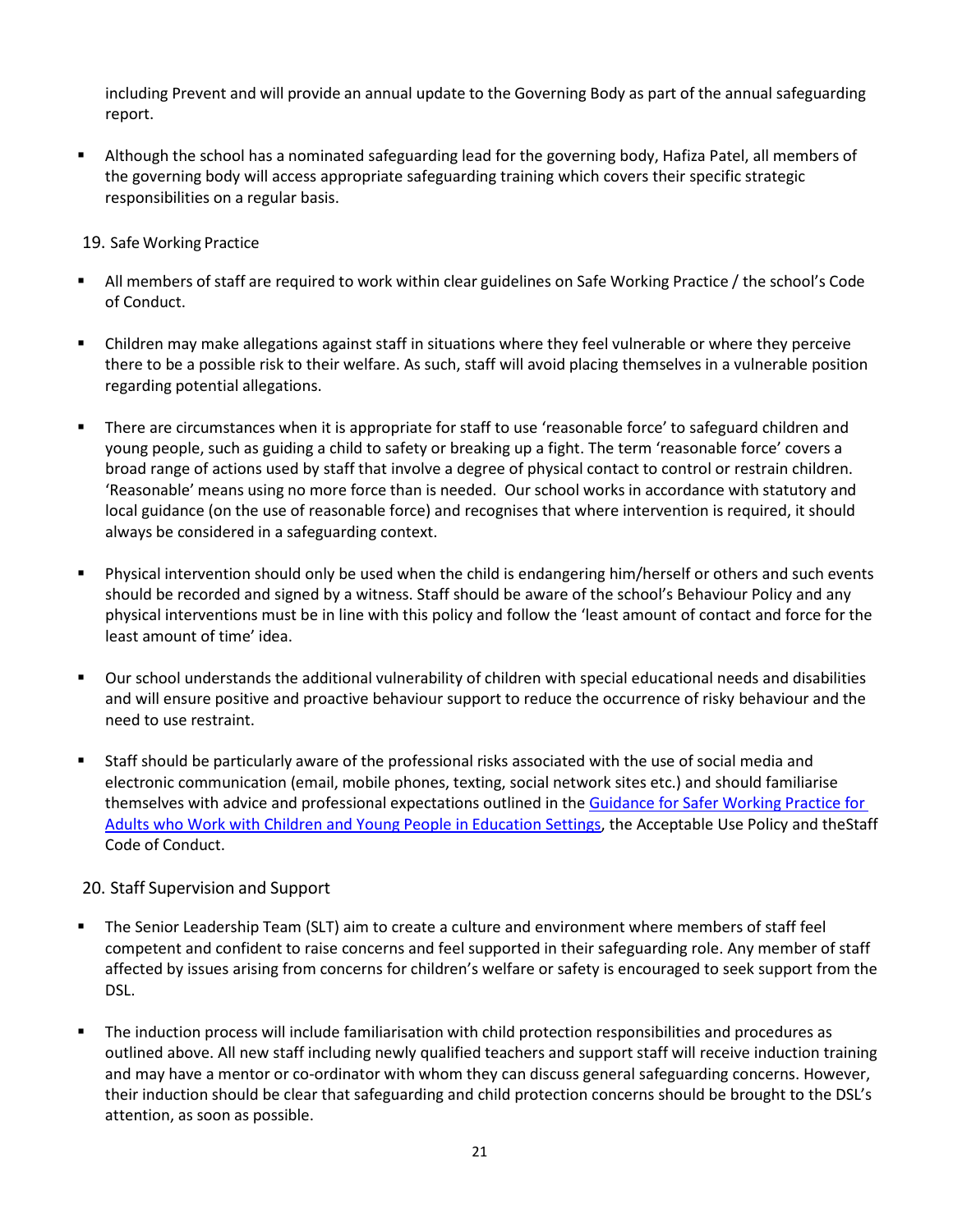including Prevent and will provide an annual update to the Governing Body as part of the annual safeguarding report.

 Although the school has a nominated safeguarding lead for the governing body, Hafiza Patel, all members of the governing body will access appropriate safeguarding training which covers their specific strategic responsibilities on a regular basis.

#### <span id="page-20-0"></span>19. Safe Working Practice

- All members of staff are required to work within clear guidelines on Safe Working Practice / the school's Code of Conduct.
- Children may make allegations against staff in situations where they feel vulnerable or where they perceive there to be a possible risk to their welfare. As such, staff will avoid placing themselves in a vulnerable position regarding potential allegations.
- There are circumstances when it is appropriate for staff to use 'reasonable force' to safeguard children and young people, such as guiding a child to safety or breaking up a fight. The term 'reasonable force' covers a broad range of actions used by staff that involve a degree of physical contact to control or restrain children. 'Reasonable' means using no more force than is needed. Our school works in accordance with statutory and local guidance (on the use of reasonable force) and recognises that where intervention is required, it should always be considered in a safeguarding context.
- Physical intervention should only be used when the child is endangering him/herself or others and such events should be recorded and signed by a witness. Staff should be aware of the school's Behaviour Policy and any physical interventions must be in line with this policy and follow the 'least amount of contact and force for the least amount of time' idea.
- Our school understands the additional vulnerability of children with special educational needs and disabilities and will ensure positive and proactive behaviour support to reduce the occurrence of risky behaviour and the need to use restraint.
- Staff should be particularly aware of the professional risks associated with the use of social media and electronic communication (email, mobile phones, texting, social network sites etc.) and should familiarise themselves with advice and professional expectations outlined in th[e Guidance for Safer Working Practice for](https://uploads.documents.cimpress.io/v1/uploads/13ecce28-e8f2-49e9-83c6-c29337cd8071%7E110/original?tenant=vbu-digital) [Adults who Work with Children and Young People in Education Settings,](https://uploads.documents.cimpress.io/v1/uploads/13ecce28-e8f2-49e9-83c6-c29337cd8071%7E110/original?tenant=vbu-digital) the Acceptable Use Policy and theStaff Code of Conduct.

#### <span id="page-20-1"></span>20. Staff Supervision and Support

- The Senior Leadership Team (SLT) aim to create a culture and environment where members of staff feel competent and confident to raise concerns and feel supported in their safeguarding role. Any member of staff affected by issues arising from concerns for children's welfare or safety is encouraged to seek support from the DSL.
- The induction process will include familiarisation with child protection responsibilities and procedures as outlined above. All new staff including newly qualified teachers and support staff will receive induction training and may have a mentor or co-ordinator with whom they can discuss general safeguarding concerns. However, their induction should be clear that safeguarding and child protection concerns should be brought to the DSL's attention, as soon as possible.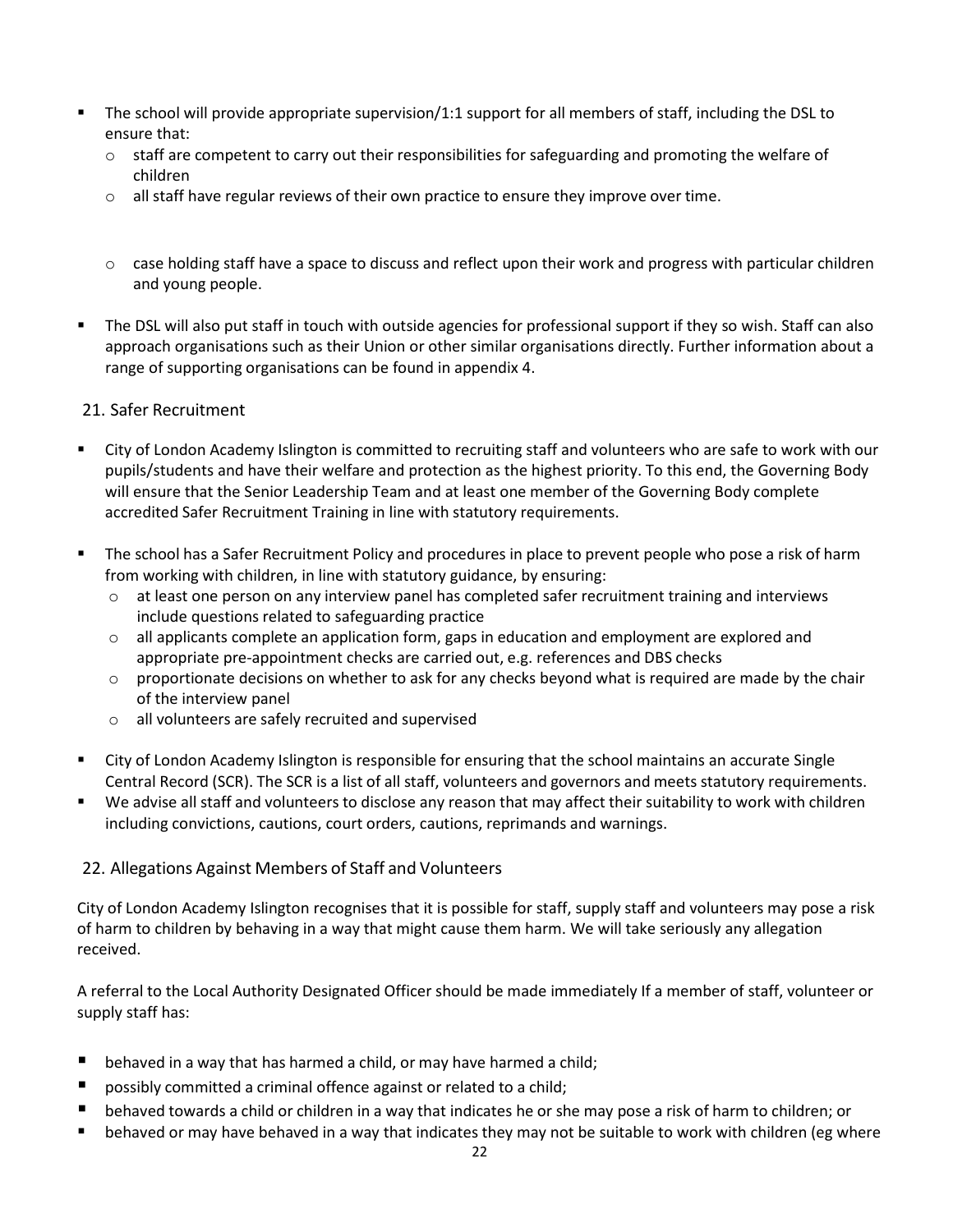- The school will provide appropriate supervision/1:1 support for all members of staff, including the DSL to ensure that:
	- $\circ$  staff are competent to carry out their responsibilities for safeguarding and promoting the welfare of children
	- $\circ$  all staff have regular reviews of their own practice to ensure they improve over time.
	- $\circ$  case holding staff have a space to discuss and reflect upon their work and progress with particular children and young people.
- The DSL will also put staff in touch with outside agencies for professional support if they so wish. Staff can also approach organisations such as their Union or other similar organisations directly. Further information about a range of supporting organisations can be found in appendix 4.

#### <span id="page-21-0"></span>21. Safer Recruitment

- City of London Academy Islington is committed to recruiting staff and volunteers who are safe to work with our pupils/students and have their welfare and protection as the highest priority. To this end, the Governing Body will ensure that the Senior Leadership Team and at least one member of the Governing Body complete accredited Safer Recruitment Training in line with statutory requirements.
- **The school has a Safer Recruitment Policy and procedures in place to prevent people who pose a risk of harm** from working with children, in line with statutory guidance, by ensuring:
	- o at least one person on any interview panel has completed safer recruitment training and interviews include questions related to safeguarding practice
	- o all applicants complete an application form, gaps in education and employment are explored and appropriate pre-appointment checks are carried out, e.g. references and DBS checks
	- $\circ$  proportionate decisions on whether to ask for any checks beyond what is required are made by the chair of the interview panel
	- o all volunteers are safely recruited and supervised
- City of London Academy Islington is responsible for ensuring that the school maintains an accurate Single Central Record (SCR). The SCR is a list of all staff, volunteers and governors and meets statutory requirements.
- We advise all staff and volunteers to disclose any reason that may affect their suitability to work with children including convictions, cautions, court orders, cautions, reprimands and warnings.

#### <span id="page-21-1"></span>22. Allegations Against Members of Staff and Volunteers

City of London Academy Islington recognises that it is possible for staff, supply staff and volunteers may pose a risk of harm to children by behaving in a way that might cause them harm. We will take seriously any allegation received.

A referral to the Local Authority Designated Officer should be made immediately If a member of staff, volunteer or supply staff has:

- $\blacksquare$  behaved in a way that has harmed a child, or may have harmed a child;
- possibly committed a criminal offence against or related to a child;
- behaved towards a child or children in a way that indicates he or she may pose a risk of harm to children; or
- behaved or may have behaved in a way that indicates they may not be suitable to work with children (eg where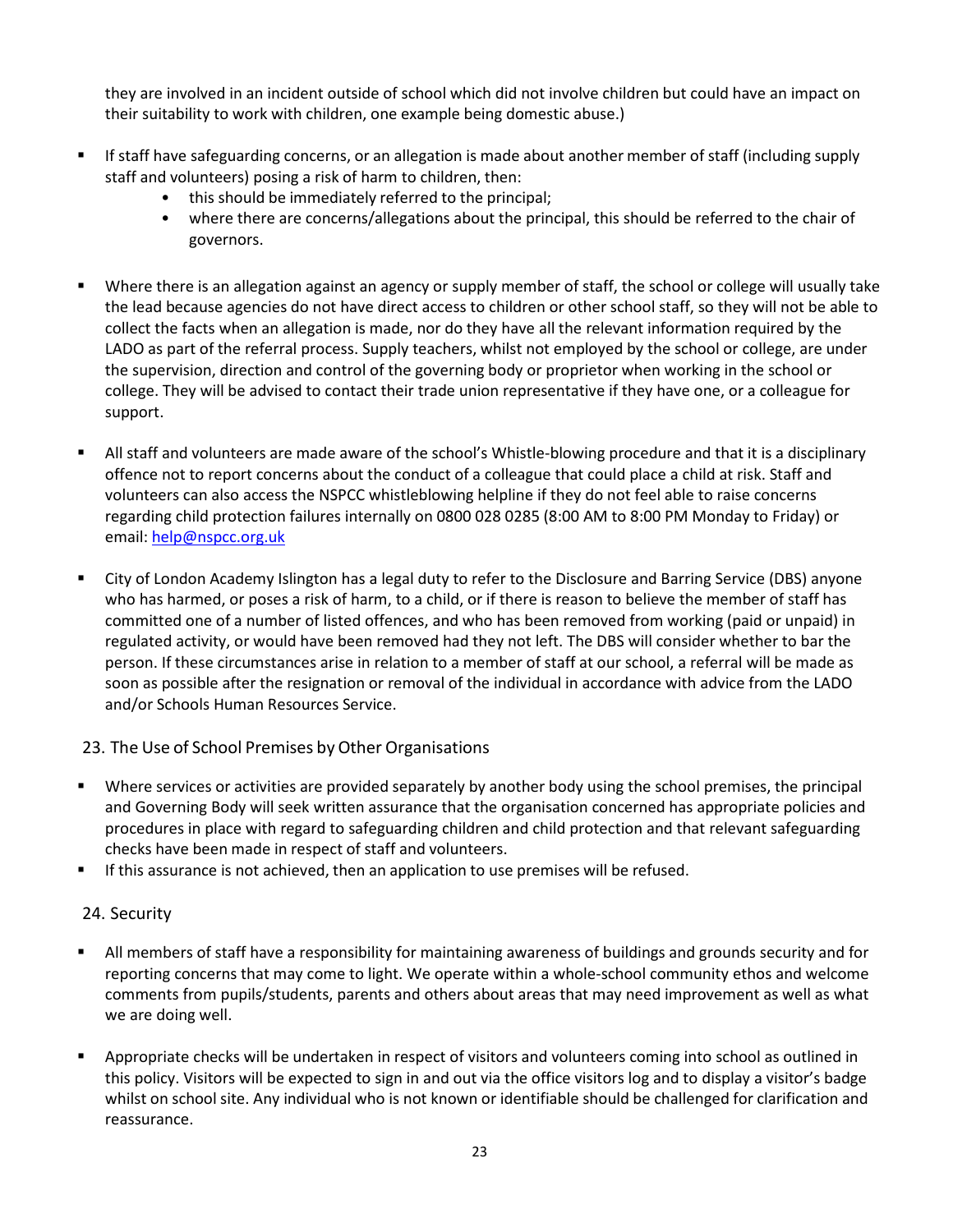they are involved in an incident outside of school which did not involve children but could have an impact on their suitability to work with children, one example being domestic abuse.)

- If staff have safeguarding concerns, or an allegation is made about another member of staff (including supply staff and volunteers) posing a risk of harm to children, then:
	- this should be immediately referred to the principal;
	- where there are concerns/allegations about the principal, this should be referred to the chair of governors.
- Where there is an allegation against an agency or supply member of staff, the school or college will usually take the lead because agencies do not have direct access to children or other school staff, so they will not be able to collect the facts when an allegation is made, nor do they have all the relevant information required by the LADO as part of the referral process. Supply teachers, whilst not employed by the school or college, are under the supervision, direction and control of the governing body or proprietor when working in the school or college. They will be advised to contact their trade union representative if they have one, or a colleague for support.
- All staff and volunteers are made aware of the school's Whistle-blowing procedure and that it is a disciplinary offence not to report concerns about the conduct of a colleague that could place a child at risk. Staff and volunteers can also access the NSPCC whistleblowing helpline if they do not feel able to raise concerns regarding child protection failures internally on 0800 028 0285 (8:00 AM to 8:00 PM Monday to Friday) or email: [help@nspcc.org.uk](mailto:help@nspcc.org.uk)
- City of London Academy Islington has a legal duty to refer to the Disclosure and Barring Service (DBS) anyone who has harmed, or poses a risk of harm, to a child, or if there is reason to believe the member of staff has committed one of a number of listed offences, and who has been removed from working (paid or unpaid) in regulated activity, or would have been removed had they not left. The DBS will consider whether to bar the person. If these circumstances arise in relation to a member of staff at our school, a referral will be made as soon as possible after the resignation or removal of the individual in accordance with advice from the LADO and/or Schools Human Resources Service.

#### <span id="page-22-0"></span>23. The Use of School Premises by Other Organisations

- Where services or activities are provided separately by another body using the school premises, the principal and Governing Body will seek written assurance that the organisation concerned has appropriate policies and procedures in place with regard to safeguarding children and child protection and that relevant safeguarding checks have been made in respect of staff and volunteers.
- **If this assurance is not achieved, then an application to use premises will be refused.**

## <span id="page-22-1"></span>24. Security

- All members of staff have a responsibility for maintaining awareness of buildings and grounds security and for reporting concerns that may come to light. We operate within a whole-school community ethos and welcome comments from pupils/students, parents and others about areas that may need improvement as well as what we are doing well.
- Appropriate checks will be undertaken in respect of visitors and volunteers coming into school as outlined in this policy. Visitors will be expected to sign in and out via the office visitors log and to display a visitor's badge whilst on school site. Any individual who is not known or identifiable should be challenged for clarification and reassurance.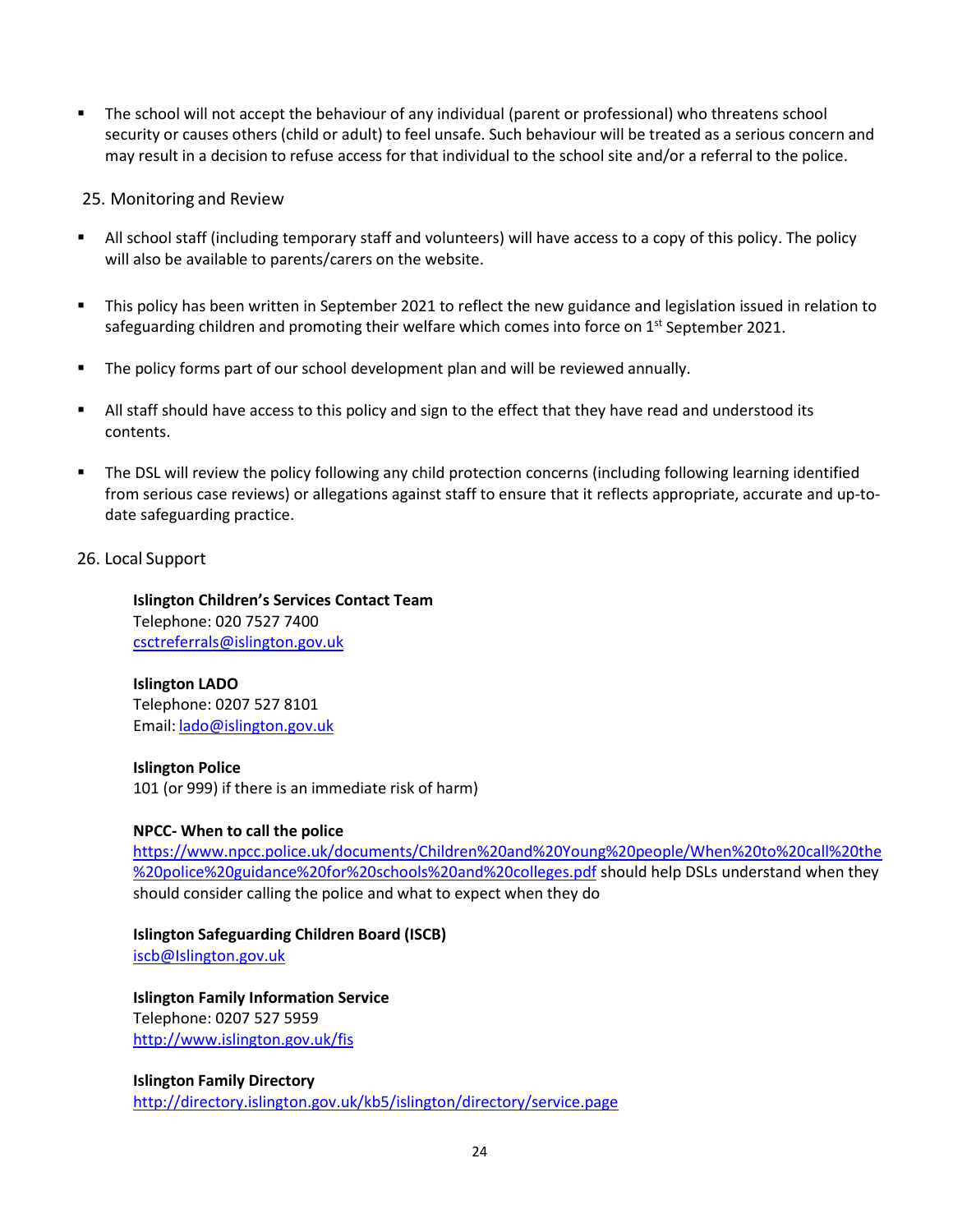The school will not accept the behaviour of any individual (parent or professional) who threatens school security or causes others (child or adult) to feel unsafe. Such behaviour will be treated as a serious concern and may result in a decision to refuse access for that individual to the school site and/or a referral to the police.

#### <span id="page-23-0"></span>25. Monitoring and Review

- All school staff (including temporary staff and volunteers) will have access to a copy of this policy. The policy will also be available to parents/carers on the website.
- This policy has been written in September 2021 to reflect the new guidance and legislation issued in relation to safeguarding children and promoting their welfare which comes into force on  $1^{st}$  September 2021.
- The policy forms part of our school development plan and will be reviewed annually.
- All staff should have access to this policy and sign to the effect that they have read and understood its contents.
- The DSL will review the policy following any child protection concerns (including following learning identified from serious case reviews) or allegations against staff to ensure that it reflects appropriate, accurate and up-todate safeguarding practice.

#### <span id="page-23-1"></span>26. Local Support

**Islington Children's Services Contact Team** Telephone: 020 7527 7400 [csctreferrals@islington.gov.uk](mailto:csctreferrals@islington.gov.uk)

#### **Islington LADO** Telephone: 0207 527 8101 Email: [lado@islington.gov.uk](mailto:lado@islington.gov.uk)

**Islington Police** 101 (or 999) if there is an immediate risk of harm)

#### **NPCC- When to call the police**

[https://www.npcc.police.uk/documents/Children%20and%20Young%20people/When%20to%20call%20the](https://www.npcc.police.uk/documents/Children%20and%20Young%20people/When%20to%20call%20the%20police%20guidance%20for%20schools%20and%20colleges.pdf) [%20police%20guidance%20for%20schools%20and%20colleges.pdf](https://www.npcc.police.uk/documents/Children%20and%20Young%20people/When%20to%20call%20the%20police%20guidance%20for%20schools%20and%20colleges.pdf) should help DSLs understand when they should consider calling the police and what to expect when they do

#### **Islington Safeguarding Children Board (ISCB)**

[iscb@Islington.gov.uk](mailto:iscb@Islington.gov.uk)

#### **Islington Family Information Service** Telephone: 0207 527 5959 <http://www.islington.gov.uk/fis>

**Islington Family Directory** <http://directory.islington.gov.uk/kb5/islington/directory/service.page>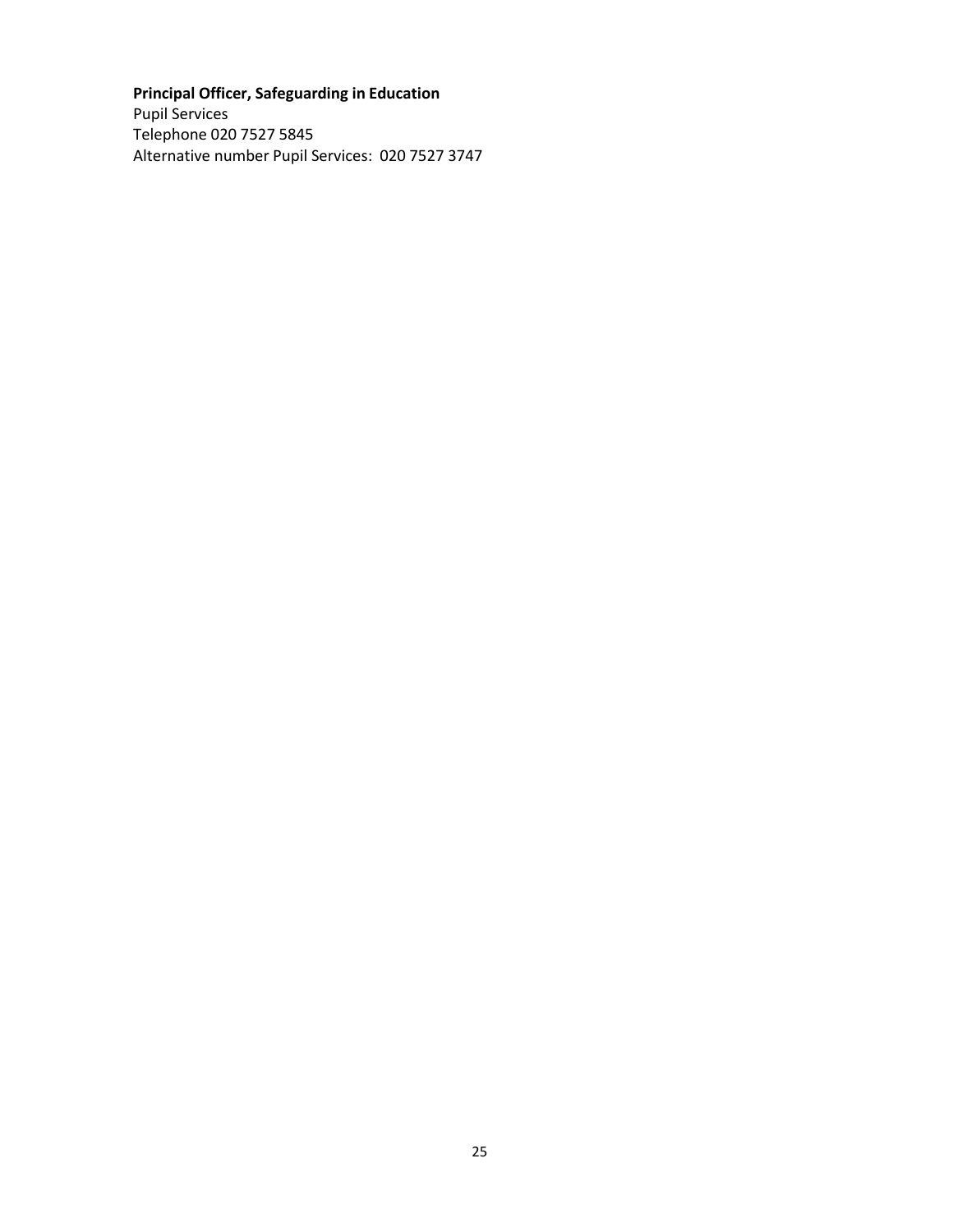## **Principal Officer, Safeguarding in Education**

Pupil Services Telephone 020 7527 5845 Alternative number Pupil Services: 020 7527 3747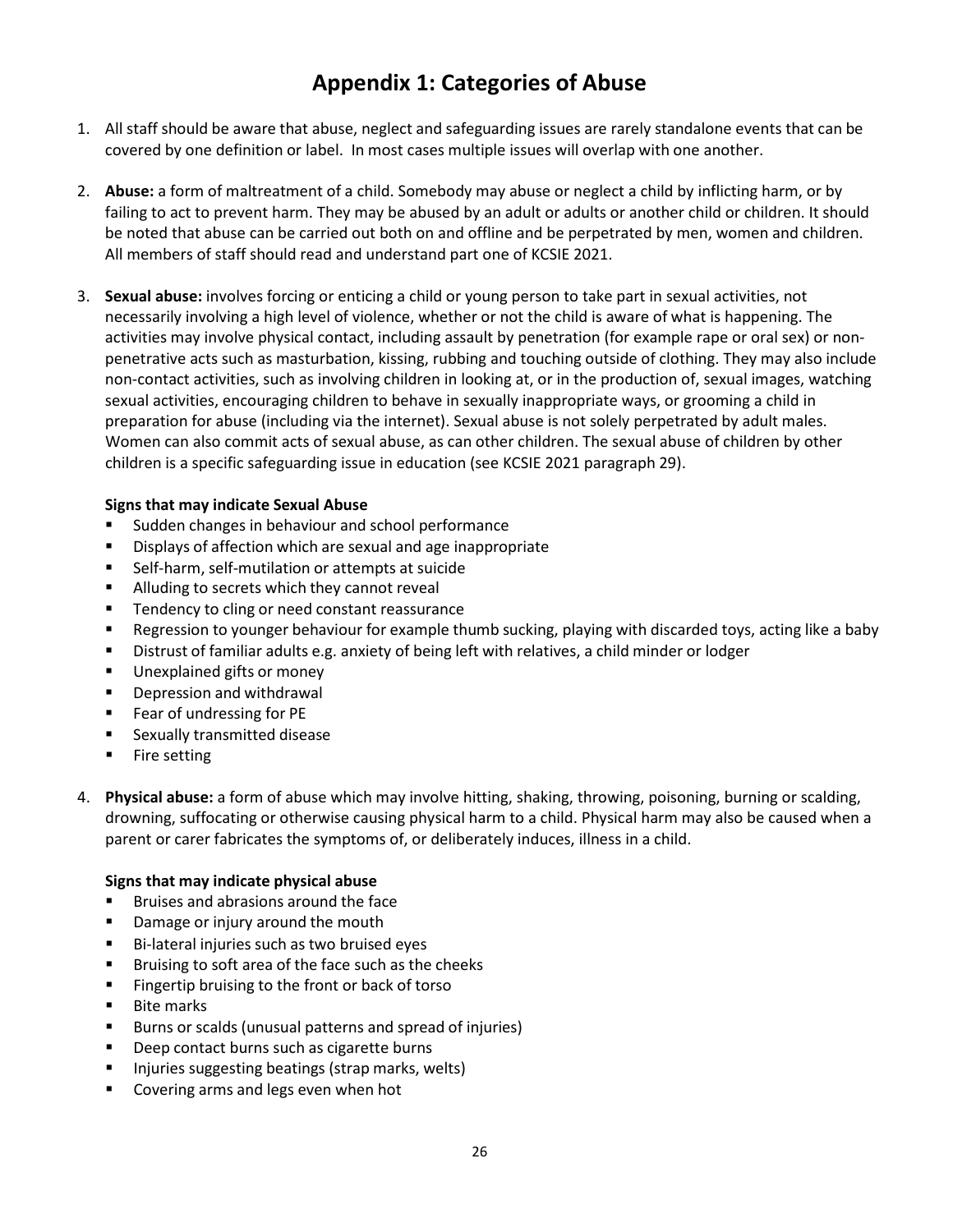# **Appendix 1: Categories of Abuse**

- <span id="page-25-0"></span>1. All staff should be aware that abuse, neglect and safeguarding issues are rarely standalone events that can be covered by one definition or label. In most cases multiple issues will overlap with one another.
- 2. **Abuse:** a form of maltreatment of a child. Somebody may abuse or neglect a child by inflicting harm, or by failing to act to prevent harm. They may be abused by an adult or adults or another child or children. It should be noted that abuse can be carried out both on and offline and be perpetrated by men, women and children. All members of staff should read and understand part one of KCSIE 2021.
- 3. **Sexual abuse:** involves forcing or enticing a child or young person to take part in sexual activities, not necessarily involving a high level of violence, whether or not the child is aware of what is happening. The activities may involve physical contact, including assault by penetration (for example rape or oral sex) or nonpenetrative acts such as masturbation, kissing, rubbing and touching outside of clothing. They may also include non-contact activities, such as involving children in looking at, or in the production of, sexual images, watching sexual activities, encouraging children to behave in sexually inappropriate ways, or grooming a child in preparation for abuse (including via the internet). Sexual abuse is not solely perpetrated by adult males. Women can also commit acts of sexual abuse, as can other children. The sexual abuse of children by other children is a specific safeguarding issue in education (see KCSIE 2021 paragraph 29).

#### **Signs that may indicate Sexual Abuse**

- Sudden changes in behaviour and school performance
- **Displays of affection which are sexual and age inappropriate**
- Self-harm, self-mutilation or attempts at suicide
- **Alluding to secrets which they cannot reveal**
- **Tendency to cling or need constant reassurance**
- Regression to younger behaviour for example thumb sucking, playing with discarded toys, acting like a baby
- Distrust of familiar adults e.g. anxiety of being left with relatives, a child minder or lodger
- **Unexplained gifts or money**
- **•** Depression and withdrawal
- **Fear of undressing for PE**
- **EXALLE Sexually transmitted disease**
- **Fire setting**
- 4. **Physical abuse:** a form of abuse which may involve hitting, shaking, throwing, poisoning, burning or scalding, drowning, suffocating or otherwise causing physical harm to a child. Physical harm may also be caused when a parent or carer fabricates the symptoms of, or deliberately induces, illness in a child.

#### **Signs that may indicate physical abuse**

- Bruises and abrasions around the face
- **•** Damage or injury around the mouth
- Bi-lateral injuries such as two bruised eyes
- **Bruising to soft area of the face such as the cheeks**
- **Fingertip bruising to the front or back of torso**
- Bite marks
- Burns or scalds (unusual patterns and spread of injuries)
- **Deep contact burns such as cigarette burns**
- **Injuries suggesting beatings (strap marks, welts)**
- **EXECOVER 18 IN 2018 2018 12:53 FEE** Covering arms and legs even when hot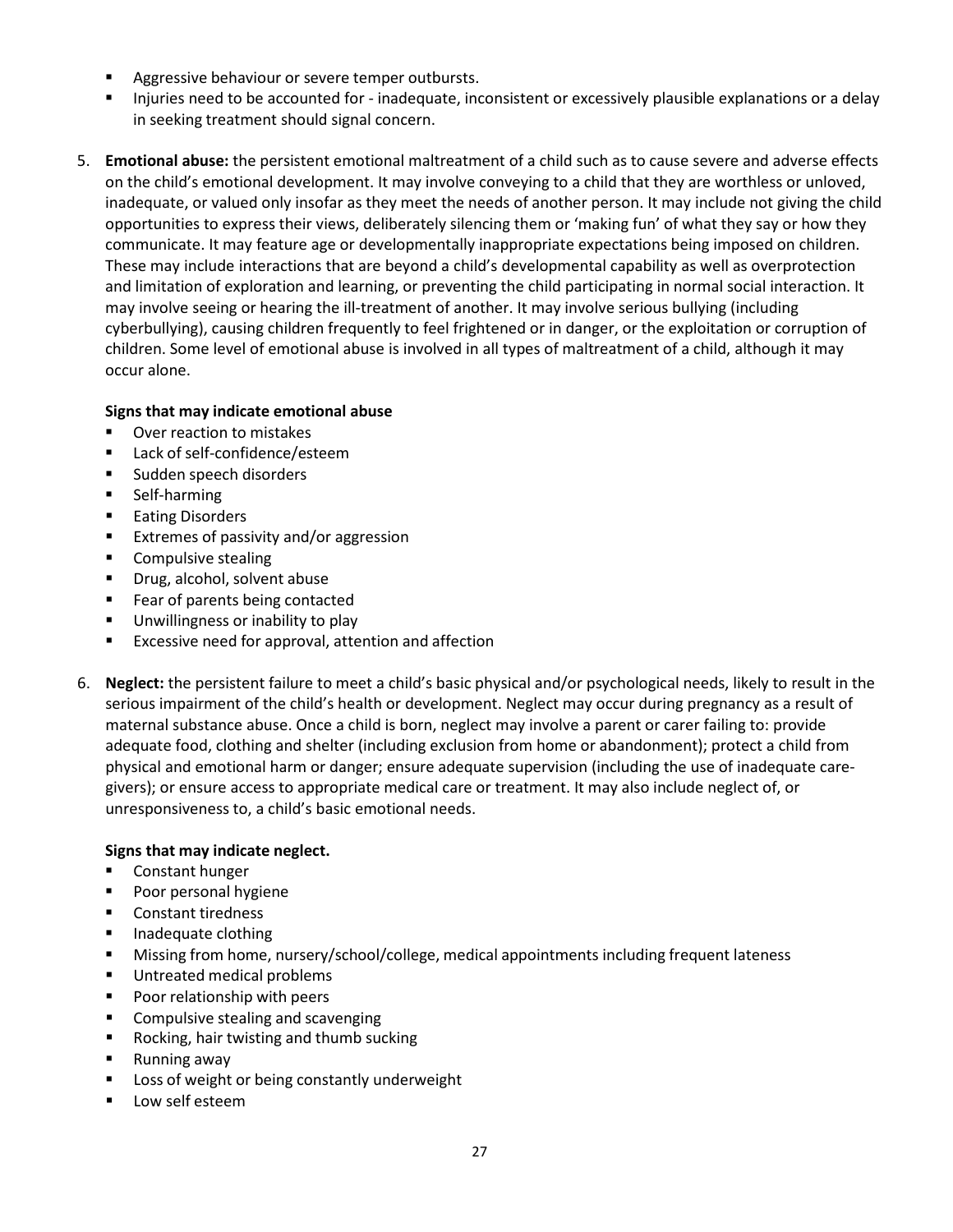- **Aggressive behaviour or severe temper outbursts.**
- Injuries need to be accounted for inadequate, inconsistent or excessively plausible explanations or a delay in seeking treatment should signal concern.
- 5. **Emotional abuse:** the persistent emotional maltreatment of a child such as to cause severe and adverse effects on the child's emotional development. It may involve conveying to a child that they are worthless or unloved, inadequate, or valued only insofar as they meet the needs of another person. It may include not giving the child opportunities to express their views, deliberately silencing them or 'making fun' of what they say or how they communicate. It may feature age or developmentally inappropriate expectations being imposed on children. These may include interactions that are beyond a child's developmental capability as well as overprotection and limitation of exploration and learning, or preventing the child participating in normal social interaction. It may involve seeing or hearing the ill-treatment of another. It may involve serious bullying (including cyberbullying), causing children frequently to feel frightened or in danger, or the exploitation or corruption of children. Some level of emotional abuse is involved in all types of maltreatment of a child, although it may occur alone.

#### **Signs that may indicate emotional abuse**

- Over reaction to mistakes
- Lack of self-confidence/esteem
- **Sudden speech disorders**
- **Self-harming**
- **Eating Disorders**
- **Extremes of passivity and/or aggression**
- **Compulsive stealing**
- **Paragel** Drug, alcohol, solvent abuse
- **Fear of parents being contacted**
- **Unwillingness or inability to play**
- **EXCESSIVE need for approval, attention and affection**
- 6. **Neglect:** the persistent failure to meet a child's basic physical and/or psychological needs, likely to result in the serious impairment of the child's health or development. Neglect may occur during pregnancy as a result of maternal substance abuse. Once a child is born, neglect may involve a parent or carer failing to: provide adequate food, clothing and shelter (including exclusion from home or abandonment); protect a child from physical and emotional harm or danger; ensure adequate supervision (including the use of inadequate caregivers); or ensure access to appropriate medical care or treatment. It may also include neglect of, or unresponsiveness to, a child's basic emotional needs.

#### **Signs that may indicate neglect.**

- **EXECO** Constant hunger
- Poor personal hygiene
- Constant tiredness
- **Inadequate clothing**
- Missing from home, nursery/school/college, medical appointments including frequent lateness
- **Untreated medical problems**
- **Poor relationship with peers**
- **E** Compulsive stealing and scavenging
- Rocking, hair twisting and thumb sucking
- Running away
- **EXEC** Loss of weight or being constantly underweight
- Low self esteem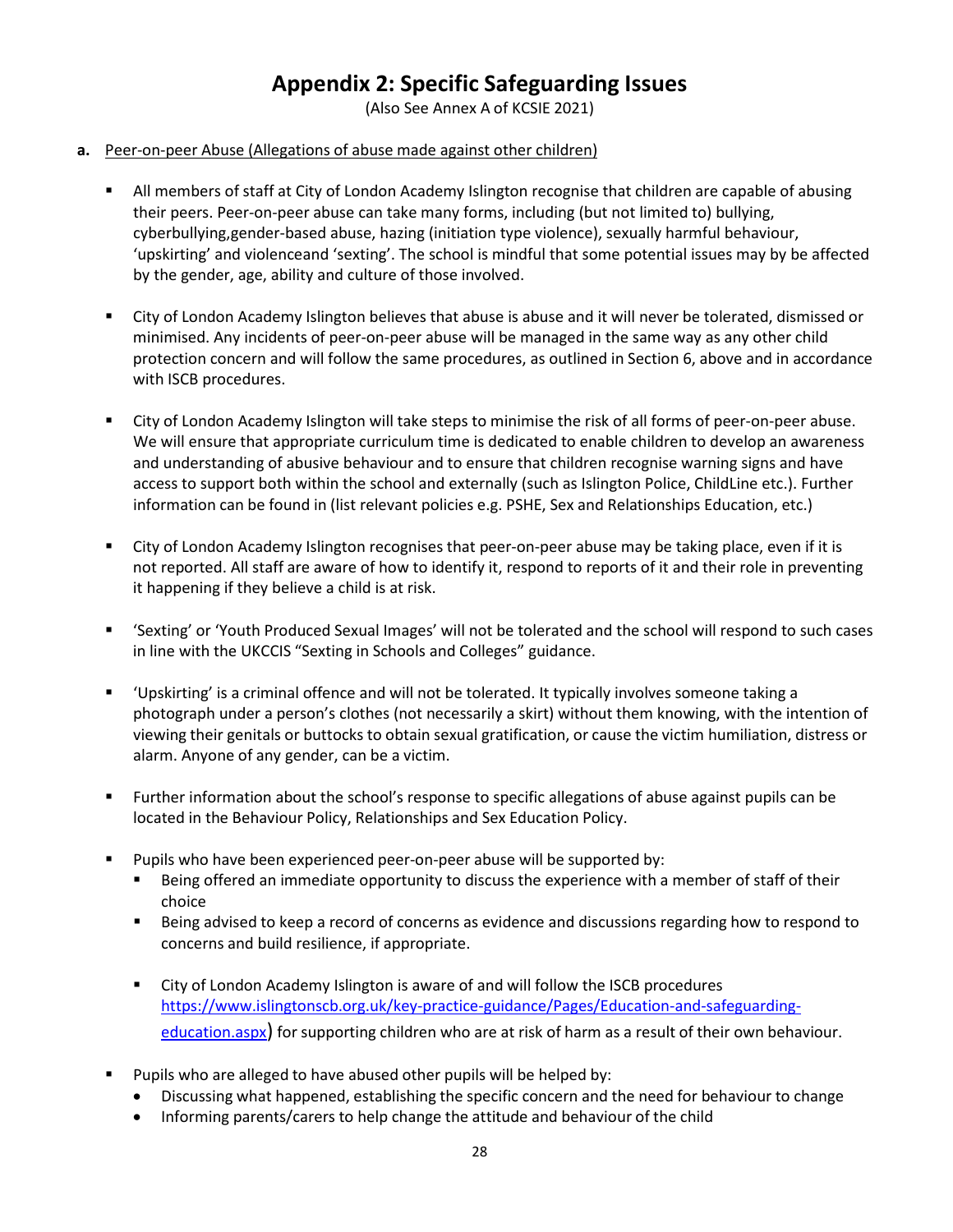## **Appendix 2: Specific Safeguarding Issues**

(Also See Annex A of KCSIE 2021)

#### <span id="page-27-0"></span>**a.** Peer-on-peer Abuse (Allegations of abuse made against other children)

- All members of staff at City of London Academy Islington recognise that children are capable of abusing their peers. Peer-on-peer abuse can take many forms, including (but not limited to) bullying, cyberbullying,gender-based abuse, hazing (initiation type violence), sexually harmful behaviour, 'upskirting' and violenceand 'sexting'. The school is mindful that some potential issues may by be affected by the gender, age, ability and culture of those involved.
- City of London Academy Islington believes that abuse is abuse and it will never be tolerated, dismissed or minimised. Any incidents of peer-on-peer abuse will be managed in the same way as any other child protection concern and will follow the same procedures, as outlined in Section 6, above and in accordance with ISCB procedures.
- City of London Academy Islington will take steps to minimise the risk of all forms of peer-on-peer abuse. We will ensure that appropriate curriculum time is dedicated to enable children to develop an awareness and understanding of abusive behaviour and to ensure that children recognise warning signs and have access to support both within the school and externally (such as Islington Police, ChildLine etc.). Further information can be found in (list relevant policies e.g. PSHE, Sex and Relationships Education, etc.)
- City of London Academy Islington recognises that peer-on-peer abuse may be taking place, even if it is not reported. All staff are aware of how to identify it, respond to reports of it and their role in preventing it happening if they believe a child is at risk.
- 'Sexting' or 'Youth Produced Sexual Images' will not be tolerated and the school will respond to such cases in line with the UKCCIS "Sexting in Schools and Colleges" guidance.
- 'Upskirting' is a criminal offence and will not be tolerated. It typically involves someone taking a photograph under a person's clothes (not necessarily a skirt) without them knowing, with the intention of viewing their genitals or buttocks to obtain sexual gratification, or cause the victim humiliation, distress or alarm. Anyone of any gender, can be a victim.
- Further information about the school's response to specific allegations of abuse against pupils can be located in the Behaviour Policy, Relationships and Sex Education Policy.
- **Pupils who have been experienced peer-on-peer abuse will be supported by:** 
	- Being offered an immediate opportunity to discuss the experience with a member of staff of their choice
	- Being advised to keep a record of concerns as evidence and discussions regarding how to respond to concerns and build resilience, if appropriate.
	- City of London Academy Islington is aware of and will follow the ISCB procedures [https://www.islingtonscb.org.uk/key-practice-guidance/Pages/Education-and-safeguarding](https://www.islingtonscb.org.uk/key-practice-guidance/Pages/Education-and-safeguarding-education.aspx)[education.aspx\)](https://www.islingtonscb.org.uk/key-practice-guidance/Pages/Education-and-safeguarding-education.aspx) for supporting children who are at risk of harm as a result of their own behaviour.
- Pupils who are alleged to have abused other pupils will be helped by:
	- Discussing what happened, establishing the specific concern and the need for behaviour to change
	- Informing parents/carers to help change the attitude and behaviour of the child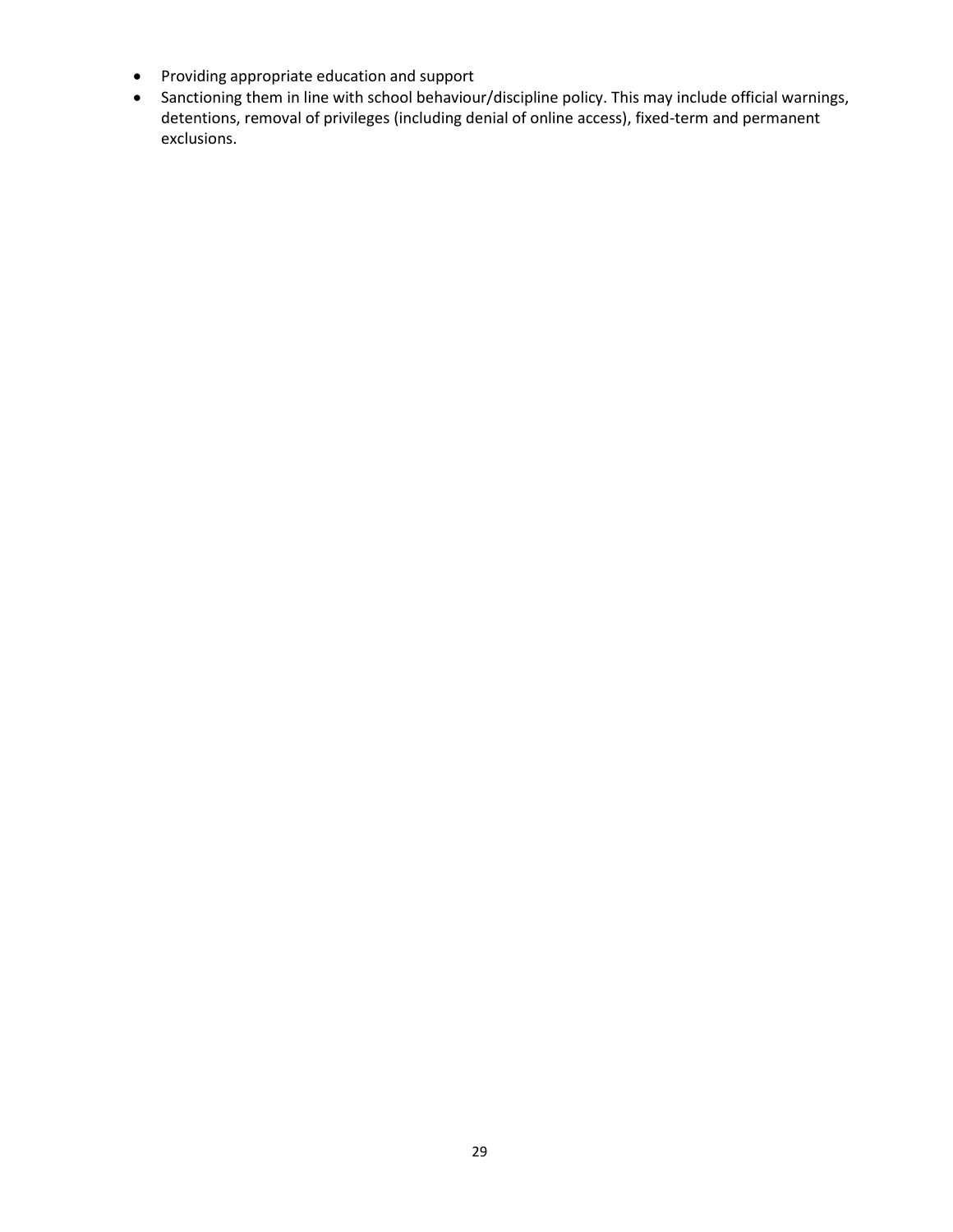- Providing appropriate education and support
- Sanctioning them in line with school behaviour/discipline policy. This may include official warnings, detentions, removal of privileges (including denial of online access), fixed-term and permanent exclusions.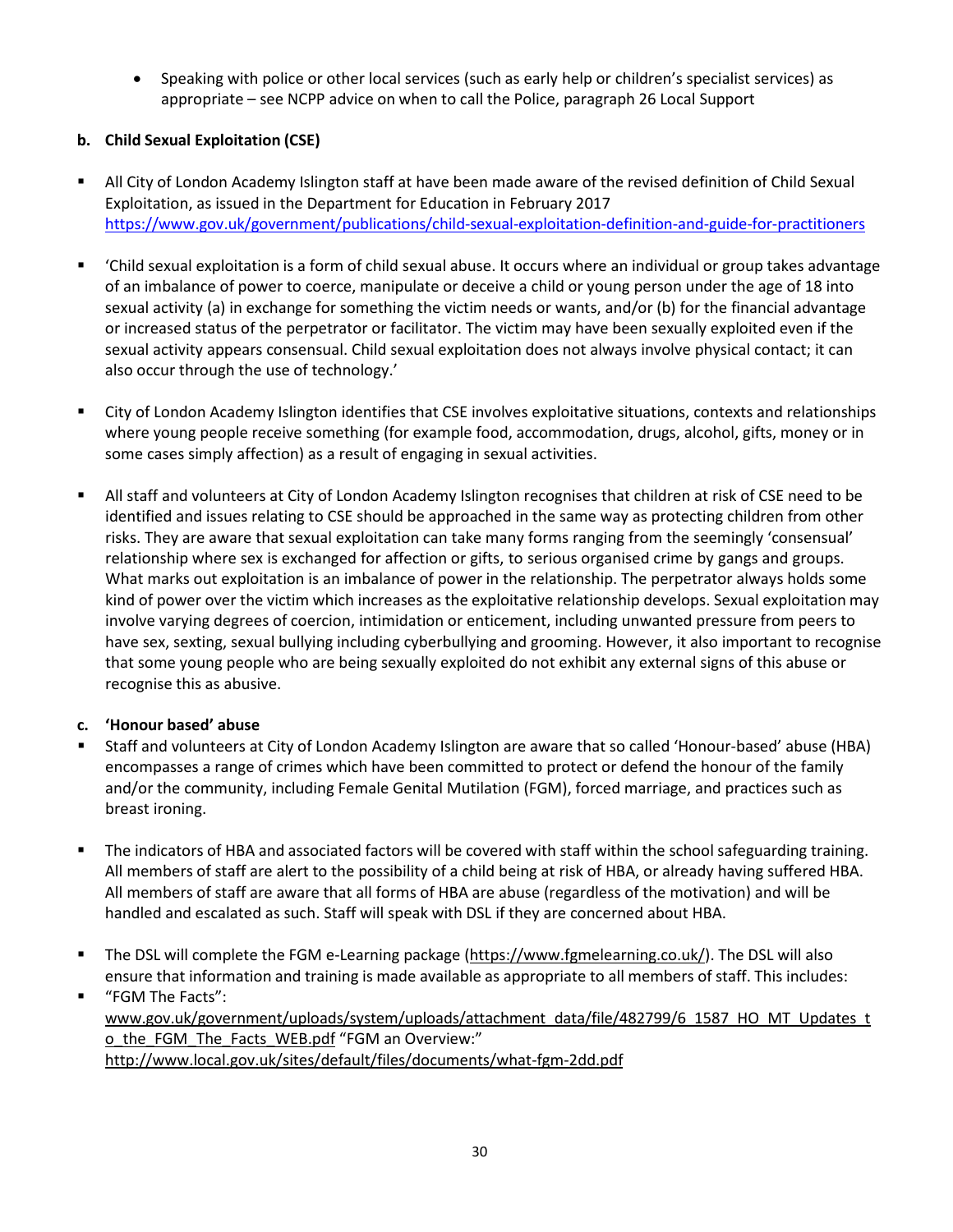• Speaking with police or other local services (such as early help or children's specialist services) as appropriate – see NCPP advice on when to call the Police, paragraph 26 Local Support

#### **b. Child Sexual Exploitation (CSE)**

- All City of London Academy Islington staff at have been made aware of the revised definition of Child Sexual Exploitation, as issued in the Department for Education in February 2017 <https://www.gov.uk/government/publications/child-sexual-exploitation-definition-and-guide-for-practitioners>
- 'Child sexual exploitation is a form of child sexual abuse. It occurs where an individual or group takes advantage of an imbalance of power to coerce, manipulate or deceive a child or young person under the age of 18 into sexual activity (a) in exchange for something the victim needs or wants, and/or (b) for the financial advantage or increased status of the perpetrator or facilitator. The victim may have been sexually exploited even if the sexual activity appears consensual. Child sexual exploitation does not always involve physical contact; it can also occur through the use of technology.'
- City of London Academy Islington identifies that CSE involves exploitative situations, contexts and relationships where young people receive something (for example food, accommodation, drugs, alcohol, gifts, money or in some cases simply affection) as a result of engaging in sexual activities.
- All staff and volunteers at City of London Academy Islington recognises that children at risk of CSE need to be identified and issues relating to CSE should be approached in the same way as protecting children from other risks. They are aware that sexual exploitation can take many forms ranging from the seemingly 'consensual' relationship where sex is exchanged for affection or gifts, to serious organised crime by gangs and groups. What marks out exploitation is an imbalance of power in the relationship. The perpetrator always holds some kind of power over the victim which increases as the exploitative relationship develops. Sexual exploitation may involve varying degrees of coercion, intimidation or enticement, including unwanted pressure from peers to have sex, sexting, sexual bullying including cyberbullying and grooming. However, it also important to recognise that some young people who are being sexually exploited do not exhibit any external signs of this abuse or recognise this as abusive.

#### **c. 'Honour based' abuse**

- Staff and volunteers at City of London Academy Islington are aware that so called 'Honour-based' abuse (HBA) encompasses a range of crimes which have been committed to protect or defend the honour of the family and/or the community, including Female Genital Mutilation (FGM), forced marriage, and practices such as breast ironing.
- The indicators of HBA and associated factors will be covered with staff within the school safeguarding training. All members of staff are alert to the possibility of a child being at risk of HBA, or already having suffered HBA. All members of staff are aware that all forms of HBA are abuse (regardless of the motivation) and will be handled and escalated as such. Staff will speak with DSL if they are concerned about HBA.
- The DSL will complete the FGM e-Learning package [\(https://www.fgmelearning.co.uk/\)](https://www.fgmelearning.co.uk/). The DSL will also ensure that information and training is made available as appropriate to all members of staff. This includes:
- "FGM The Facts": [www.gov.uk/government/uploads/system/uploads/attachment\\_data/file/482799/6\\_1587\\_HO\\_MT\\_Updates\\_t](http://www.gov.uk/government/uploads/system/uploads/attachment_data/file/482799/6_1587_HO_MT_Updates_to_the_FGM_The_Facts_WEB.pdf) [o\\_the\\_FGM\\_The\\_Facts\\_WEB.pdf](http://www.gov.uk/government/uploads/system/uploads/attachment_data/file/482799/6_1587_HO_MT_Updates_to_the_FGM_The_Facts_WEB.pdf) "FGM an Overview:" <http://www.local.gov.uk/sites/default/files/documents/what-fgm-2dd.pdf>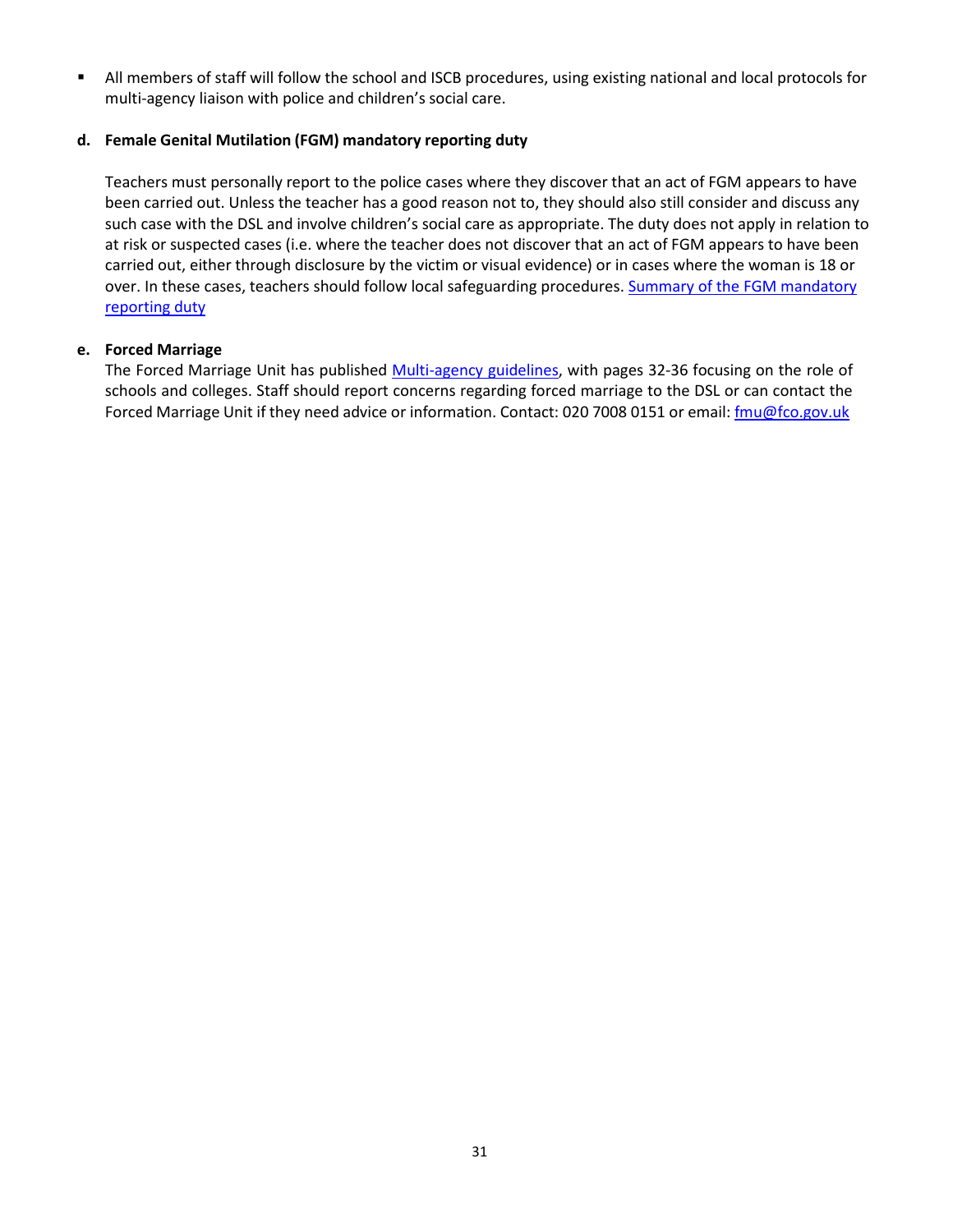All members of staff will follow the school and ISCB procedures, using existing national and local protocols for multi-agency liaison with police and children's social care.

#### **d. Female Genital Mutilation (FGM) mandatory reporting duty**

Teachers must personally report to the police cases where they discover that an act of FGM appears to have been carried out. Unless the teacher has a good reason not to, they should also still consider and discuss any such case with the DSL and involve children's social care as appropriate. The duty does not apply in relation to at risk or suspected cases (i.e. where the teacher does not discover that an act of FGM appears to have been carried out, either through disclosure by the victim or visual evidence) or in cases where the woman is 18 or over. In these cases, teachers should follow local safeguarding procedures[. Summary of the FGM mandatory](https://www.gov.uk/government/uploads/system/uploads/attachment_data/file/496415/6_1639_HO_SP_FGM_mandatory_reporting_Fact_sheet_Web.pdf) [reporting](https://www.gov.uk/government/uploads/system/uploads/attachment_data/file/496415/6_1639_HO_SP_FGM_mandatory_reporting_Fact_sheet_Web.pdf) duty

#### **e. Forced Marriage**

The Forced Marriage Unit has published [Multi-agency guidelines, w](https://www.gov.uk/government/uploads/system/uploads/attachment_data/file/322307/HMG_MULTI_AGENCY_PRACTICE_GUIDELINES_v1_180614_FINAL.pdf)ith pages 32-36 focusing on the role of schools and colleges. Staff should report concerns regarding forced marriage to the DSL or can contact the Forced Marriage Unit if they need advice or information. Contact: 020 7008 0151 or email: *[fmu@fco.gov.uk](mailto:fmu@fco.gov.uk)*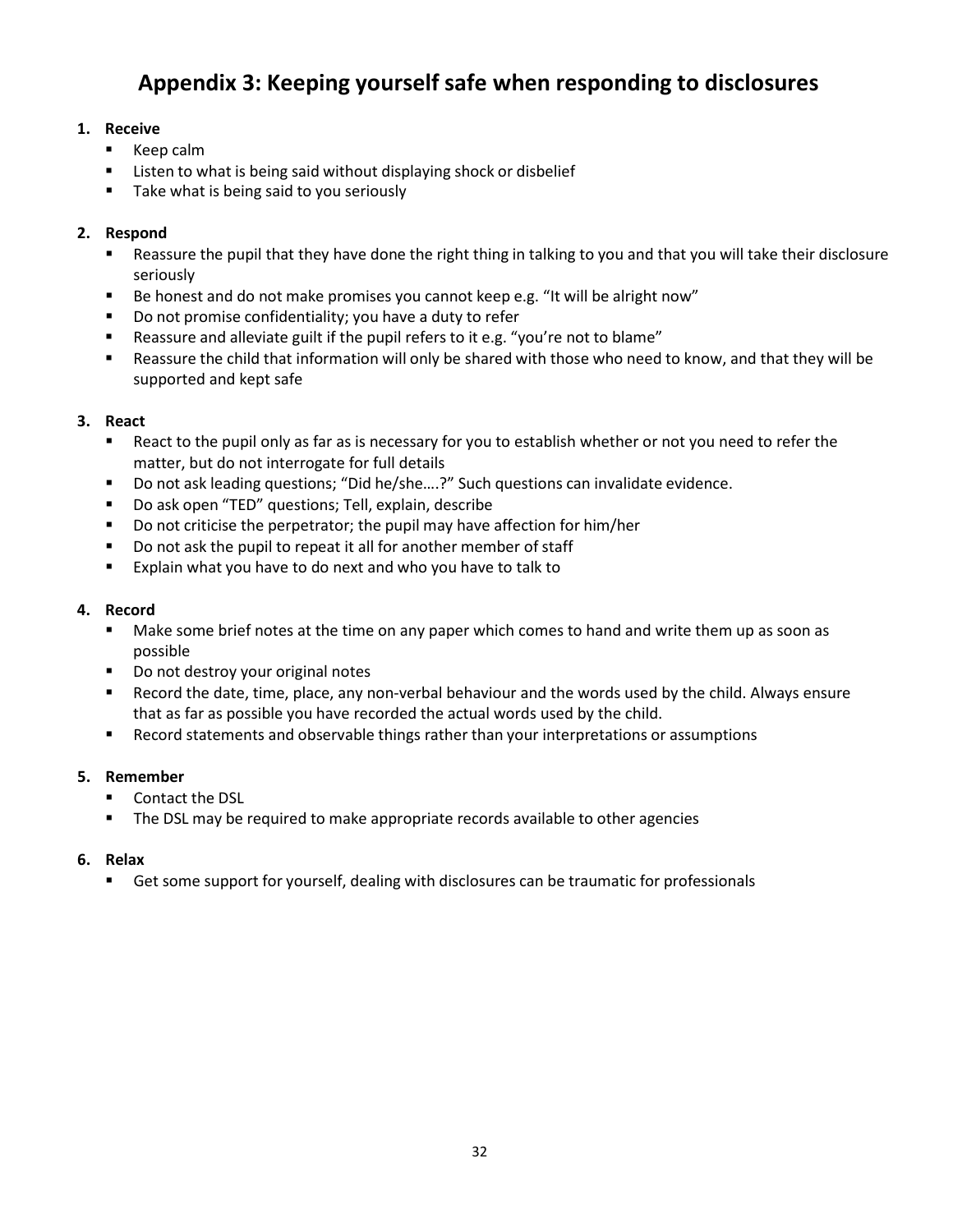# **Appendix 3: Keeping yourself safe when responding to disclosures**

#### <span id="page-31-0"></span>**1. Receive**

- **Keep calm**
- **EXTER** Listen to what is being said without displaying shock or disbelief
- Take what is being said to you seriously

#### **2. Respond**

- Reassure the pupil that they have done the right thing in talking to you and that you will take their disclosure seriously
- Be honest and do not make promises you cannot keep e.g. "It will be alright now"
- Do not promise confidentiality; you have a duty to refer
- Reassure and alleviate guilt if the pupil refers to it e.g. "you're not to blame"
- Reassure the child that information will only be shared with those who need to know, and that they will be supported and kept safe

#### **3. React**

- React to the pupil only as far as is necessary for you to establish whether or not you need to refer the matter, but do not interrogate for full details
- Do not ask leading questions; "Did he/she....?" Such questions can invalidate evidence.
- Do ask open "TED" questions; Tell, explain, describe
- Do not criticise the perpetrator; the pupil may have affection for him/her
- Do not ask the pupil to repeat it all for another member of staff
- **EXPLA** Explain what you have to do next and who you have to talk to

#### **4. Record**

- **Make some brief notes at the time on any paper which comes to hand and write them up as soon as** possible
- Do not destroy your original notes
- Record the date, time, place, any non-verbal behaviour and the words used by the child. Always ensure that as far as possible you have recorded the actual words used by the child.
- Record statements and observable things rather than your interpretations or assumptions

#### **5. Remember**

- Contact the DSL
- **The DSL may be required to make appropriate records available to other agencies**

#### **6. Relax**

**EXECT** Get some support for yourself, dealing with disclosures can be traumatic for professionals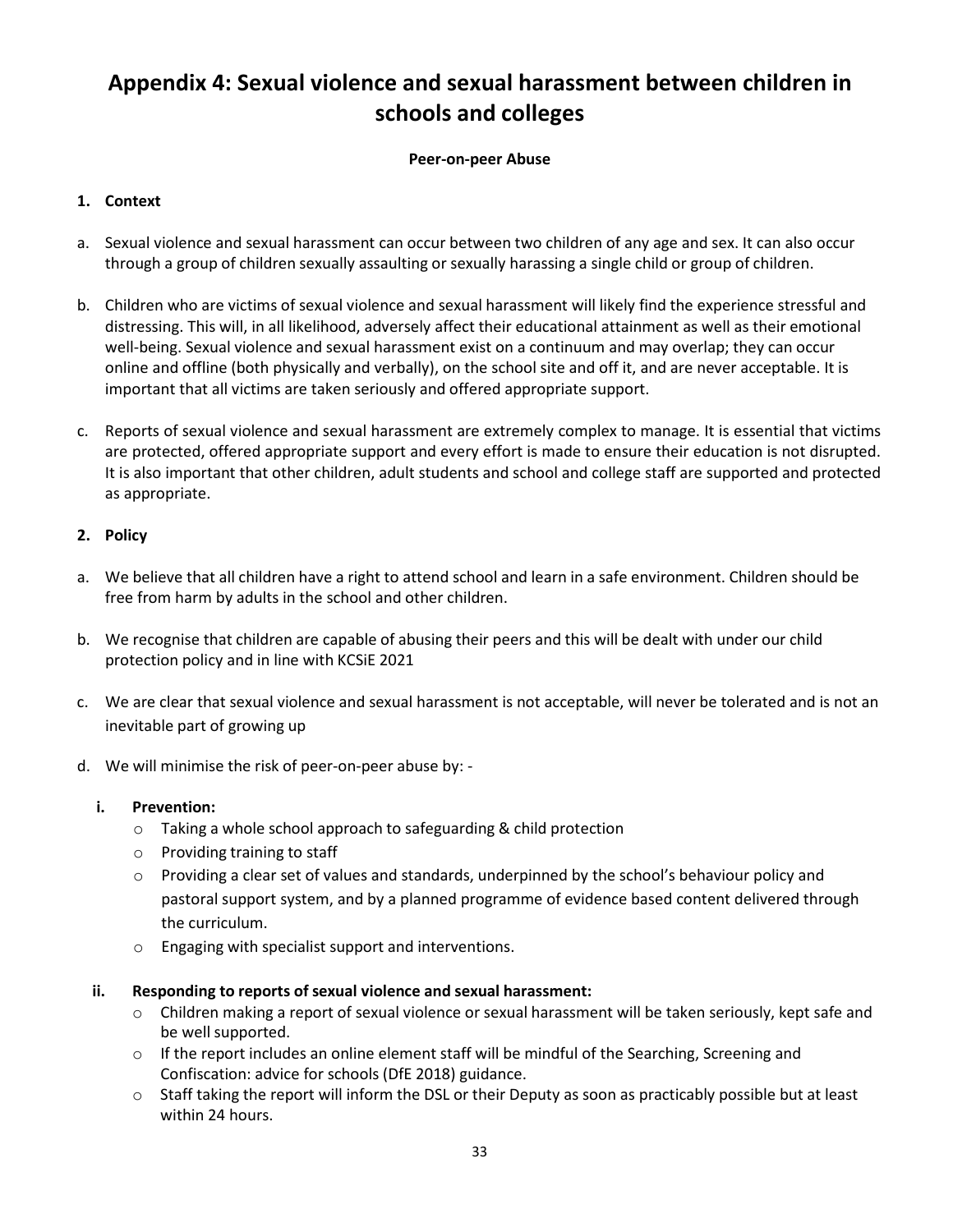# <span id="page-32-0"></span>**Appendix 4: Sexual violence and sexual harassment between children in schools and colleges**

#### **Peer-on-peer Abuse**

#### **1. Context**

- a. Sexual violence and sexual harassment can occur between two children of any age and sex. It can also occur through a group of children sexually assaulting or sexually harassing a single child or group of children.
- b. Children who are victims of sexual violence and sexual harassment will likely find the experience stressful and distressing. This will, in all likelihood, adversely affect their educational attainment as well as their emotional well-being. Sexual violence and sexual harassment exist on a continuum and may overlap; they can occur online and offline (both physically and verbally), on the school site and off it, and are never acceptable. It is important that all victims are taken seriously and offered appropriate support.
- c. Reports of sexual violence and sexual harassment are extremely complex to manage. It is essential that victims are protected, offered appropriate support and every effort is made to ensure their education is not disrupted. It is also important that other children, adult students and school and college staff are supported and protected as appropriate.

#### **2. Policy**

- a. We believe that all children have a right to attend school and learn in a safe environment. Children should be free from harm by adults in the school and other children.
- b. We recognise that children are capable of abusing their peers and this will be dealt with under our child protection policy and in line with KCSiE 2021
- c. We are clear that sexual violence and sexual harassment is not acceptable, will never be tolerated and is not an inevitable part of growing up
- d. We will minimise the risk of peer-on-peer abuse by:
	- **i. Prevention:**
		- o Taking a whole school approach to safeguarding & child protection
		- o Providing training to staff
		- $\circ$  Providing a clear set of values and standards, underpinned by the school's behaviour policy and pastoral support system, and by a planned programme of evidence based content delivered through the curriculum.
		- o Engaging with specialist support and interventions.
	- **ii. Responding to reports of sexual violence and sexual harassment:**
		- o Children making a report of sexual violence or sexual harassment will be taken seriously, kept safe and be well supported.
		- $\circ$  If the report includes an online element staff will be mindful of the Searching, Screening and Confiscation: advice for schools (DfE 2018) guidance.
		- o Staff taking the report will inform the DSL or their Deputy as soon as practicably possible but at least within 24 hours.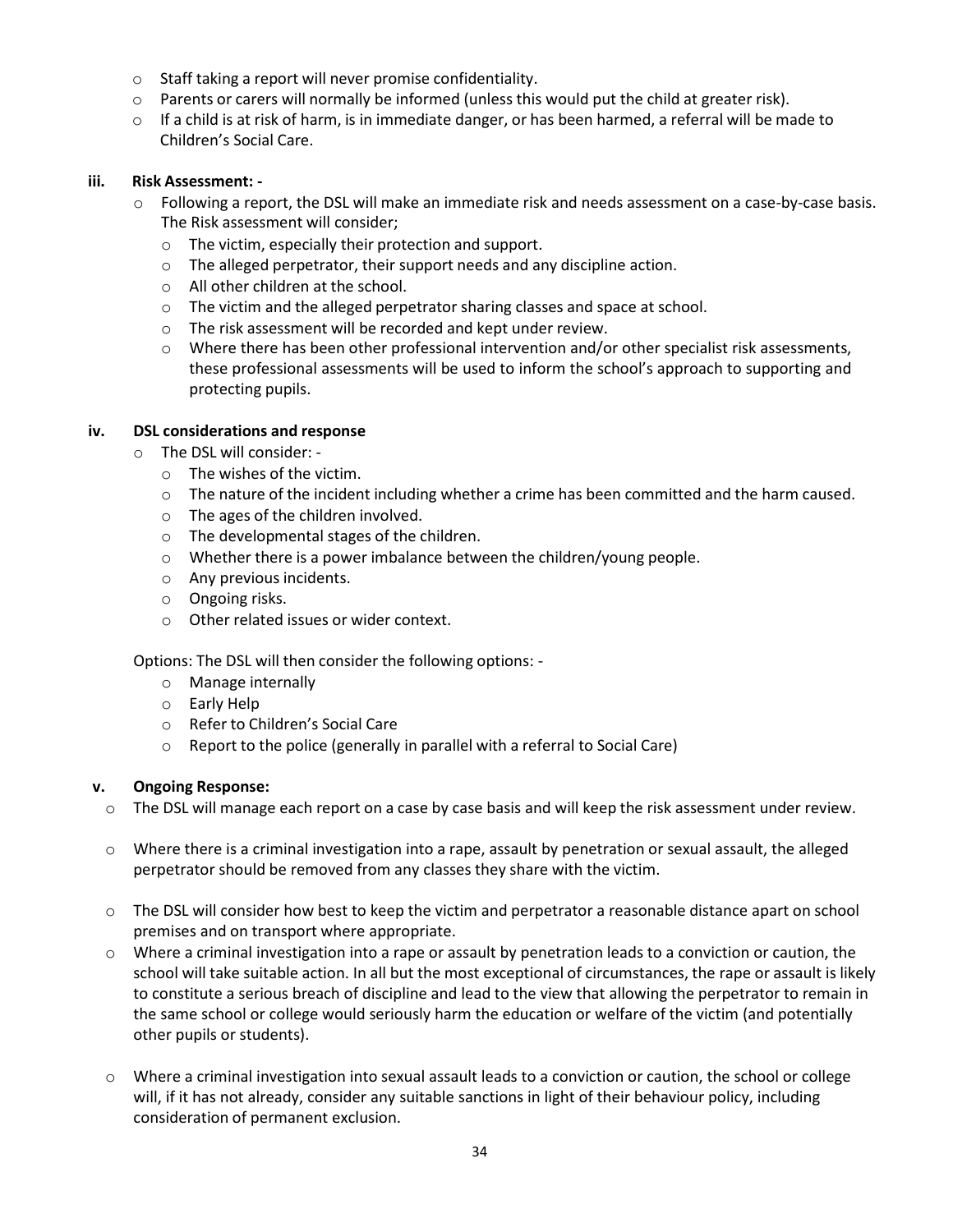- o Staff taking a report will never promise confidentiality.
- $\circ$  Parents or carers will normally be informed (unless this would put the child at greater risk).
- $\circ$  If a child is at risk of harm, is in immediate danger, or has been harmed, a referral will be made to Children's Social Care.

#### **iii. Risk Assessment: -**

- o Following a report, the DSL will make an immediate risk and needs assessment on a case-by-case basis. The Risk assessment will consider;
	- o The victim, especially their protection and support.
	- o The alleged perpetrator, their support needs and any discipline action.
	- o All other children at the school.
	- $\circ$  The victim and the alleged perpetrator sharing classes and space at school.
	- o The risk assessment will be recorded and kept under review.
	- $\circ$  Where there has been other professional intervention and/or other specialist risk assessments, these professional assessments will be used to inform the school's approach to supporting and protecting pupils.

#### **iv. DSL considerations and response**

- o The DSL will consider:
	- o The wishes of the victim.
	- o The nature of the incident including whether a crime has been committed and the harm caused.
	- o The ages of the children involved.
	- o The developmental stages of the children.
	- o Whether there is a power imbalance between the children/young people.
	- o Any previous incidents.
	- o Ongoing risks.
	- o Other related issues or wider context.

Options: The DSL will then consider the following options: -

- o Manage internally
- o Early Help
- o Refer to Children's Social Care
- o Report to the police (generally in parallel with a referral to Social Care)

#### **v. Ongoing Response:**

- $\circ$  The DSL will manage each report on a case by case basis and will keep the risk assessment under review.
- $\circ$  Where there is a criminal investigation into a rape, assault by penetration or sexual assault, the alleged perpetrator should be removed from any classes they share with the victim.
- o The DSL will consider how best to keep the victim and perpetrator a reasonable distance apart on school premises and on transport where appropriate.
- $\circ$  Where a criminal investigation into a rape or assault by penetration leads to a conviction or caution, the school will take suitable action. In all but the most exceptional of circumstances, the rape or assault is likely to constitute a serious breach of discipline and lead to the view that allowing the perpetrator to remain in the same school or college would seriously harm the education or welfare of the victim (and potentially other pupils or students).
- o Where a criminal investigation into sexual assault leads to a conviction or caution, the school or college will, if it has not already, consider any suitable sanctions in light of their behaviour policy, including consideration of permanent exclusion.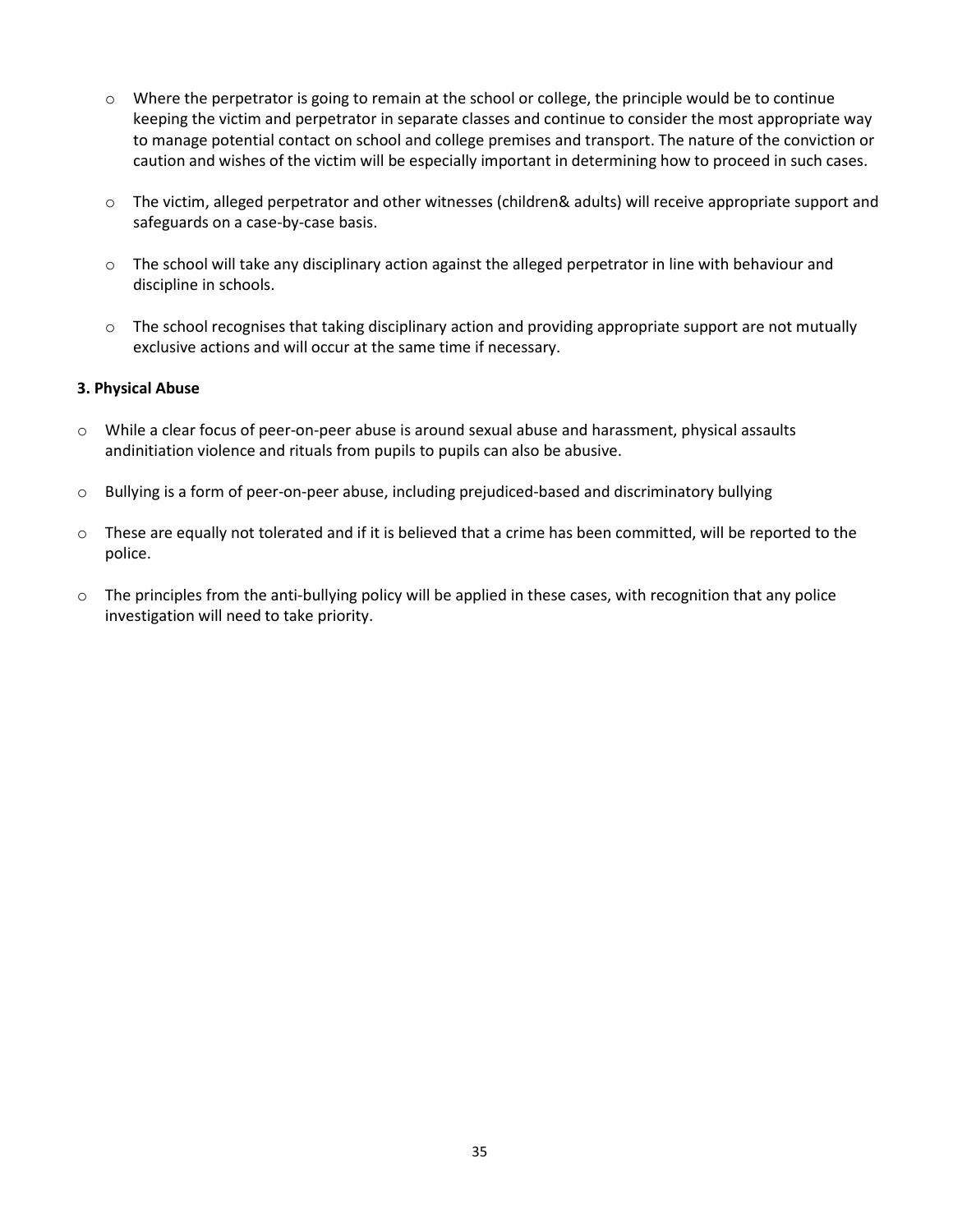- $\circ$  Where the perpetrator is going to remain at the school or college, the principle would be to continue keeping the victim and perpetrator in separate classes and continue to consider the most appropriate way to manage potential contact on school and college premises and transport. The nature of the conviction or caution and wishes of the victim will be especially important in determining how to proceed in such cases.
- o The victim, alleged perpetrator and other witnesses (children& adults) will receive appropriate support and safeguards on a case-by-case basis.
- o The school will take any disciplinary action against the alleged perpetrator in line with behaviour and discipline in schools.
- $\circ$  The school recognises that taking disciplinary action and providing appropriate support are not mutually exclusive actions and will occur at the same time if necessary.

#### **3. Physical Abuse**

- $\circ$  While a clear focus of peer-on-peer abuse is around sexual abuse and harassment, physical assaults andinitiation violence and rituals from pupils to pupils can also be abusive.
- $\circ$  Bullying is a form of peer-on-peer abuse, including prejudiced-based and discriminatory bullying
- $\circ$  These are equally not tolerated and if it is believed that a crime has been committed, will be reported to the police.
- $\circ$  The principles from the anti-bullying policy will be applied in these cases, with recognition that any police investigation will need to take priority.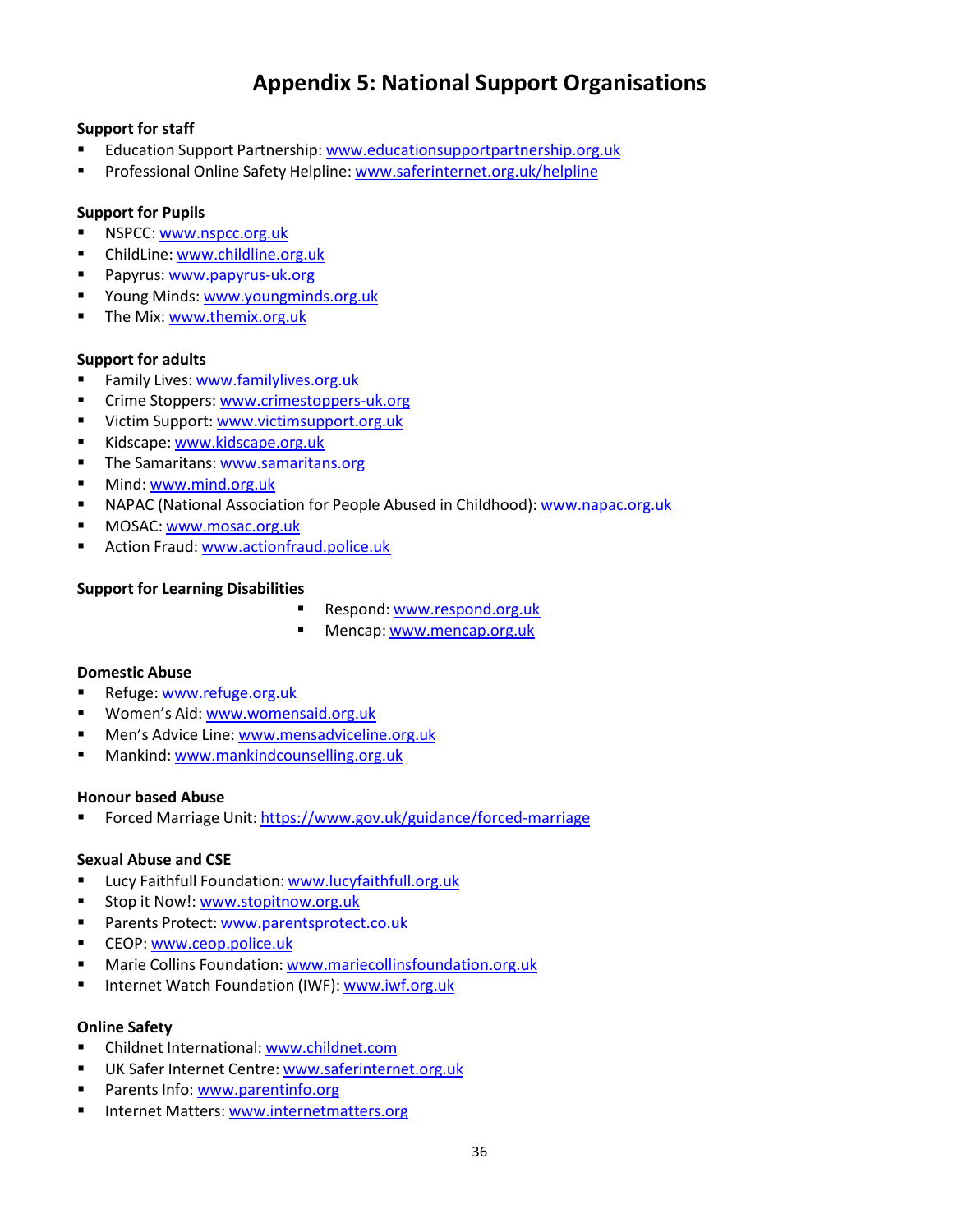# **Appendix 5: National Support Organisations**

#### <span id="page-35-0"></span>**Support for staff**

- Education Support Partnership: [www.educationsupportpartnership.org.uk](http://www.educationsupportpartnership.org.uk/)
- **Professional Online Safety Helpline: [www.saferinternet.org.uk/helpline](http://www.saferinternet.org.uk/helpline)**

#### **Support for Pupils**

- NSPCC: [www.nspcc.org.uk](http://www.nspcc.org.uk/)
- ChildLine: [www.childline.org.uk](http://www.childline.org.uk/)
- **Papyrus: [www.papyrus-uk.org](http://www.papyrus-uk.org/)**
- Young Minds: [www.youngminds.org.uk](http://www.youngminds.org.uk/)
- The Mix: [www.themix.org.uk](http://www.themix.org.uk/)

#### **Support for adults**

- Family Lives: [www.familylives.org.uk](http://www.familylives.org.uk/)
- Crime Stoppers: [www.crimestoppers-uk.org](http://www.crimestoppers-uk.org/)
- Victim Support: [www.victimsupport.org.uk](http://www.victimsupport.org.uk/)
- Kidscape: [www.kidscape.org.uk](http://www.kidscape.org.uk/)
- The Samaritans: [www.samaritans.org](http://www.samaritans.org/)
- **Mind: [www.mind.org.uk](http://www.mind.org.uk/)**
- **NAPAC (National Association for People Abused in Childhood):** [www.napac.org.uk](http://www.napac.org.uk/)
- MOSAC: [www.mosac.org.uk](http://www.mosac.org.uk/)
- Action Fraud: [www.actionfraud.police.uk](http://www.actionfraud.police.uk/)

#### **Support for Learning Disabilities**

- Respond: [www.respond.org.uk](http://www.respond.org.uk/)
- **Mencap: [www.mencap.org.uk](http://www.mencap.org.uk/)**

#### **Domestic Abuse**

- Refuge: [www.refuge.org.uk](http://www.refuge.org.uk/)
- **Women's Aid: [www.womensaid.org.uk](http://www.womensaid.org.uk/)**
- **Men's Advice Line: [www.mensadviceline.org.uk](http://www.mensadviceline.org.uk/)**
- **Mankind: [www.mankindcounselling.org.uk](http://www.mankindcounselling.org.uk/)**

#### **Honour based Abuse**

Forced Marriage Unit: <https://www.gov.uk/guidance/forced-marriage>

#### **Sexual Abuse and CSE**

- Lucy Faithfull Foundation: [www.lucyfaithfull.org.uk](http://www.lucyfaithfull.org.uk/)
- Stop it Now!: [www.stopitnow.org.uk](http://www.stopitnow.org.uk/)
- **Parents Protect: [www.parentsprotect.co.uk](http://www.parentsprotect.co.uk/)**
- CEOP: [www.ceop.police.uk](http://www.ceop.police.uk/)
- **Marie Collins Foundation: [www.mariecollinsfoundation.org.uk](http://www.mariecollinsfoundation.org.uk/)**
- Internet Watch Foundation (IWF): [www.iwf.org.uk](http://www.iwf.org.uk/)

#### **Online Safety**

- Childnet International: [www.childnet.com](http://www.childnet.com/)
- UK Safer Internet Centre: [www.saferinternet.org.uk](http://www.saferinternet.org.uk/)
- Parents Info: [www.parentinfo.org](http://www.parentinfo.org/)
- Internet Matters: [www.internetmatters.org](http://www.internetmatters.org/)